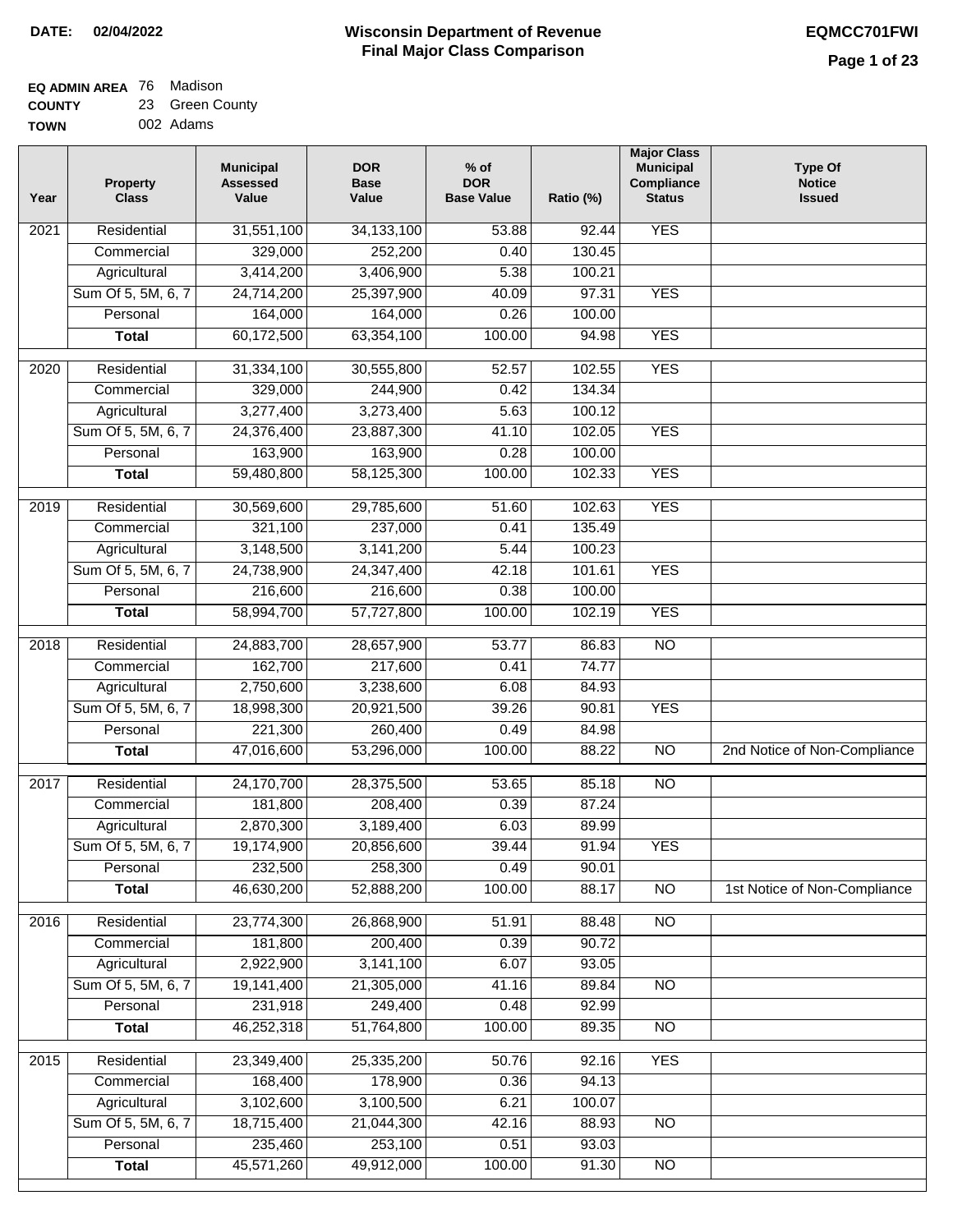#### **EQ ADMIN AREA** 76 Madison **COUNTY** 23 Green County

**TOWN** 002 Adams

| Year              | <b>Property</b><br><b>Class</b> | <b>Municipal</b><br><b>Assessed</b><br>Value | <b>DOR</b><br><b>Base</b><br>Value | % of<br><b>DOR</b><br><b>Base Value</b> | Ratio (%) | <b>Major Class</b><br><b>Municipal</b><br>Compliance<br><b>Status</b> | <b>Type Of</b><br><b>Notice</b><br><b>Issued</b> |
|-------------------|---------------------------------|----------------------------------------------|------------------------------------|-----------------------------------------|-----------|-----------------------------------------------------------------------|--------------------------------------------------|
| $\overline{202}1$ | Residential                     | 31,551,100                                   | 34, 133, 100                       | 53.88                                   | 92.44     | <b>YES</b>                                                            |                                                  |
|                   | Commercial                      | 329,000                                      | 252,200                            | 0.40                                    | 130.45    |                                                                       |                                                  |
|                   | Agricultural                    | 3,414,200                                    | 3,406,900                          | 5.38                                    | 100.21    |                                                                       |                                                  |
|                   | Sum Of 5, 5M, 6, 7              | 24,714,200                                   | 25,397,900                         | 40.09                                   | 97.31     | <b>YES</b>                                                            |                                                  |
|                   | Personal                        | 164,000                                      | 164,000                            | 0.26                                    | 100.00    |                                                                       |                                                  |
|                   | <b>Total</b>                    | 60,172,500                                   | 63,354,100                         | 100.00                                  | 94.98     | <b>YES</b>                                                            |                                                  |
| $\overline{2020}$ | Residential                     | 31,334,100                                   | 30,555,800                         | 52.57                                   | 102.55    | <b>YES</b>                                                            |                                                  |
|                   | Commercial                      | 329,000                                      | 244,900                            | 0.42                                    | 134.34    |                                                                       |                                                  |
|                   | Agricultural                    | 3,277,400                                    | 3,273,400                          | 5.63                                    | 100.12    |                                                                       |                                                  |
|                   | Sum Of 5, 5M, 6, 7              | 24,376,400                                   | 23,887,300                         | 41.10                                   | 102.05    | <b>YES</b>                                                            |                                                  |
|                   | Personal                        | 163,900                                      | 163,900                            | 0.28                                    | 100.00    |                                                                       |                                                  |
|                   | <b>Total</b>                    | 59,480,800                                   | 58,125,300                         | 100.00                                  | 102.33    | <b>YES</b>                                                            |                                                  |
| 2019              | Residential                     | 30,569,600                                   | 29,785,600                         | 51.60                                   | 102.63    | <b>YES</b>                                                            |                                                  |
|                   | Commercial                      | 321,100                                      | 237,000                            | 0.41                                    | 135.49    |                                                                       |                                                  |
|                   | Agricultural                    | 3,148,500                                    | 3,141,200                          | 5.44                                    | 100.23    |                                                                       |                                                  |
|                   | Sum Of 5, 5M, 6, 7              | 24,738,900                                   | 24,347,400                         | 42.18                                   | 101.61    | <b>YES</b>                                                            |                                                  |
|                   | Personal                        | 216,600                                      | 216,600                            | 0.38                                    | 100.00    |                                                                       |                                                  |
|                   | <b>Total</b>                    | 58,994,700                                   | 57,727,800                         | 100.00                                  | 102.19    | <b>YES</b>                                                            |                                                  |
|                   |                                 |                                              |                                    |                                         |           |                                                                       |                                                  |
| 2018              | Residential                     | 24,883,700                                   | 28,657,900                         | 53.77                                   | 86.83     | $\overline{10}$                                                       |                                                  |
|                   | Commercial                      | 162,700                                      | 217,600                            | 0.41                                    | 74.77     |                                                                       |                                                  |
|                   | Agricultural                    | 2,750,600                                    | 3,238,600                          | 6.08                                    | 84.93     |                                                                       |                                                  |
|                   | Sum Of 5, 5M, 6, 7              | 18,998,300                                   | 20,921,500                         | 39.26                                   | 90.81     | <b>YES</b>                                                            |                                                  |
|                   | Personal                        | 221,300                                      | 260,400                            | 0.49                                    | 84.98     |                                                                       |                                                  |
|                   | <b>Total</b>                    | 47,016,600                                   | 53,296,000                         | 100.00                                  | 88.22     | $\overline{10}$                                                       | 2nd Notice of Non-Compliance                     |
| 2017              | Residential                     | 24,170,700                                   | 28,375,500                         | 53.65                                   | 85.18     | $\overline{NO}$                                                       |                                                  |
|                   | Commercial                      | 181,800                                      | 208,400                            | 0.39                                    | 87.24     |                                                                       |                                                  |
|                   | Agricultural                    | 2,870,300                                    | 3,189,400                          | 6.03                                    | 89.99     |                                                                       |                                                  |
|                   | Sum Of 5, 5M, 6, 7              | 19,174,900                                   | 20,856,600                         | 39.44                                   | 91.94     | <b>YES</b>                                                            |                                                  |
|                   | Personal                        | 232,500                                      | 258,300                            | 0.49                                    | 90.01     |                                                                       |                                                  |
|                   | <b>Total</b>                    | 46,630,200                                   | 52,888,200                         | 100.00                                  | 88.17     | <b>NO</b>                                                             | 1st Notice of Non-Compliance                     |
| 2016              | Residential                     | 23,774,300                                   | 26,868,900                         | 51.91                                   | 88.48     | N <sub>O</sub>                                                        |                                                  |
|                   | Commercial                      | 181,800                                      | 200,400                            | 0.39                                    | 90.72     |                                                                       |                                                  |
|                   | Agricultural                    | 2,922,900                                    | 3,141,100                          | 6.07                                    | 93.05     |                                                                       |                                                  |
|                   | Sum Of 5, 5M, 6, 7              | 19,141,400                                   | 21,305,000                         | 41.16                                   | 89.84     | $\overline{NO}$                                                       |                                                  |
|                   | Personal                        | 231,918                                      | 249,400                            | 0.48                                    | 92.99     |                                                                       |                                                  |
|                   | <b>Total</b>                    | 46,252,318                                   | 51,764,800                         | 100.00                                  | 89.35     | N <sub>O</sub>                                                        |                                                  |
| 2015              | Residential                     | 23,349,400                                   | 25,335,200                         | 50.76                                   | 92.16     | <b>YES</b>                                                            |                                                  |
|                   | Commercial                      | 168,400                                      | 178,900                            | 0.36                                    | 94.13     |                                                                       |                                                  |
|                   | Agricultural                    | 3,102,600                                    | 3,100,500                          | 6.21                                    | 100.07    |                                                                       |                                                  |
|                   | Sum Of 5, 5M, 6, 7              | 18,715,400                                   | 21,044,300                         | 42.16                                   | 88.93     | <b>NO</b>                                                             |                                                  |
|                   | Personal                        | 235,460                                      | 253,100                            | 0.51                                    | 93.03     |                                                                       |                                                  |
|                   | <b>Total</b>                    | 45,571,260                                   | 49,912,000                         | 100.00                                  | 91.30     | N <sub>O</sub>                                                        |                                                  |
|                   |                                 |                                              |                                    |                                         |           |                                                                       |                                                  |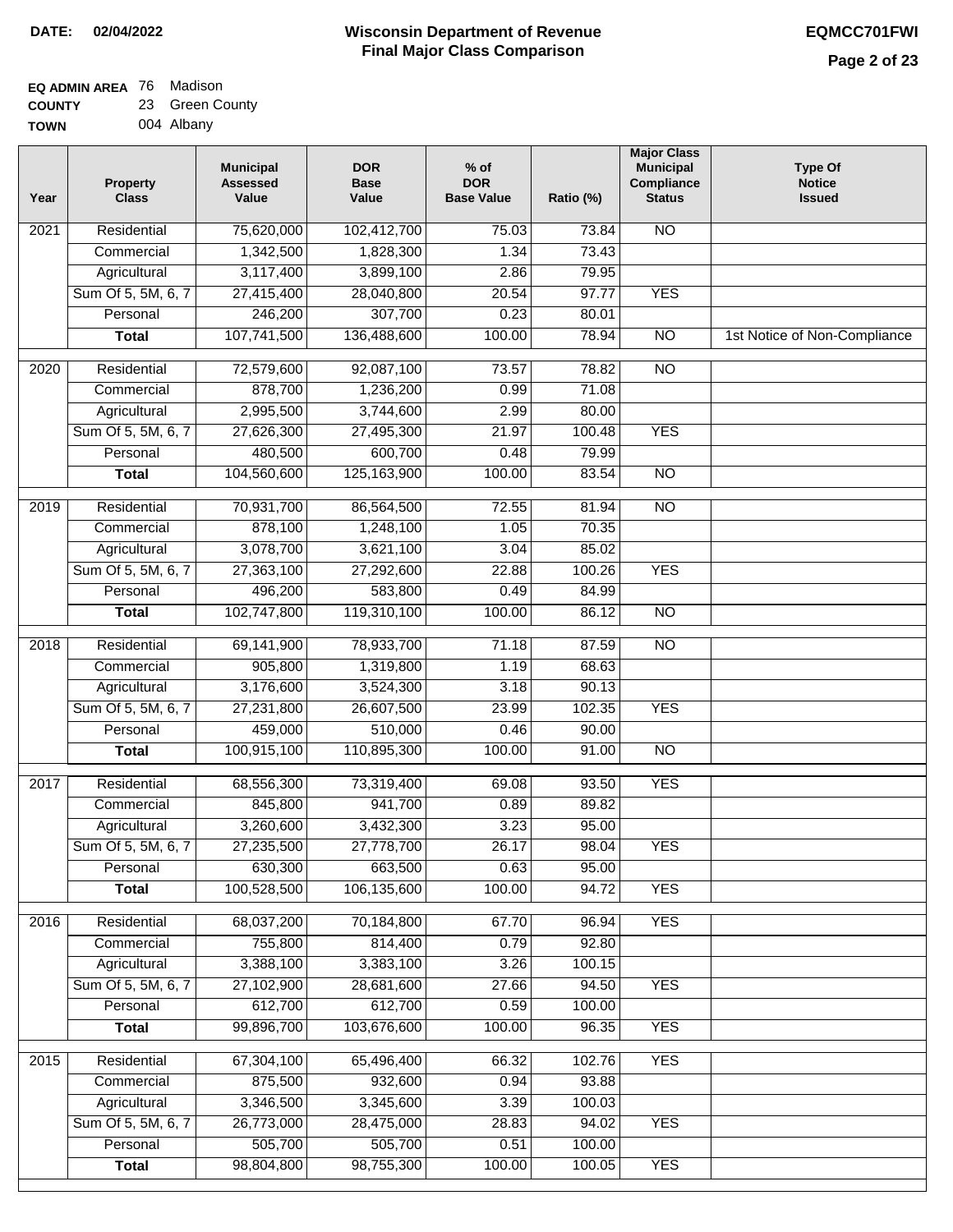# **Wisconsin Department of Revenue DATE: 02/04/2022 EQMCC701FWI Final Major Class Comparison**

| <b>EQ ADMIN AREA 76 Madison</b> |                 |
|---------------------------------|-----------------|
| <b>COUNTY</b>                   | 23 Green County |

**TOWN** 004 Albany

| Year              | <b>Property</b><br><b>Class</b> | <b>Municipal</b><br><b>Assessed</b><br>Value | <b>DOR</b><br><b>Base</b><br>Value | $%$ of<br><b>DOR</b><br><b>Base Value</b> | Ratio (%)       | <b>Major Class</b><br><b>Municipal</b><br>Compliance<br><b>Status</b> | <b>Type Of</b><br><b>Notice</b><br><b>Issued</b> |
|-------------------|---------------------------------|----------------------------------------------|------------------------------------|-------------------------------------------|-----------------|-----------------------------------------------------------------------|--------------------------------------------------|
| $\overline{202}1$ | Residential                     | 75,620,000                                   | 102,412,700                        | 75.03                                     | 73.84           | N <sub>O</sub>                                                        |                                                  |
|                   | Commercial                      | 1,342,500                                    | 1,828,300                          | 1.34                                      | 73.43           |                                                                       |                                                  |
|                   | Agricultural                    | 3,117,400                                    | 3,899,100                          | 2.86                                      | 79.95           |                                                                       |                                                  |
|                   | Sum Of 5, 5M, 6, 7              | 27,415,400                                   | 28,040,800                         | 20.54                                     | 97.77           | <b>YES</b>                                                            |                                                  |
|                   | Personal                        | 246,200                                      | 307,700                            | 0.23                                      | 80.01           |                                                                       |                                                  |
|                   | <b>Total</b>                    | 107,741,500                                  | 136,488,600                        | 100.00                                    | 78.94           | $\overline{NO}$                                                       | 1st Notice of Non-Compliance                     |
| $\overline{2020}$ | Residential                     | 72,579,600                                   | 92,087,100                         | 73.57                                     | 78.82           | $\overline{NO}$                                                       |                                                  |
|                   | Commercial                      | 878,700                                      | 1,236,200                          | 0.99                                      | 71.08           |                                                                       |                                                  |
|                   | Agricultural                    | 2,995,500                                    | 3,744,600                          | 2.99                                      | 80.00           |                                                                       |                                                  |
|                   | Sum Of 5, 5M, 6, 7              | 27,626,300                                   | 27,495,300                         | 21.97                                     | 100.48          | <b>YES</b>                                                            |                                                  |
|                   | Personal                        | 480,500                                      | 600,700                            | 0.48                                      | 79.99           |                                                                       |                                                  |
|                   | <b>Total</b>                    | 104,560,600                                  | 125, 163, 900                      | 100.00                                    | 83.54           | $\overline{NO}$                                                       |                                                  |
| 2019              | Residential                     | 70,931,700                                   | 86,564,500                         | 72.55                                     | 81.94           | $\overline{10}$                                                       |                                                  |
|                   | Commercial                      | 878,100                                      | 1,248,100                          | 1.05                                      | 70.35           |                                                                       |                                                  |
|                   | Agricultural                    | 3,078,700                                    | 3,621,100                          | 3.04                                      | 85.02           |                                                                       |                                                  |
|                   | Sum Of 5, 5M, 6, 7              | 27,363,100                                   | 27,292,600                         | 22.88                                     | 100.26          | <b>YES</b>                                                            |                                                  |
|                   | Personal                        | 496,200                                      | 583,800                            | 0.49                                      | 84.99           |                                                                       |                                                  |
|                   | <b>Total</b>                    | 102,747,800                                  | 119,310,100                        | 100.00                                    | 86.12           | $\overline{NO}$                                                       |                                                  |
| 2018              | Residential                     | 69,141,900                                   | 78,933,700                         | 71.18                                     | 87.59           | N <sub>O</sub>                                                        |                                                  |
|                   | Commercial                      | 905,800                                      | 1,319,800                          | 1.19                                      | 68.63           |                                                                       |                                                  |
|                   | Agricultural                    | 3,176,600                                    | 3,524,300                          | 3.18                                      | 90.13           |                                                                       |                                                  |
|                   | Sum Of 5, 5M, 6, 7              | 27,231,800                                   | 26,607,500                         | 23.99                                     | 102.35          | <b>YES</b>                                                            |                                                  |
|                   | Personal                        | 459,000                                      | 510,000                            | 0.46                                      | 90.00           |                                                                       |                                                  |
|                   | <b>Total</b>                    | 100,915,100                                  | 110,895,300                        | 100.00                                    | 91.00           | <b>NO</b>                                                             |                                                  |
| 2017              | Residential                     | 68,556,300                                   | 73,319,400                         | 69.08                                     | 93.50           | <b>YES</b>                                                            |                                                  |
|                   | Commercial                      | 845,800                                      | 941,700                            | 0.89                                      | 89.82           |                                                                       |                                                  |
|                   | Agricultural                    | 3,260,600                                    | 3,432,300                          | 3.23                                      | 95.00           |                                                                       |                                                  |
|                   | Sum Of 5, 5M, 6, 7              | 27,235,500                                   | 27,778,700                         | 26.17                                     | 98.04           | <b>YES</b>                                                            |                                                  |
|                   | Personal                        | 630,300                                      | 663,500                            | 0.63                                      | 95.00           |                                                                       |                                                  |
|                   | <b>Total</b>                    | 100,528,500                                  | 106,135,600                        | 100.00                                    | 94.72           | <b>YES</b>                                                            |                                                  |
| 2016              | Residential                     | 68,037,200                                   | 70,184,800                         | 67.70                                     | 96.94           | <b>YES</b>                                                            |                                                  |
|                   | Commercial                      | 755,800                                      | 814,400                            | 0.79                                      | 92.80           |                                                                       |                                                  |
|                   | Agricultural                    | 3,388,100                                    | 3,383,100                          | 3.26                                      | 100.15          |                                                                       |                                                  |
|                   | Sum Of 5, 5M, 6, 7              | 27,102,900                                   | 28,681,600                         | 27.66                                     | 94.50           | <b>YES</b>                                                            |                                                  |
|                   | Personal                        | 612,700                                      | 612,700                            | 0.59                                      | 100.00          |                                                                       |                                                  |
|                   | <b>Total</b>                    | 99,896,700                                   | 103,676,600                        | 100.00                                    | 96.35           | <b>YES</b>                                                            |                                                  |
|                   |                                 |                                              |                                    |                                           |                 | <b>YES</b>                                                            |                                                  |
| 2015              | Residential<br>Commercial       | 67,304,100<br>875,500                        | 65,496,400<br>932,600              | 66.32<br>0.94                             | 102.76<br>93.88 |                                                                       |                                                  |
|                   | Agricultural                    | 3,346,500                                    | 3,345,600                          | 3.39                                      | 100.03          |                                                                       |                                                  |
|                   | Sum Of 5, 5M, 6, 7              | 26,773,000                                   | 28,475,000                         | 28.83                                     | 94.02           | <b>YES</b>                                                            |                                                  |
|                   | Personal                        | 505,700                                      | 505,700                            | 0.51                                      | 100.00          |                                                                       |                                                  |
|                   | <b>Total</b>                    | 98,804,800                                   | 98,755,300                         | 100.00                                    | 100.05          | <b>YES</b>                                                            |                                                  |
|                   |                                 |                                              |                                    |                                           |                 |                                                                       |                                                  |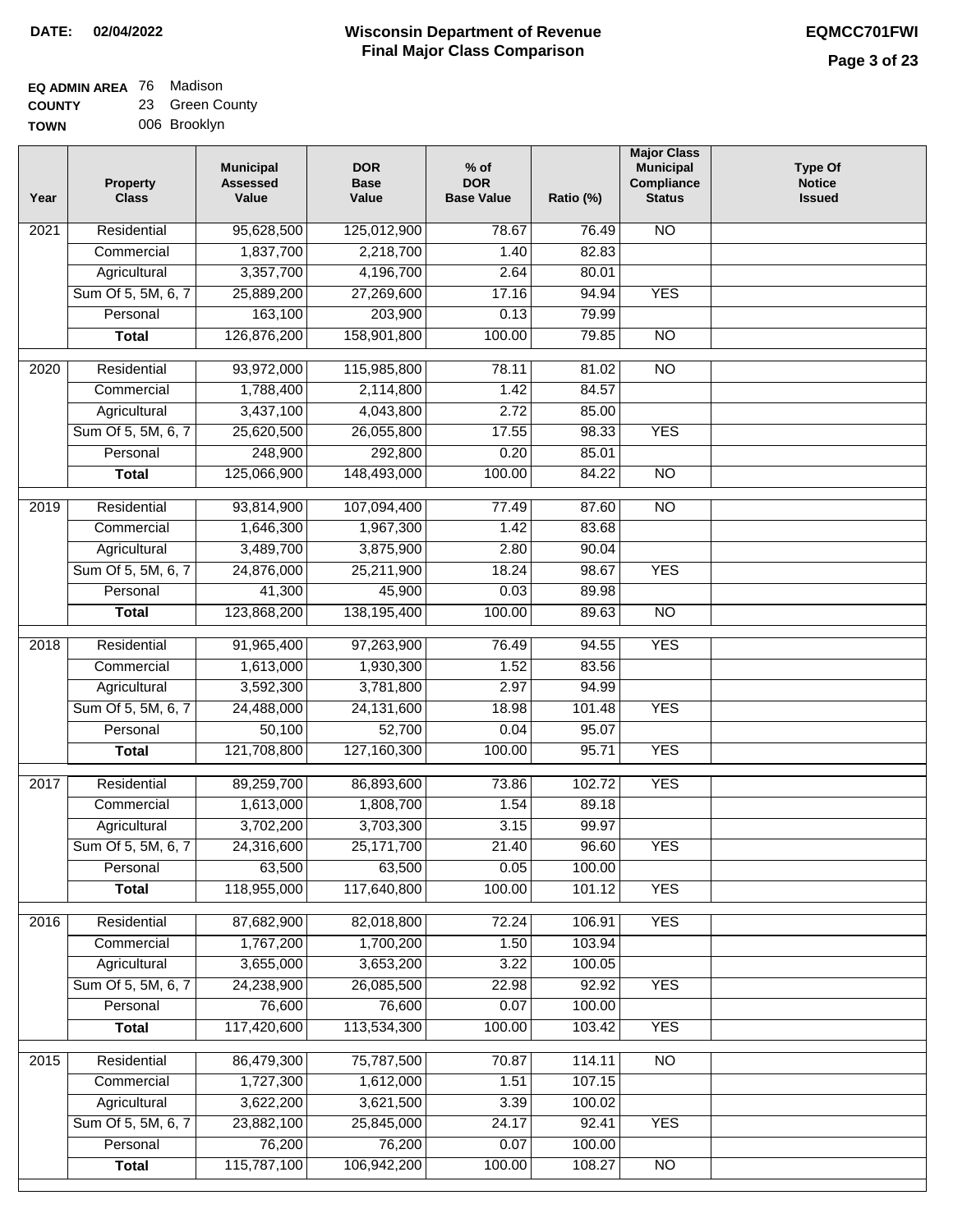**Major Class Municipal Compliance Status**

NO

YES

NO

NO

 76.49 82.83 80.01 94.94 79.99 79.85

 81.02 84.57

**Type Of Notice Issued**

| EQ ADMIN AREA 76 Madison |                      |
|--------------------------|----------------------|
| <b>COUNTY</b>            | 23 Green County      |
| T                        | <b>OOR Droo</b> klyn |

| TOWN | 006 Brooklyn                    |                                              |                                    |                                           |                      |
|------|---------------------------------|----------------------------------------------|------------------------------------|-------------------------------------------|----------------------|
| Year | <b>Property</b><br><b>Class</b> | <b>Municipal</b><br><b>Assessed</b><br>Value | <b>DOR</b><br><b>Base</b><br>Value | $%$ of<br><b>DOR</b><br><b>Base Value</b> | Ratio (%)            |
| 2021 | Residential                     | 95,628,500                                   | 125,012,900                        | 78.67                                     | 76.4                 |
|      | Commercial                      | 1,837,700                                    | 2,218,700                          | 1.40                                      | 82.8                 |
|      | Agricultural                    | 3,357,700                                    | 4,196,700                          | 2.64                                      | 80.0                 |
|      | Sum Of 5, 5M, 6, 7              | 25,889,200                                   | 27,269,600                         | 17.16                                     | 94.9                 |
|      | Personal                        | 163,100                                      | 203,900                            | 0.13                                      | 79.9                 |
|      | Total                           | 126,876,200                                  | 158,901,800                        | 100.00                                    | 79.8                 |
|      |                                 |                                              |                                    |                                           |                      |
| 2020 | Residential                     | 93,972,000                                   | 115,985,800                        | 78.11                                     | 81.0                 |
|      | Commercial                      | 1,788,400                                    | 2,114,800                          | 1.42                                      | 84.5                 |
|      | Agricultural                    | 3,437,100                                    | $\overline{4,043,800}$             | 2.72                                      | 85.0                 |
|      | Sum Of 5, 5M, 6, 7              | 25,620,500                                   | 26,055,800                         | 17.55                                     | 98.3                 |
|      | <b>D</b> - - - - - - 1          | 0.10000                                      | 000000                             | 0.00                                      | $\sim$ $\sim$ $\sim$ |

|      | Agricultural       | 3,437,100   | 4,043,800    | 2.72   | 85.00  |                 |  |
|------|--------------------|-------------|--------------|--------|--------|-----------------|--|
|      | Sum Of 5, 5M, 6, 7 | 25,620,500  | 26,055,800   | 17.55  | 98.33  | <b>YES</b>      |  |
|      | Personal           | 248,900     | 292,800      | 0.20   | 85.01  |                 |  |
|      | <b>Total</b>       | 125,066,900 | 148,493,000  | 100.00 | 84.22  | $\overline{NO}$ |  |
| 2019 | Residential        | 93,814,900  | 107,094,400  | 77.49  | 87.60  | $\overline{NO}$ |  |
|      | Commercial         | 1,646,300   | 1,967,300    | 1.42   | 83.68  |                 |  |
|      | Agricultural       | 3,489,700   | 3,875,900    | 2.80   | 90.04  |                 |  |
|      | Sum Of 5, 5M, 6, 7 | 24,876,000  | 25,211,900   | 18.24  | 98.67  | <b>YES</b>      |  |
|      | Personal           | 41,300      | 45,900       | 0.03   | 89.98  |                 |  |
|      | <b>Total</b>       | 123,868,200 | 138,195,400  | 100.00 | 89.63  | $\overline{NO}$ |  |
|      |                    |             |              |        |        |                 |  |
| 2018 | Residential        | 91,965,400  | 97,263,900   | 76.49  | 94.55  | <b>YES</b>      |  |
|      | Commercial         | 1,613,000   | 1,930,300    | 1.52   | 83.56  |                 |  |
|      | Agricultural       | 3,592,300   | 3,781,800    | 2.97   | 94.99  |                 |  |
|      | Sum Of 5, 5M, 6, 7 | 24,488,000  | 24,131,600   | 18.98  | 101.48 | <b>YES</b>      |  |
|      | Personal           | 50,100      | 52,700       | 0.04   | 95.07  |                 |  |
|      | <b>Total</b>       | 121,708,800 | 127,160,300  | 100.00 | 95.71  | <b>YES</b>      |  |
| 2017 | Residential        | 89,259,700  | 86,893,600   | 73.86  | 102.72 | <b>YES</b>      |  |
|      | Commercial         | 1,613,000   | 1,808,700    | 1.54   | 89.18  |                 |  |
|      | Agricultural       | 3,702,200   | 3,703,300    | 3.15   | 99.97  |                 |  |
|      | Sum Of 5, 5M, 6, 7 | 24,316,600  | 25, 171, 700 | 21.40  | 96.60  | <b>YES</b>      |  |
|      | Personal           | 63,500      | 63,500       | 0.05   | 100.00 |                 |  |
|      | <b>Total</b>       | 118,955,000 | 117,640,800  | 100.00 | 101.12 | <b>YES</b>      |  |
| 2016 | Residential        | 87,682,900  | 82,018,800   | 72.24  | 106.91 | <b>YES</b>      |  |
|      | Commercial         | 1,767,200   | 1,700,200    | 1.50   | 103.94 |                 |  |
|      | Agricultural       | 3,655,000   | 3,653,200    | 3.22   | 100.05 |                 |  |
|      | Sum Of 5, 5M, 6, 7 | 24,238,900  | 26,085,500   | 22.98  | 92.92  | <b>YES</b>      |  |
|      | Personal           | 76,600      | 76,600       | 0.07   | 100.00 |                 |  |
|      | <b>Total</b>       | 117,420,600 | 113,534,300  | 100.00 | 103.42 | <b>YES</b>      |  |
|      |                    |             |              |        |        |                 |  |
| 2015 | Residential        | 86,479,300  | 75,787,500   | 70.87  | 114.11 | NO              |  |
|      | Commercial         | 1,727,300   | 1,612,000    | 1.51   | 107.15 |                 |  |
|      | Agricultural       | 3,622,200   | 3,621,500    | 3.39   | 100.02 |                 |  |
|      | Sum Of 5, 5M, 6, 7 | 23,882,100  | 25,845,000   | 24.17  | 92.41  | <b>YES</b>      |  |
|      | Personal           | 76,200      | 76,200       | 0.07   | 100.00 |                 |  |
|      | <b>Total</b>       | 115,787,100 | 106,942,200  | 100.00 | 108.27 | $\overline{NO}$ |  |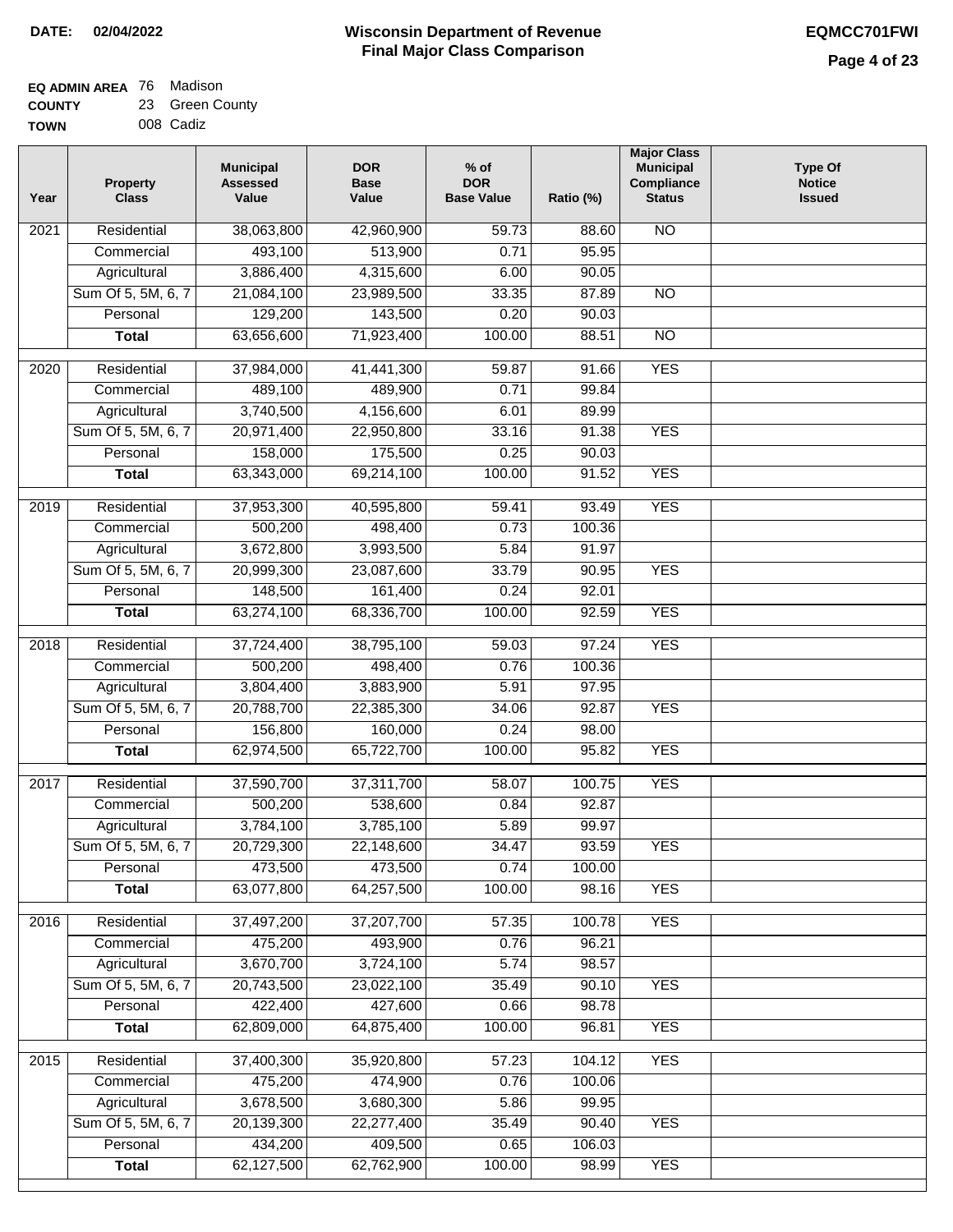| <b>EQ ADMIN AREA 76 Madison</b> |                 |
|---------------------------------|-----------------|
| <b>COUNTY</b>                   | 23 Green County |

**TOWN** 008 Cadiz

| Year              | <b>Property</b><br><b>Class</b> | <b>Municipal</b><br><b>Assessed</b><br>Value | <b>DOR</b><br><b>Base</b><br>Value | % of<br><b>DOR</b><br><b>Base Value</b> | Ratio (%)      | <b>Major Class</b><br><b>Municipal</b><br>Compliance<br><b>Status</b> | <b>Type Of</b><br><b>Notice</b><br><b>Issued</b> |
|-------------------|---------------------------------|----------------------------------------------|------------------------------------|-----------------------------------------|----------------|-----------------------------------------------------------------------|--------------------------------------------------|
| $\overline{202}1$ | Residential                     | 38,063,800                                   | 42,960,900                         | 59.73                                   | 88.60          | <b>NO</b>                                                             |                                                  |
|                   | Commercial                      | 493,100                                      | 513,900                            | 0.71                                    | 95.95          |                                                                       |                                                  |
|                   | Agricultural                    | 3,886,400                                    | 4,315,600                          | 6.00                                    | 90.05          |                                                                       |                                                  |
|                   | Sum Of 5, 5M, 6, 7              | 21,084,100                                   | 23,989,500                         | 33.35                                   | 87.89          | $\overline{NO}$                                                       |                                                  |
|                   | Personal                        | 129,200                                      | 143,500                            | 0.20                                    | 90.03          |                                                                       |                                                  |
|                   | <b>Total</b>                    | 63,656,600                                   | 71,923,400                         | 100.00                                  | 88.51          | $\overline{NO}$                                                       |                                                  |
| $\overline{2020}$ | Residential                     | 37,984,000                                   | 41,441,300                         | 59.87                                   | 91.66          | <b>YES</b>                                                            |                                                  |
|                   | Commercial                      | 489,100                                      | 489,900                            | 0.71                                    | 99.84          |                                                                       |                                                  |
|                   | Agricultural                    | 3,740,500                                    | 4,156,600                          | 6.01                                    | 89.99          |                                                                       |                                                  |
|                   | Sum Of 5, 5M, 6, 7              | 20,971,400                                   | 22,950,800                         | 33.16                                   | 91.38          | <b>YES</b>                                                            |                                                  |
|                   | Personal                        | 158,000                                      | 175,500                            | 0.25                                    | 90.03          |                                                                       |                                                  |
|                   | <b>Total</b>                    | 63,343,000                                   | 69,214,100                         | 100.00                                  | 91.52          | <b>YES</b>                                                            |                                                  |
| $\frac{1}{2019}$  | Residential                     | 37,953,300                                   | 40,595,800                         | 59.41                                   | 93.49          | <b>YES</b>                                                            |                                                  |
|                   | Commercial                      | 500,200                                      | 498,400                            | 0.73                                    | 100.36         |                                                                       |                                                  |
|                   | Agricultural                    | 3,672,800                                    | 3,993,500                          | 5.84                                    | 91.97          |                                                                       |                                                  |
|                   | Sum Of 5, 5M, 6, 7              | 20,999,300                                   | 23,087,600                         | 33.79                                   | 90.95          | <b>YES</b>                                                            |                                                  |
|                   | Personal                        | 148,500                                      | 161,400                            | 0.24                                    | 92.01          |                                                                       |                                                  |
|                   | <b>Total</b>                    | 63,274,100                                   | 68,336,700                         | 100.00                                  | 92.59          | <b>YES</b>                                                            |                                                  |
|                   |                                 |                                              |                                    |                                         |                |                                                                       |                                                  |
| 2018              | Residential                     | 37,724,400                                   | 38,795,100                         | 59.03                                   | 97.24          | <b>YES</b>                                                            |                                                  |
|                   | Commercial                      | 500,200                                      | 498,400                            | 0.76                                    | 100.36         |                                                                       |                                                  |
|                   | Agricultural                    | 3,804,400                                    | 3,883,900                          | 5.91                                    | 97.95          |                                                                       |                                                  |
|                   | Sum Of 5, 5M, 6, 7<br>Personal  | 20,788,700                                   | 22,385,300                         | 34.06<br>0.24                           | 92.87<br>98.00 | <b>YES</b>                                                            |                                                  |
|                   | <b>Total</b>                    | 156,800<br>62,974,500                        | 160,000<br>65,722,700              | 100.00                                  | 95.82          | <b>YES</b>                                                            |                                                  |
|                   |                                 |                                              |                                    |                                         |                |                                                                       |                                                  |
| $\overline{2017}$ | Residential                     | 37,590,700                                   | 37,311,700                         | 58.07                                   | 100.75         | <b>YES</b>                                                            |                                                  |
|                   | Commercial                      | 500,200                                      | 538,600                            | 0.84                                    | 92.87          |                                                                       |                                                  |
|                   | Agricultural                    | 3,784,100                                    | 3,785,100                          | 5.89                                    | 99.97          |                                                                       |                                                  |
|                   | Sum Of 5, 5M, 6, 7              | 20,729,300                                   | 22,148,600                         | 34.47                                   | 93.59          | <b>YES</b>                                                            |                                                  |
|                   | Personal                        | 473,500                                      | 473,500                            | 0.74                                    | 100.00         |                                                                       |                                                  |
|                   | <b>Total</b>                    | 63,077,800                                   | 64,257,500                         | 100.00                                  | 98.16          | <b>YES</b>                                                            |                                                  |
| 2016              | Residential                     | 37,497,200                                   | 37,207,700                         | 57.35                                   | 100.78         | <b>YES</b>                                                            |                                                  |
|                   | Commercial                      | 475,200                                      | 493,900                            | 0.76                                    | 96.21          |                                                                       |                                                  |
|                   | Agricultural                    | 3,670,700                                    | 3,724,100                          | 5.74                                    | 98.57          |                                                                       |                                                  |
|                   | Sum Of 5, 5M, 6, 7              | 20,743,500                                   | 23,022,100                         | 35.49                                   | 90.10          | <b>YES</b>                                                            |                                                  |
|                   | Personal                        | 422,400                                      | 427,600                            | 0.66                                    | 98.78          |                                                                       |                                                  |
|                   | <b>Total</b>                    | 62,809,000                                   | 64,875,400                         | 100.00                                  | 96.81          | <b>YES</b>                                                            |                                                  |
| 2015              | Residential                     | 37,400,300                                   | 35,920,800                         | 57.23                                   | 104.12         | <b>YES</b>                                                            |                                                  |
|                   | Commercial                      | 475,200                                      | 474,900                            | 0.76                                    | 100.06         |                                                                       |                                                  |
|                   | Agricultural                    | 3,678,500                                    | 3,680,300                          | 5.86                                    | 99.95          |                                                                       |                                                  |
|                   | Sum Of 5, 5M, 6, 7              | 20,139,300                                   | 22,277,400                         | 35.49                                   | 90.40          | <b>YES</b>                                                            |                                                  |
|                   | Personal                        | 434,200                                      | 409,500                            | 0.65                                    | 106.03         |                                                                       |                                                  |
|                   | <b>Total</b>                    | 62,127,500                                   | 62,762,900                         | 100.00                                  | 98.99          | <b>YES</b>                                                            |                                                  |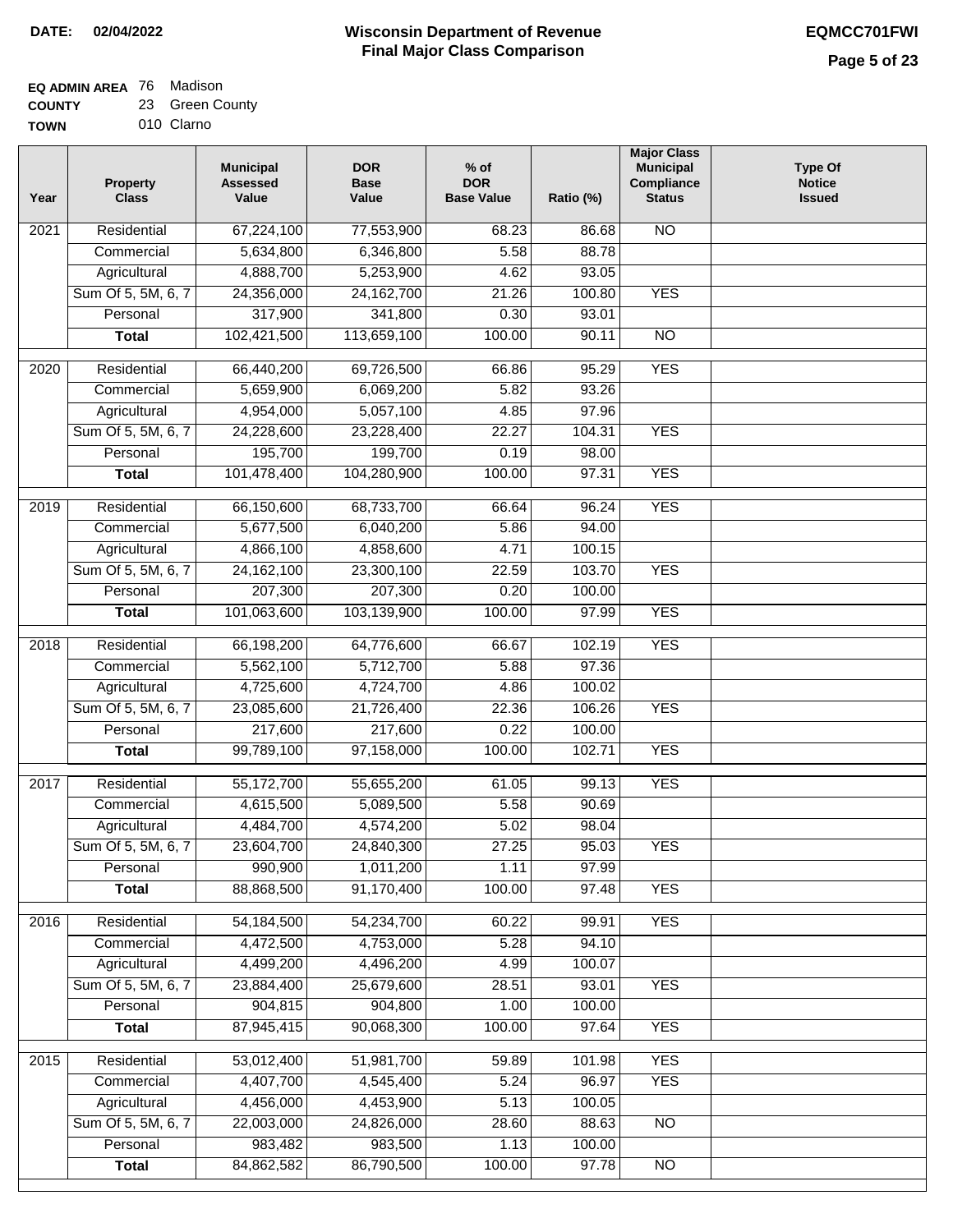#### **EQ ADMIN AREA** 76 Madison **COUNTY** 23 Green County

**TOWN** 010 Clarno

| Year              | <b>Property</b><br><b>Class</b> | <b>Municipal</b><br><b>Assessed</b><br>Value | <b>DOR</b><br><b>Base</b><br>Value | $%$ of<br><b>DOR</b><br><b>Base Value</b> | Ratio (%)       | <b>Major Class</b><br><b>Municipal</b><br>Compliance<br><b>Status</b> | <b>Type Of</b><br><b>Notice</b><br><b>Issued</b> |
|-------------------|---------------------------------|----------------------------------------------|------------------------------------|-------------------------------------------|-----------------|-----------------------------------------------------------------------|--------------------------------------------------|
| 2021              | Residential                     | 67,224,100                                   | 77,553,900                         | 68.23                                     | 86.68           | <b>NO</b>                                                             |                                                  |
|                   | Commercial                      | 5,634,800                                    | 6,346,800                          | 5.58                                      | 88.78           |                                                                       |                                                  |
|                   | Agricultural                    | 4,888,700                                    | 5,253,900                          | 4.62                                      | 93.05           |                                                                       |                                                  |
|                   | Sum Of 5, 5M, 6, 7              | 24,356,000                                   | 24, 162, 700                       | 21.26                                     | 100.80          | <b>YES</b>                                                            |                                                  |
|                   | Personal                        | 317,900                                      | 341,800                            | 0.30                                      | 93.01           |                                                                       |                                                  |
|                   | <b>Total</b>                    | 102,421,500                                  | 113,659,100                        | 100.00                                    | 90.11           | $\overline{NO}$                                                       |                                                  |
| $\overline{2020}$ | Residential                     | 66,440,200                                   | 69,726,500                         | 66.86                                     | 95.29           | <b>YES</b>                                                            |                                                  |
|                   | Commercial                      | 5,659,900                                    | 6,069,200                          | 5.82                                      | 93.26           |                                                                       |                                                  |
|                   | Agricultural                    | 4,954,000                                    | 5,057,100                          | 4.85                                      | 97.96           |                                                                       |                                                  |
|                   | Sum Of 5, 5M, 6, 7              | 24,228,600                                   | 23,228,400                         | 22.27                                     | 104.31          | <b>YES</b>                                                            |                                                  |
|                   | Personal                        | 195,700                                      | 199,700                            | 0.19                                      | 98.00           |                                                                       |                                                  |
|                   | <b>Total</b>                    | 101,478,400                                  | 104,280,900                        | 100.00                                    | 97.31           | <b>YES</b>                                                            |                                                  |
| 2019              | Residential                     | 66,150,600                                   | 68,733,700                         | 66.64                                     | 96.24           | <b>YES</b>                                                            |                                                  |
|                   | Commercial                      | 5,677,500                                    | 6,040,200                          | 5.86                                      | 94.00           |                                                                       |                                                  |
|                   | Agricultural                    | 4,866,100                                    | 4,858,600                          | 4.71                                      | 100.15          |                                                                       |                                                  |
|                   | Sum Of 5, 5M, 6, 7              | 24, 162, 100                                 | 23,300,100                         | 22.59                                     | 103.70          | <b>YES</b>                                                            |                                                  |
|                   | Personal                        | 207,300                                      | 207,300                            | 0.20                                      | 100.00          |                                                                       |                                                  |
|                   |                                 | 101,063,600                                  | 103,139,900                        | 100.00                                    | 97.99           | <b>YES</b>                                                            |                                                  |
|                   | <b>Total</b>                    |                                              |                                    |                                           |                 |                                                                       |                                                  |
| 2018              | Residential                     | 66,198,200                                   | 64,776,600                         | 66.67                                     | 102.19          | <b>YES</b>                                                            |                                                  |
|                   | Commercial                      | 5,562,100                                    | 5,712,700                          | 5.88                                      | 97.36           |                                                                       |                                                  |
|                   | Agricultural                    | 4,725,600                                    | 4,724,700                          | 4.86                                      | 100.02          |                                                                       |                                                  |
|                   | Sum Of 5, 5M, 6, 7              | 23,085,600                                   | 21,726,400                         | 22.36                                     | 106.26          | <b>YES</b>                                                            |                                                  |
|                   | Personal                        | 217,600                                      | 217,600                            | 0.22                                      | 100.00          |                                                                       |                                                  |
|                   | <b>Total</b>                    | 99,789,100                                   | 97,158,000                         | 100.00                                    | 102.71          | <b>YES</b>                                                            |                                                  |
| 2017              | Residential                     | 55,172,700                                   | 55,655,200                         | 61.05                                     | 99.13           | <b>YES</b>                                                            |                                                  |
|                   | Commercial                      | 4,615,500                                    | 5,089,500                          | 5.58                                      | 90.69           |                                                                       |                                                  |
|                   | Agricultural                    | 4,484,700                                    | 4,574,200                          | 5.02                                      | 98.04           |                                                                       |                                                  |
|                   | Sum Of 5, 5M, 6, 7              | 23,604,700                                   | 24,840,300                         | 27.25                                     | 95.03           | <b>YES</b>                                                            |                                                  |
|                   | Personal                        | 990,900                                      | 1,011,200                          | 1.11                                      | 97.99           |                                                                       |                                                  |
|                   | <b>Total</b>                    | 88,868,500                                   | 91,170,400                         | 100.00                                    | 97.48           | <b>YES</b>                                                            |                                                  |
| 2016              | Residential                     | 54, 184, 500                                 | 54,234,700                         | 60.22                                     | 99.91           | <b>YES</b>                                                            |                                                  |
|                   | Commercial                      | 4,472,500                                    | 4,753,000                          | 5.28                                      | 94.10           |                                                                       |                                                  |
|                   | Agricultural                    | 4,499,200                                    | 4,496,200                          | 4.99                                      | 100.07          |                                                                       |                                                  |
|                   | Sum Of 5, 5M, 6, 7              | 23,884,400                                   | 25,679,600                         | 28.51                                     | 93.01           | <b>YES</b>                                                            |                                                  |
|                   | Personal                        | 904,815                                      | 904,800                            | 1.00                                      | 100.00          |                                                                       |                                                  |
|                   | <b>Total</b>                    | 87,945,415                                   | 90,068,300                         | 100.00                                    | 97.64           | <b>YES</b>                                                            |                                                  |
|                   |                                 |                                              |                                    |                                           |                 |                                                                       |                                                  |
| 2015              | Residential                     | 53,012,400                                   | 51,981,700                         | 59.89                                     | 101.98          | <b>YES</b>                                                            |                                                  |
|                   | Commercial                      | 4,407,700                                    | 4,545,400                          | 5.24                                      | 96.97           | <b>YES</b>                                                            |                                                  |
|                   | Agricultural                    | 4,456,000                                    | 4,453,900                          | 5.13                                      | 100.05          |                                                                       |                                                  |
|                   | Sum Of 5, 5M, 6, 7<br>Personal  | 22,003,000<br>983,482                        | 24,826,000<br>983,500              | 28.60<br>1.13                             | 88.63<br>100.00 | $\overline{NO}$                                                       |                                                  |
|                   | <b>Total</b>                    | 84,862,582                                   | 86,790,500                         | 100.00                                    | 97.78           | N <sub>O</sub>                                                        |                                                  |
|                   |                                 |                                              |                                    |                                           |                 |                                                                       |                                                  |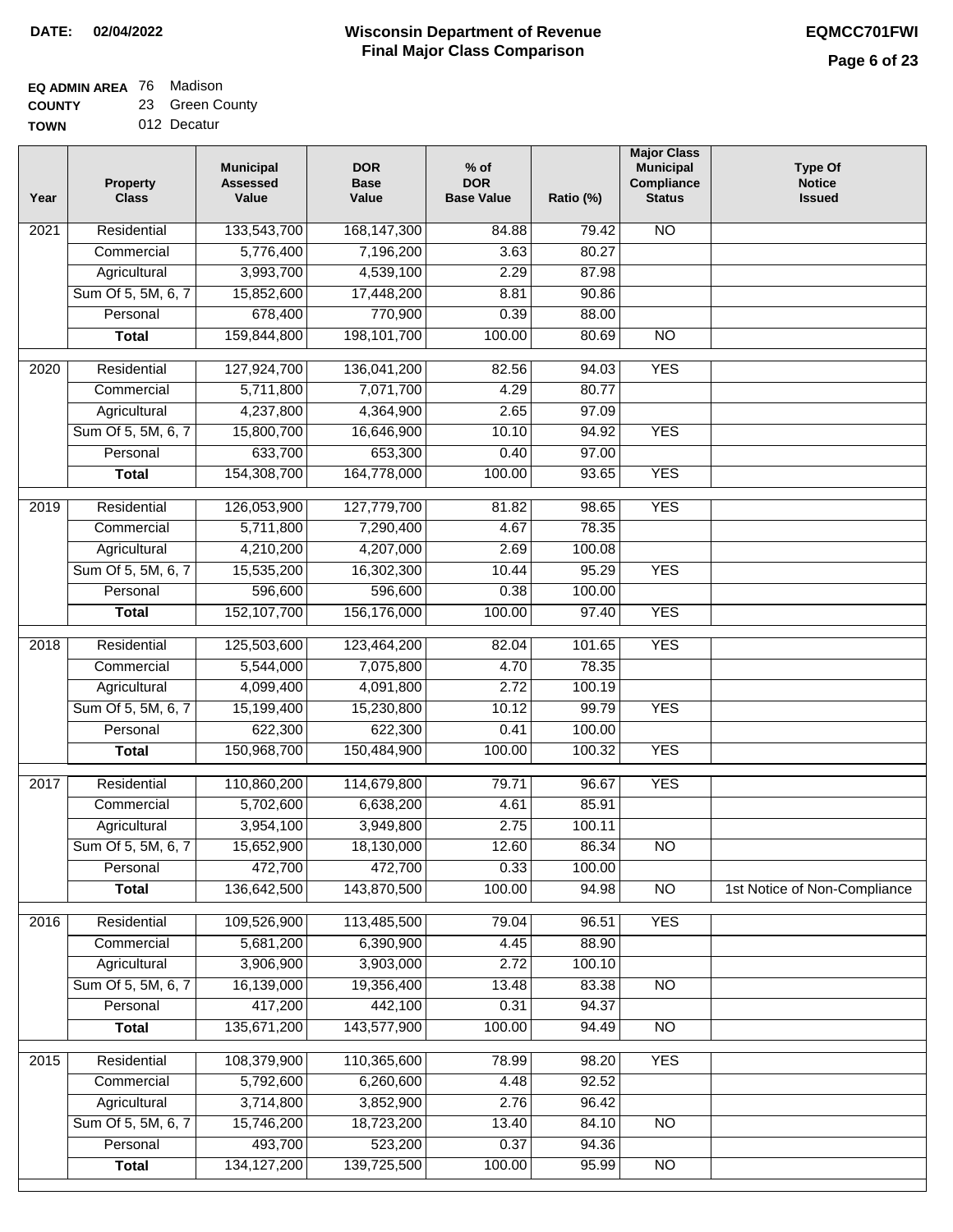# **EQ ADMIN AREA** 76 Madison

**COUNTY TOWN** 23 Green County

| uı m | ້ | טוסטוע      |
|------|---|-------------|
| N    |   | 012 Decatur |

| Year              | <b>Property</b><br><b>Class</b> | <b>Municipal</b><br><b>Assessed</b><br>Value | <b>DOR</b><br><b>Base</b><br>Value | $%$ of<br><b>DOR</b><br><b>Base Value</b> | Ratio (%)       | <b>Major Class</b><br><b>Municipal</b><br>Compliance<br><b>Status</b> | <b>Type Of</b><br><b>Notice</b><br><b>Issued</b> |
|-------------------|---------------------------------|----------------------------------------------|------------------------------------|-------------------------------------------|-----------------|-----------------------------------------------------------------------|--------------------------------------------------|
| 2021              | Residential                     | 133,543,700                                  | 168, 147, 300                      | 84.88                                     | 79.42           | <b>NO</b>                                                             |                                                  |
|                   | Commercial                      | 5,776,400                                    | 7,196,200                          | 3.63                                      | 80.27           |                                                                       |                                                  |
|                   | Agricultural                    | 3,993,700                                    | 4,539,100                          | 2.29                                      | 87.98           |                                                                       |                                                  |
|                   | Sum Of 5, 5M, 6, 7              | 15,852,600                                   | 17,448,200                         | 8.81                                      | 90.86           |                                                                       |                                                  |
|                   | Personal                        | 678,400                                      | 770,900                            | 0.39                                      | 88.00           |                                                                       |                                                  |
|                   | <b>Total</b>                    | 159,844,800                                  | 198, 101, 700                      | 100.00                                    | 80.69           | $\overline{NO}$                                                       |                                                  |
| $\overline{20}20$ | Residential                     | 127,924,700                                  | 136,041,200                        | 82.56                                     | 94.03           | <b>YES</b>                                                            |                                                  |
|                   | Commercial                      | 5,711,800                                    | 7,071,700                          | 4.29                                      | 80.77           |                                                                       |                                                  |
|                   | Agricultural                    | 4,237,800                                    | 4,364,900                          | 2.65                                      | 97.09           |                                                                       |                                                  |
|                   | Sum Of 5, 5M, 6, 7              | 15,800,700                                   | 16,646,900                         | 10.10                                     | 94.92           | <b>YES</b>                                                            |                                                  |
|                   | Personal                        | 633,700                                      | 653,300                            | 0.40                                      | 97.00           |                                                                       |                                                  |
|                   | <b>Total</b>                    | 154,308,700                                  | 164,778,000                        | 100.00                                    | 93.65           | <b>YES</b>                                                            |                                                  |
| $\frac{1}{2019}$  | Residential                     | 126,053,900                                  | 127,779,700                        | 81.82                                     | 98.65           | <b>YES</b>                                                            |                                                  |
|                   | Commercial                      | 5,711,800                                    | 7,290,400                          | 4.67                                      | 78.35           |                                                                       |                                                  |
|                   | Agricultural                    | 4,210,200                                    | 4,207,000                          | 2.69                                      | 100.08          |                                                                       |                                                  |
|                   | Sum Of 5, 5M, 6, 7              | 15,535,200                                   | 16,302,300                         | 10.44                                     | 95.29           | <b>YES</b>                                                            |                                                  |
|                   | Personal                        | 596,600                                      | 596,600                            | 0.38                                      | 100.00          |                                                                       |                                                  |
|                   | <b>Total</b>                    | 152,107,700                                  | 156,176,000                        | 100.00                                    | 97.40           | <b>YES</b>                                                            |                                                  |
|                   |                                 |                                              |                                    |                                           |                 |                                                                       |                                                  |
| 2018              | Residential<br>Commercial       | 125,503,600<br>5,544,000                     | 123,464,200<br>7,075,800           | 82.04<br>4.70                             | 101.65<br>78.35 | <b>YES</b>                                                            |                                                  |
|                   | Agricultural                    | 4,099,400                                    | 4,091,800                          | 2.72                                      | 100.19          |                                                                       |                                                  |
|                   | Sum Of 5, 5M, 6, 7              | 15,199,400                                   | 15,230,800                         | 10.12                                     | 99.79           | <b>YES</b>                                                            |                                                  |
|                   | Personal                        | 622,300                                      | 622,300                            | 0.41                                      | 100.00          |                                                                       |                                                  |
|                   | <b>Total</b>                    | 150,968,700                                  | 150,484,900                        | 100.00                                    | 100.32          | <b>YES</b>                                                            |                                                  |
|                   |                                 |                                              |                                    |                                           |                 |                                                                       |                                                  |
| 2017              | Residential                     | 110,860,200                                  | 114,679,800                        | 79.71                                     | 96.67           | <b>YES</b>                                                            |                                                  |
|                   | Commercial                      | 5,702,600                                    | 6,638,200                          | 4.61                                      | 85.91           |                                                                       |                                                  |
|                   | Agricultural                    | 3,954,100                                    | 3,949,800                          | 2.75                                      | 100.11          |                                                                       |                                                  |
|                   | Sum Of 5, 5M, 6, 7              | 15,652,900                                   | 18,130,000                         | 12.60                                     | 86.34           | $\overline{N}$                                                        |                                                  |
|                   | Personal                        | 472,700                                      | 472,700                            | 0.33                                      | 100.00          |                                                                       |                                                  |
|                   | <b>Total</b>                    | 136,642,500                                  | 143,870,500                        | 100.00                                    | 94.98           | $\overline{NO}$                                                       | 1st Notice of Non-Compliance                     |
| 2016              | Residential                     | 109,526,900                                  | 113,485,500                        | 79.04                                     | 96.51           | <b>YES</b>                                                            |                                                  |
|                   | Commercial                      | 5,681,200                                    | 6,390,900                          | 4.45                                      | 88.90           |                                                                       |                                                  |
|                   | Agricultural                    | 3,906,900                                    | 3,903,000                          | 2.72                                      | 100.10          |                                                                       |                                                  |
|                   | Sum Of 5, 5M, 6, 7              | 16,139,000                                   | 19,356,400                         | 13.48                                     | 83.38           | <b>NO</b>                                                             |                                                  |
|                   | Personal                        | 417,200                                      | 442,100                            | 0.31                                      | 94.37           |                                                                       |                                                  |
|                   | <b>Total</b>                    | 135,671,200                                  | 143,577,900                        | 100.00                                    | 94.49           | N <sub>O</sub>                                                        |                                                  |
| 2015              | Residential                     | 108,379,900                                  | 110,365,600                        | 78.99                                     | 98.20           | <b>YES</b>                                                            |                                                  |
|                   | Commercial                      | 5,792,600                                    | 6,260,600                          | 4.48                                      | 92.52           |                                                                       |                                                  |
|                   | Agricultural                    | 3,714,800                                    | 3,852,900                          | 2.76                                      | 96.42           |                                                                       |                                                  |
|                   | Sum Of 5, 5M, 6, 7              | 15,746,200                                   | 18,723,200                         | 13.40                                     | 84.10           | <b>NO</b>                                                             |                                                  |
|                   | Personal                        | 493,700                                      | 523,200                            | 0.37                                      | 94.36           |                                                                       |                                                  |
|                   | <b>Total</b>                    | 134, 127, 200                                | 139,725,500                        | 100.00                                    | 95.99           | $\overline{NO}$                                                       |                                                  |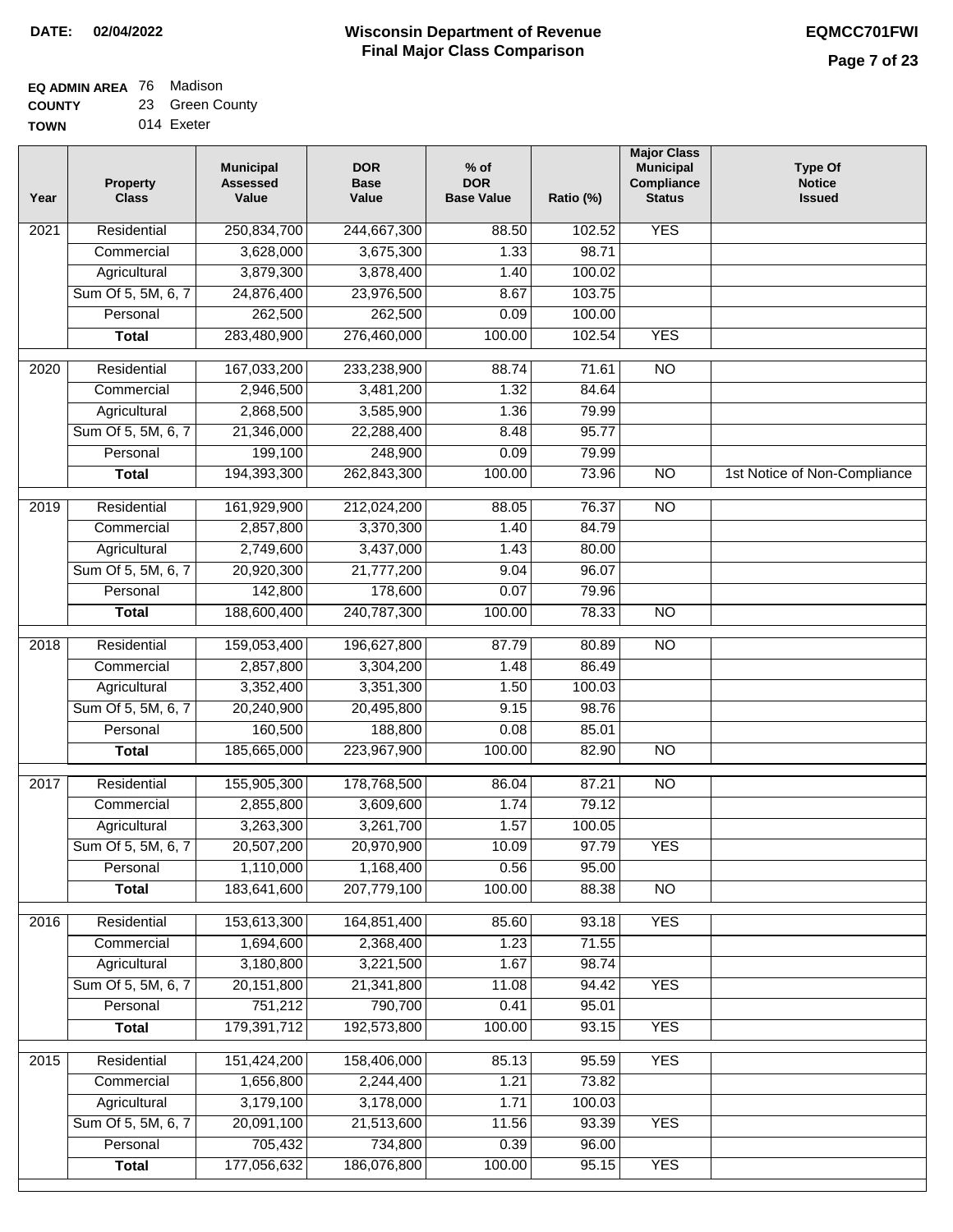#### **EQ ADMIN AREA** 76 Madison **COUNTY** 23 Green County

**TOWN** 014 Exeter

| Year              | <b>Property</b><br><b>Class</b> | <b>Municipal</b><br><b>Assessed</b><br>Value | <b>DOR</b><br><b>Base</b><br>Value | $%$ of<br><b>DOR</b><br><b>Base Value</b> | Ratio (%) | <b>Major Class</b><br><b>Municipal</b><br>Compliance<br><b>Status</b> | <b>Type Of</b><br><b>Notice</b><br><b>Issued</b> |
|-------------------|---------------------------------|----------------------------------------------|------------------------------------|-------------------------------------------|-----------|-----------------------------------------------------------------------|--------------------------------------------------|
| 2021              | Residential                     | 250,834,700                                  | 244,667,300                        | 88.50                                     | 102.52    | <b>YES</b>                                                            |                                                  |
|                   | Commercial                      | 3,628,000                                    | 3,675,300                          | 1.33                                      | 98.71     |                                                                       |                                                  |
|                   | Agricultural                    | 3,879,300                                    | 3,878,400                          | 1.40                                      | 100.02    |                                                                       |                                                  |
|                   | Sum Of 5, 5M, 6, 7              | 24,876,400                                   | 23,976,500                         | 8.67                                      | 103.75    |                                                                       |                                                  |
|                   | Personal                        | 262,500                                      | 262,500                            | 0.09                                      | 100.00    |                                                                       |                                                  |
|                   | <b>Total</b>                    | 283,480,900                                  | 276,460,000                        | 100.00                                    | 102.54    | <b>YES</b>                                                            |                                                  |
| $\overline{2020}$ | Residential                     | 167,033,200                                  | 233,238,900                        | 88.74                                     | 71.61     | $\overline{10}$                                                       |                                                  |
|                   | Commercial                      | 2,946,500                                    | 3,481,200                          | 1.32                                      | 84.64     |                                                                       |                                                  |
|                   | Agricultural                    | 2,868,500                                    | 3,585,900                          | 1.36                                      | 79.99     |                                                                       |                                                  |
|                   | Sum Of 5, 5M, 6, 7              | 21,346,000                                   | 22,288,400                         | 8.48                                      | 95.77     |                                                                       |                                                  |
|                   | Personal                        | 199,100                                      | 248,900                            | 0.09                                      | 79.99     |                                                                       |                                                  |
|                   | <b>Total</b>                    | 194,393,300                                  | 262,843,300                        | 100.00                                    | 73.96     | $\overline{NO}$                                                       | 1st Notice of Non-Compliance                     |
| 2019              | Residential                     | 161,929,900                                  | 212,024,200                        | 88.05                                     | 76.37     | $\overline{NO}$                                                       |                                                  |
|                   | Commercial                      | 2,857,800                                    | 3,370,300                          | 1.40                                      | 84.79     |                                                                       |                                                  |
|                   | Agricultural                    | 2,749,600                                    | 3,437,000                          | 1.43                                      | 80.00     |                                                                       |                                                  |
|                   | Sum Of 5, 5M, 6, 7              | 20,920,300                                   | 21,777,200                         | 9.04                                      | 96.07     |                                                                       |                                                  |
|                   | Personal                        | 142,800                                      | 178,600                            | 0.07                                      | 79.96     |                                                                       |                                                  |
|                   | <b>Total</b>                    | 188,600,400                                  | 240,787,300                        | 100.00                                    | 78.33     | $\overline{NO}$                                                       |                                                  |
| 2018              | Residential                     | 159,053,400                                  | 196,627,800                        | 87.79                                     | 80.89     | N <sub>O</sub>                                                        |                                                  |
|                   | Commercial                      | 2,857,800                                    | 3,304,200                          | 1.48                                      | 86.49     |                                                                       |                                                  |
|                   | Agricultural                    | 3,352,400                                    | 3,351,300                          | 1.50                                      | 100.03    |                                                                       |                                                  |
|                   | Sum Of 5, 5M, 6, 7              | 20,240,900                                   | 20,495,800                         | 9.15                                      | 98.76     |                                                                       |                                                  |
|                   | Personal                        | 160,500                                      | 188,800                            | 0.08                                      | 85.01     |                                                                       |                                                  |
|                   | <b>Total</b>                    | 185,665,000                                  | 223,967,900                        | 100.00                                    | 82.90     | <b>NO</b>                                                             |                                                  |
| $\overline{2017}$ | Residential                     | 155,905,300                                  | 178,768,500                        | 86.04                                     | 87.21     | $\overline{NO}$                                                       |                                                  |
|                   | Commercial                      | 2,855,800                                    | 3,609,600                          | 1.74                                      | 79.12     |                                                                       |                                                  |
|                   | Agricultural                    | 3,263,300                                    | 3,261,700                          | 1.57                                      | 100.05    |                                                                       |                                                  |
|                   | Sum Of 5, 5M, 6, 7              | 20,507,200                                   | 20,970,900                         | 10.09                                     | 97.79     | <b>YES</b>                                                            |                                                  |
|                   | Personal                        | 1,110,000                                    | 1,168,400                          | 0.56                                      | 95.00     |                                                                       |                                                  |
|                   | <b>Total</b>                    | 183,641,600                                  | 207,779,100                        | 100.00                                    | 88.38     | <b>NO</b>                                                             |                                                  |
| 2016              | Residential                     | 153,613,300                                  | 164,851,400                        | 85.60                                     | 93.18     | <b>YES</b>                                                            |                                                  |
|                   | Commercial                      | 1,694,600                                    | 2,368,400                          | 1.23                                      | 71.55     |                                                                       |                                                  |
|                   | Agricultural                    | 3,180,800                                    | 3,221,500                          | 1.67                                      | 98.74     |                                                                       |                                                  |
|                   | Sum Of 5, 5M, 6, 7              | 20,151,800                                   | 21,341,800                         | 11.08                                     | 94.42     | <b>YES</b>                                                            |                                                  |
|                   | Personal                        | 751,212                                      | 790,700                            | 0.41                                      | 95.01     |                                                                       |                                                  |
|                   | <b>Total</b>                    | 179,391,712                                  | 192,573,800                        | 100.00                                    | 93.15     | <b>YES</b>                                                            |                                                  |
| 2015              | Residential                     | 151,424,200                                  | 158,406,000                        | 85.13                                     | 95.59     | <b>YES</b>                                                            |                                                  |
|                   | Commercial                      | 1,656,800                                    | 2,244,400                          | 1.21                                      | 73.82     |                                                                       |                                                  |
|                   | Agricultural                    | 3,179,100                                    | 3,178,000                          | 1.71                                      | 100.03    |                                                                       |                                                  |
|                   | Sum Of 5, 5M, 6, 7              | 20,091,100                                   | 21,513,600                         | 11.56                                     | 93.39     | <b>YES</b>                                                            |                                                  |
|                   | Personal                        | 705,432                                      | 734,800                            | 0.39                                      | 96.00     |                                                                       |                                                  |
|                   | <b>Total</b>                    | 177,056,632                                  | 186,076,800                        | 100.00                                    | 95.15     | <b>YES</b>                                                            |                                                  |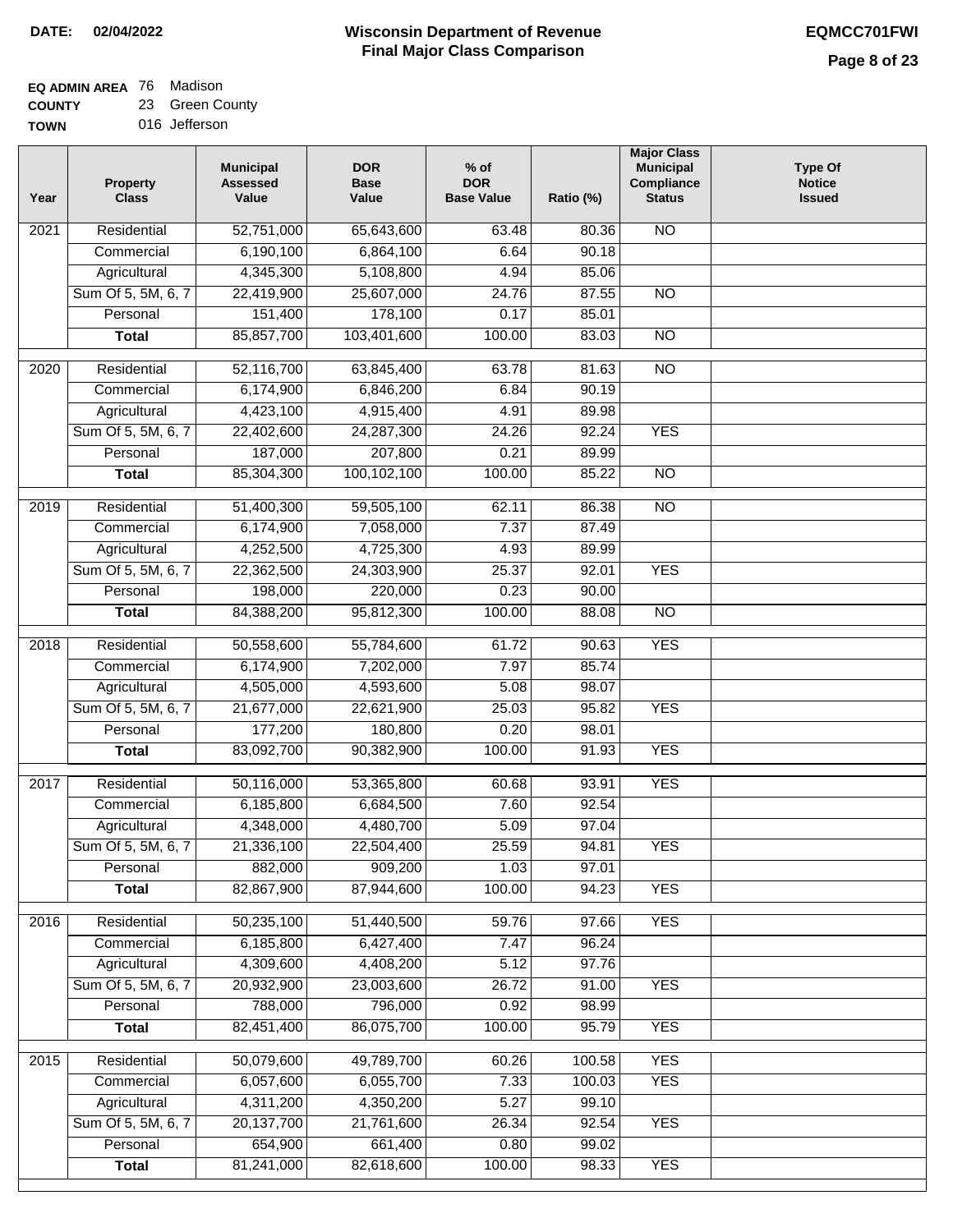#### **EQ ADMIN AREA** 76 Madison **COUNTY** 23 Green County

**TOWN** 016 Jefferson

| Year              | <b>Property</b><br><b>Class</b> | <b>Municipal</b><br><b>Assessed</b><br>Value | <b>DOR</b><br><b>Base</b><br>Value | $%$ of<br><b>DOR</b><br><b>Base Value</b> | Ratio (%) | <b>Major Class</b><br><b>Municipal</b><br>Compliance<br><b>Status</b> | <b>Type Of</b><br><b>Notice</b><br><b>Issued</b> |
|-------------------|---------------------------------|----------------------------------------------|------------------------------------|-------------------------------------------|-----------|-----------------------------------------------------------------------|--------------------------------------------------|
| 2021              | Residential                     | 52,751,000                                   | 65,643,600                         | 63.48                                     | 80.36     | <b>NO</b>                                                             |                                                  |
|                   | Commercial                      | 6,190,100                                    | 6,864,100                          | 6.64                                      | 90.18     |                                                                       |                                                  |
|                   | Agricultural                    | 4,345,300                                    | 5,108,800                          | 4.94                                      | 85.06     |                                                                       |                                                  |
|                   | Sum Of 5, 5M, 6, 7              | 22,419,900                                   | 25,607,000                         | 24.76                                     | 87.55     | $\overline{NO}$                                                       |                                                  |
|                   | Personal                        | 151,400                                      | 178,100                            | 0.17                                      | 85.01     |                                                                       |                                                  |
|                   | <b>Total</b>                    | 85,857,700                                   | 103,401,600                        | 100.00                                    | 83.03     | $\overline{NO}$                                                       |                                                  |
| $\overline{2020}$ | Residential                     | 52,116,700                                   | 63,845,400                         | 63.78                                     | 81.63     | $\overline{NO}$                                                       |                                                  |
|                   | Commercial                      | 6,174,900                                    | 6,846,200                          | 6.84                                      | 90.19     |                                                                       |                                                  |
|                   | Agricultural                    | 4,423,100                                    | 4,915,400                          | 4.91                                      | 89.98     |                                                                       |                                                  |
|                   | Sum Of 5, 5M, 6, 7              | 22,402,600                                   | 24,287,300                         | 24.26                                     | 92.24     | <b>YES</b>                                                            |                                                  |
|                   | Personal                        | 187,000                                      | 207,800                            | 0.21                                      | 89.99     |                                                                       |                                                  |
|                   | <b>Total</b>                    | 85,304,300                                   | 100,102,100                        | 100.00                                    | 85.22     | <b>NO</b>                                                             |                                                  |
| $\frac{2019}{ }$  | Residential                     | 51,400,300                                   | 59,505,100                         | 62.11                                     | 86.38     | $\overline{NO}$                                                       |                                                  |
|                   | Commercial                      | 6,174,900                                    | 7,058,000                          | 7.37                                      | 87.49     |                                                                       |                                                  |
|                   | Agricultural                    | 4,252,500                                    | 4,725,300                          | 4.93                                      | 89.99     |                                                                       |                                                  |
|                   | Sum Of 5, 5M, 6, 7              | 22,362,500                                   | 24,303,900                         | 25.37                                     | 92.01     | <b>YES</b>                                                            |                                                  |
|                   | Personal                        | 198,000                                      | 220,000                            | 0.23                                      | 90.00     |                                                                       |                                                  |
|                   | <b>Total</b>                    | 84,388,200                                   | 95,812,300                         | 100.00                                    | 88.08     | $\overline{NO}$                                                       |                                                  |
| 2018              | Residential                     | 50,558,600                                   | 55,784,600                         | 61.72                                     | 90.63     | <b>YES</b>                                                            |                                                  |
|                   | Commercial                      | 6,174,900                                    | 7,202,000                          | 7.97                                      | 85.74     |                                                                       |                                                  |
|                   | Agricultural                    | 4,505,000                                    | 4,593,600                          | 5.08                                      | 98.07     |                                                                       |                                                  |
|                   | Sum Of 5, 5M, 6, 7              | 21,677,000                                   | 22,621,900                         | 25.03                                     | 95.82     | <b>YES</b>                                                            |                                                  |
|                   | Personal                        | 177,200                                      | 180,800                            | 0.20                                      | 98.01     |                                                                       |                                                  |
|                   | <b>Total</b>                    | 83,092,700                                   | 90,382,900                         | 100.00                                    | 91.93     | <b>YES</b>                                                            |                                                  |
|                   |                                 |                                              |                                    |                                           |           |                                                                       |                                                  |
| 2017              | Residential                     | 50,116,000                                   | 53,365,800                         | 60.68                                     | 93.91     | <b>YES</b>                                                            |                                                  |
|                   | Commercial                      | 6,185,800                                    | 6,684,500                          | 7.60                                      | 92.54     |                                                                       |                                                  |
|                   | Agricultural                    | 4,348,000                                    | 4,480,700                          | 5.09                                      | 97.04     |                                                                       |                                                  |
|                   | Sum Of 5, 5M, 6, 7              | 21,336,100                                   | 22,504,400                         | 25.59                                     | 94.81     | <b>YES</b>                                                            |                                                  |
|                   | Personal                        | 882,000                                      | 909,200                            | 1.03                                      | 97.01     |                                                                       |                                                  |
|                   | <b>Total</b>                    | 82,867,900                                   | 87,944,600                         | 100.00                                    | 94.23     | <b>YES</b>                                                            |                                                  |
| 2016              | Residential                     | 50,235,100                                   | 51,440,500                         | 59.76                                     | 97.66     | <b>YES</b>                                                            |                                                  |
|                   | Commercial                      | 6,185,800                                    | 6,427,400                          | 7.47                                      | 96.24     |                                                                       |                                                  |
|                   | Agricultural                    | 4,309,600                                    | 4,408,200                          | 5.12                                      | 97.76     |                                                                       |                                                  |
|                   | Sum Of 5, 5M, 6, 7              | 20,932,900                                   | 23,003,600                         | 26.72                                     | 91.00     | <b>YES</b>                                                            |                                                  |
|                   | Personal                        | 788,000                                      | 796,000                            | 0.92                                      | 98.99     |                                                                       |                                                  |
|                   | <b>Total</b>                    | 82,451,400                                   | 86,075,700                         | 100.00                                    | 95.79     | <b>YES</b>                                                            |                                                  |
| 2015              | Residential                     | 50,079,600                                   | 49,789,700                         | 60.26                                     | 100.58    | <b>YES</b>                                                            |                                                  |
|                   | Commercial                      | 6,057,600                                    | 6,055,700                          | 7.33                                      | 100.03    | <b>YES</b>                                                            |                                                  |
|                   | Agricultural                    | 4,311,200                                    | 4,350,200                          | 5.27                                      | 99.10     |                                                                       |                                                  |
|                   | Sum Of 5, 5M, 6, 7              | 20,137,700                                   | 21,761,600                         | 26.34                                     | 92.54     | <b>YES</b>                                                            |                                                  |
|                   | Personal                        | 654,900                                      | 661,400                            | 0.80                                      | 99.02     |                                                                       |                                                  |
|                   | <b>Total</b>                    | 81,241,000                                   | 82,618,600                         | 100.00                                    | 98.33     | <b>YES</b>                                                            |                                                  |
|                   |                                 |                                              |                                    |                                           |           |                                                                       |                                                  |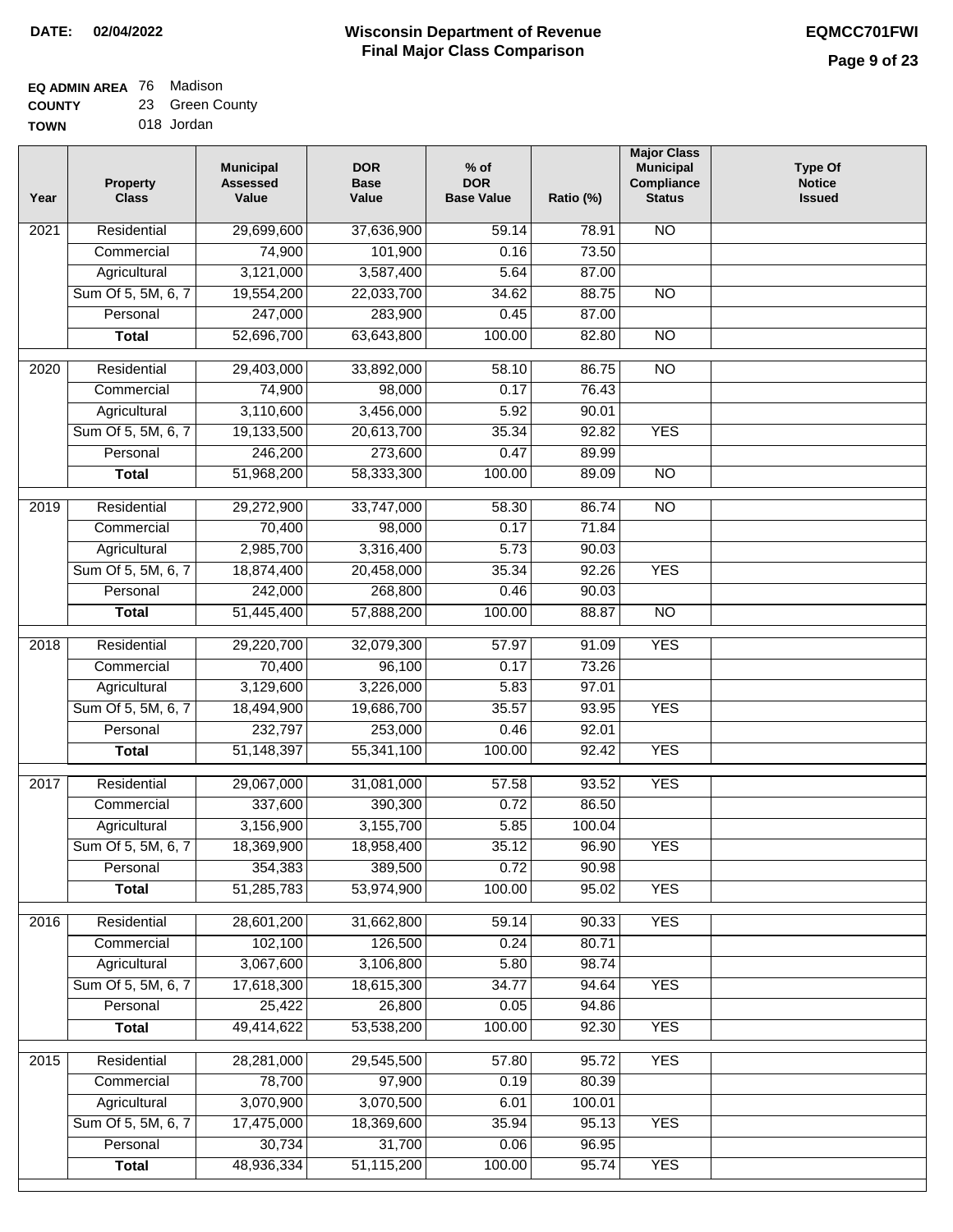#### **EQ ADMIN AREA** 76 Madison **COUNTY** 23 Green County

| <b>TOWN</b> | 018 Jordan |
|-------------|------------|
|             |            |

 $\overline{a}$ 

| Year              | <b>Property</b><br><b>Class</b>    | <b>Municipal</b><br><b>Assessed</b><br>Value | <b>DOR</b><br><b>Base</b><br>Value | $%$ of<br><b>DOR</b><br><b>Base Value</b> | Ratio (%)      | <b>Major Class</b><br><b>Municipal</b><br>Compliance<br><b>Status</b> | <b>Type Of</b><br><b>Notice</b><br><b>Issued</b> |
|-------------------|------------------------------------|----------------------------------------------|------------------------------------|-------------------------------------------|----------------|-----------------------------------------------------------------------|--------------------------------------------------|
| 2021              | Residential                        | 29,699,600                                   | 37,636,900                         | 59.14                                     | 78.91          | <b>NO</b>                                                             |                                                  |
|                   | Commercial                         | 74,900                                       | 101,900                            | 0.16                                      | 73.50          |                                                                       |                                                  |
|                   | Agricultural                       | 3,121,000                                    | 3,587,400                          | 5.64                                      | 87.00          |                                                                       |                                                  |
|                   | Sum Of 5, 5M, 6, 7                 | 19,554,200                                   | 22,033,700                         | 34.62                                     | 88.75          | $\overline{NO}$                                                       |                                                  |
|                   | Personal                           | 247,000                                      | 283,900                            | 0.45                                      | 87.00          |                                                                       |                                                  |
|                   | <b>Total</b>                       | 52,696,700                                   | 63,643,800                         | 100.00                                    | 82.80          | $\overline{NO}$                                                       |                                                  |
| $\overline{2020}$ | Residential                        | 29,403,000                                   | 33,892,000                         | 58.10                                     | 86.75          | $\overline{NO}$                                                       |                                                  |
|                   | Commercial                         | 74,900                                       | 98,000                             | 0.17                                      | 76.43          |                                                                       |                                                  |
|                   | Agricultural                       | 3,110,600                                    | 3,456,000                          | 5.92                                      | 90.01          |                                                                       |                                                  |
|                   | Sum Of 5, 5M, 6, 7                 | 19,133,500                                   | 20,613,700                         | 35.34                                     | 92.82          | <b>YES</b>                                                            |                                                  |
|                   | Personal                           | 246,200                                      | 273,600                            | 0.47                                      | 89.99          |                                                                       |                                                  |
|                   | <b>Total</b>                       | 51,968,200                                   | 58,333,300                         | 100.00                                    | 89.09          | <b>NO</b>                                                             |                                                  |
| $\frac{1}{2019}$  | Residential                        | 29,272,900                                   | 33,747,000                         | 58.30                                     | 86.74          | $\overline{NO}$                                                       |                                                  |
|                   | Commercial                         | 70,400                                       | 98,000                             | 0.17                                      | 71.84          |                                                                       |                                                  |
|                   | Agricultural                       | 2,985,700                                    | 3,316,400                          | 5.73                                      | 90.03          |                                                                       |                                                  |
|                   | Sum Of 5, 5M, 6, 7                 | 18,874,400                                   | 20,458,000                         | 35.34                                     | 92.26          | <b>YES</b>                                                            |                                                  |
|                   | Personal                           | 242,000                                      | 268,800                            | 0.46                                      | 90.03          |                                                                       |                                                  |
|                   | <b>Total</b>                       | 51,445,400                                   | 57,888,200                         | 100.00                                    | 88.87          | $\overline{NO}$                                                       |                                                  |
|                   |                                    |                                              |                                    |                                           |                |                                                                       |                                                  |
| 2018              | Residential                        | 29,220,700                                   | 32,079,300                         | 57.97                                     | 91.09          | <b>YES</b>                                                            |                                                  |
|                   | Commercial                         | 70,400                                       | 96,100                             | 0.17                                      | 73.26          |                                                                       |                                                  |
|                   | Agricultural                       | 3,129,600                                    | 3,226,000                          | 5.83                                      | 97.01          |                                                                       |                                                  |
|                   | Sum Of 5, 5M, 6, 7                 | 18,494,900                                   | 19,686,700                         | 35.57                                     | 93.95          | <b>YES</b>                                                            |                                                  |
|                   | Personal                           | 232,797                                      | 253,000                            | 0.46                                      | 92.01          |                                                                       |                                                  |
|                   | <b>Total</b>                       | 51,148,397                                   | 55,341,100                         | 100.00                                    | 92.42          | <b>YES</b>                                                            |                                                  |
| 2017              | Residential                        | 29,067,000                                   | 31,081,000                         | 57.58                                     | 93.52          | <b>YES</b>                                                            |                                                  |
|                   | Commercial                         | 337,600                                      | 390,300                            | 0.72                                      | 86.50          |                                                                       |                                                  |
|                   | Agricultural                       | 3,156,900                                    | 3,155,700                          | 5.85                                      | 100.04         |                                                                       |                                                  |
|                   | Sum Of 5, 5M, 6, 7                 | 18,369,900                                   | 18,958,400                         | 35.12                                     | 96.90          | <b>YES</b>                                                            |                                                  |
|                   | Personal                           | 354,383                                      | 389,500                            | 0.72                                      | 90.98          |                                                                       |                                                  |
|                   | <b>Total</b>                       | 51,285,783                                   | 53,974,900                         | 100.00                                    | 95.02          | <b>YES</b>                                                            |                                                  |
|                   | Residential                        |                                              |                                    | 59.14                                     | 90.33          | <b>YES</b>                                                            |                                                  |
| 2016              |                                    | 28,601,200                                   | 31,662,800                         | 0.24                                      | 80.71          |                                                                       |                                                  |
|                   | Commercial                         | 102,100                                      | 126,500                            |                                           |                |                                                                       |                                                  |
|                   | Agricultural<br>Sum Of 5, 5M, 6, 7 | 3,067,600<br>17,618,300                      | 3,106,800<br>18,615,300            | 5.80<br>34.77                             | 98.74<br>94.64 | <b>YES</b>                                                            |                                                  |
|                   | Personal                           | 25,422                                       | 26,800                             | 0.05                                      | 94.86          |                                                                       |                                                  |
|                   |                                    | 49,414,622                                   | 53,538,200                         | 100.00                                    | 92.30          | <b>YES</b>                                                            |                                                  |
|                   | <b>Total</b>                       |                                              |                                    |                                           |                |                                                                       |                                                  |
| 2015              | Residential                        | 28,281,000                                   | 29,545,500                         | 57.80                                     | 95.72          | <b>YES</b>                                                            |                                                  |
|                   | Commercial                         | 78,700                                       | 97,900                             | 0.19                                      | 80.39          |                                                                       |                                                  |
|                   | Agricultural                       | 3,070,900                                    | 3,070,500                          | 6.01                                      | 100.01         |                                                                       |                                                  |
|                   | Sum Of 5, 5M, 6, 7                 | 17,475,000                                   | 18,369,600                         | 35.94                                     | 95.13          | <b>YES</b>                                                            |                                                  |
|                   | Personal                           | 30,734                                       | 31,700                             | 0.06                                      | 96.95          |                                                                       |                                                  |
|                   | <b>Total</b>                       | 48,936,334                                   | 51,115,200                         | 100.00                                    | 95.74          | <b>YES</b>                                                            |                                                  |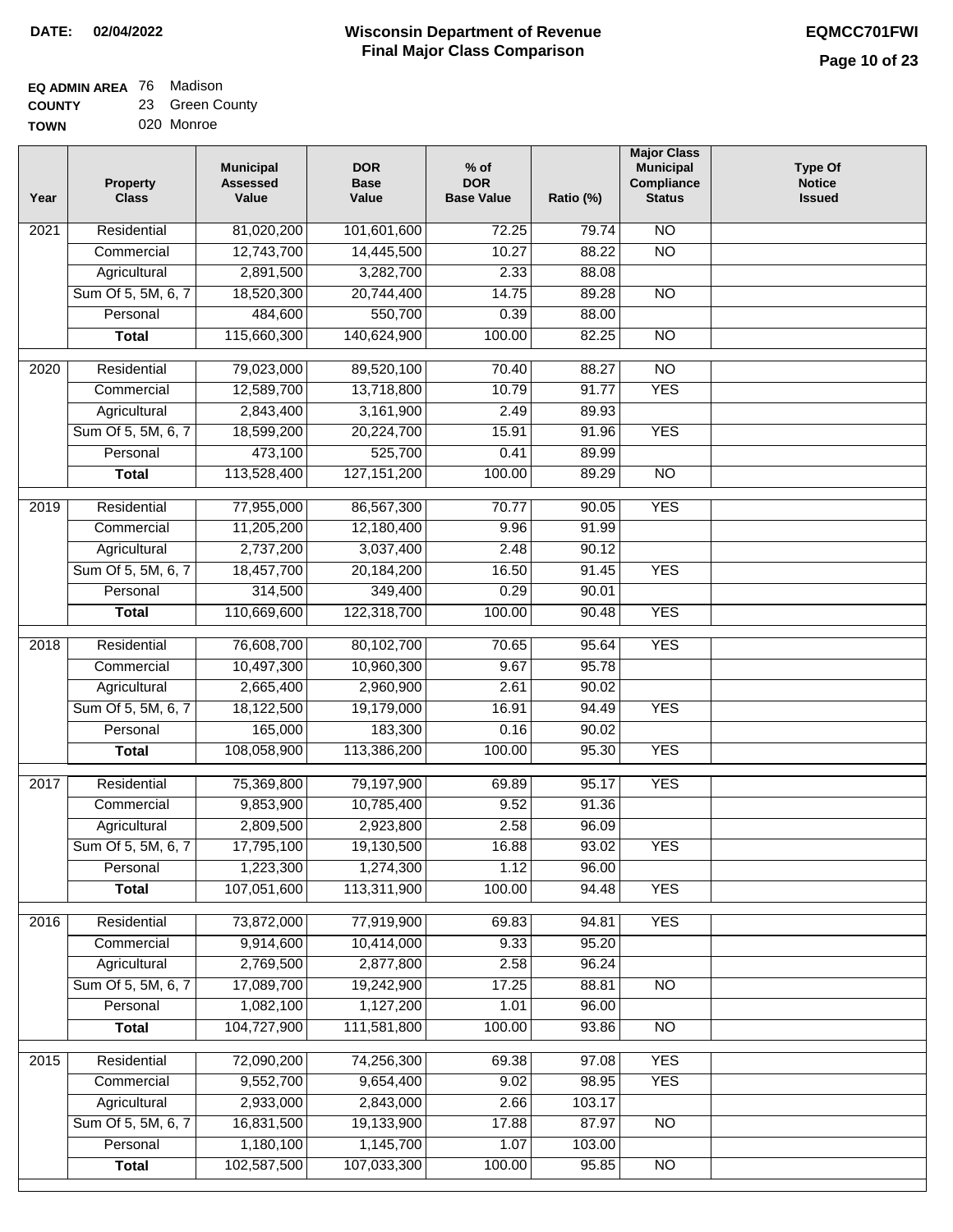## **Wisconsin Department of Revenue Final Major Class Comparison DATE: 02/04/2022 EQMCC701FWI**

#### **EQ ADMIN AREA** 76 Madison **COUNTY** 23 Green County

**TOWN** 020 Monroe

| Year | Property<br><b>Class</b> | <b>Municipal</b><br><b>Assessed</b><br>Value | <b>DOR</b><br><b>Base</b><br>Value | $%$ of<br><b>DOR</b><br><b>Base Value</b> | Ratio (%) | <b>Major Class</b><br><b>Municipal</b><br>Compliance<br><b>Status</b> | <b>Type Of</b><br><b>Notice</b><br><b>Issued</b> |
|------|--------------------------|----------------------------------------------|------------------------------------|-------------------------------------------|-----------|-----------------------------------------------------------------------|--------------------------------------------------|
| 2021 | Residential              | 81,020,200                                   | 101,601,600                        | 72.25                                     | 79.74     | $\overline{NO}$                                                       |                                                  |
|      | Commercial               | 12,743,700                                   | 14,445,500                         | 10.27                                     | 88.22     | $\overline{NO}$                                                       |                                                  |
|      | Agricultural             | 2,891,500                                    | 3,282,700                          | 2.33                                      | 88.08     |                                                                       |                                                  |
|      | Sum Of 5, 5M, 6, 7       | 18,520,300                                   | 20,744,400                         | 14.75                                     | 89.28     | $\overline{NO}$                                                       |                                                  |
|      | Personal                 | 484,600                                      | 550,700                            | 0.39                                      | 88.00     |                                                                       |                                                  |
|      | <b>Total</b>             | 115,660,300                                  | 140,624,900                        | 100.00                                    | 82.25     | $\overline{NO}$                                                       |                                                  |
| 2020 | Residential              | 79,023,000                                   | 89,520,100                         | 70.40                                     | 88.27     | $\overline{10}$                                                       |                                                  |
|      | Commercial               | 12,589,700                                   | 13,718,800                         | 10.79                                     | 91.77     | <b>YES</b>                                                            |                                                  |
|      | Agricultural             | 2,843,400                                    | 3,161,900                          | 2.49                                      | 89.93     |                                                                       |                                                  |
|      | Sum Of 5, 5M, 6, 7       | 18,599,200                                   | 20,224,700                         | 15.91                                     | 91.96     | <b>YES</b>                                                            |                                                  |
|      | Personal                 | 473,100                                      | 525,700                            | 0.41                                      | 89.99     |                                                                       |                                                  |
|      | <b>Total</b>             | 113,528,400                                  | 127, 151, 200                      | 100.00                                    | 89.29     | $\overline{NO}$                                                       |                                                  |
| 2019 | Residential              | 77,955,000                                   | 86,567,300                         | 70.77                                     | 90.05     | <b>YES</b>                                                            |                                                  |
|      | Commercial               | 11,205,200                                   | 12,180,400                         | 9.96                                      | 91.99     |                                                                       |                                                  |
|      | Agricultural             | 2,737,200                                    | 3,037,400                          | 2.48                                      | 90.12     |                                                                       |                                                  |
|      | Sum Of 5, 5M, 6, 7       | 18,457,700                                   | 20,184,200                         | 16.50                                     | 91.45     | <b>YES</b>                                                            |                                                  |
|      | Personal                 | 314,500                                      | 349,400                            | 0.29                                      | 90.01     |                                                                       |                                                  |
|      | <b>Total</b>             | 110,669,600                                  | 122,318,700                        | 100.00                                    | 90.48     | <b>YES</b>                                                            |                                                  |
| 2018 | Residential              | 76,608,700                                   | 80,102,700                         | 70.65                                     | 95.64     | <b>YES</b>                                                            |                                                  |
|      | Commercial               | 10,497,300                                   | 10,960,300                         | 9.67                                      | 95.78     |                                                                       |                                                  |
|      | Agricultural             | 2,665,400                                    | 2,960,900                          | 2.61                                      | 90.02     |                                                                       |                                                  |
|      | Sum Of 5, 5M, 6, 7       | 18,122,500                                   | 19,179,000                         | 16.91                                     | 94.49     | <b>YES</b>                                                            |                                                  |
|      | Personal                 | 165,000                                      | 183,300                            | 0.16                                      | 90.02     |                                                                       |                                                  |
|      | <b>Total</b>             | 108,058,900                                  | 113,386,200                        | 100.00                                    | 95.30     | <b>YES</b>                                                            |                                                  |
| 2017 | Residential              | 75,369,800                                   | 79,197,900                         | 69.89                                     | 95.17     | <b>YES</b>                                                            |                                                  |
|      | Commercial               | 9,853,900                                    | 10,785,400                         | 9.52                                      | 91.36     |                                                                       |                                                  |
|      | Agricultural             | 2,809,500                                    | 2,923,800                          | 2.58                                      | 96.09     |                                                                       |                                                  |
|      | Sum Of 5, 5M, 6, 7       | 17,795,100                                   | 19,130,500                         | 16.88                                     | 93.02     | <b>YES</b>                                                            |                                                  |
|      | Personal                 | 1,223,300                                    | 1,274,300                          | 1.12                                      | 96.00     |                                                                       |                                                  |
|      | <b>Total</b>             | 107,051,600                                  | 113,311,900                        | 100.00                                    | 94.48     | <b>YES</b>                                                            |                                                  |
|      |                          |                                              |                                    |                                           |           |                                                                       |                                                  |
| 2016 | Residential              | 73,872,000                                   | 77,919,900                         | 69.83                                     | 94.81     | <b>YES</b>                                                            |                                                  |
|      | Commercial               | 9,914,600                                    | 10,414,000                         | 9.33                                      | 95.20     |                                                                       |                                                  |
|      | Agricultural             | 2,769,500                                    | 2,877,800                          | 2.58                                      | 96.24     |                                                                       |                                                  |
|      | Sum Of 5, 5M, 6, 7       | 17,089,700                                   | 19,242,900                         | 17.25                                     | 88.81     | N <sub>O</sub>                                                        |                                                  |
|      | Personal                 | 1,082,100                                    | 1,127,200                          | 1.01                                      | 96.00     |                                                                       |                                                  |
|      | <b>Total</b>             | 104,727,900                                  | 111,581,800                        | 100.00                                    | 93.86     | N <sub>O</sub>                                                        |                                                  |
| 2015 | Residential              | 72,090,200                                   | 74,256,300                         | 69.38                                     | 97.08     | <b>YES</b>                                                            |                                                  |
|      | Commercial               | 9,552,700                                    | 9,654,400                          | 9.02                                      | 98.95     | <b>YES</b>                                                            |                                                  |
|      | Agricultural             | 2,933,000                                    | 2,843,000                          | 2.66                                      | 103.17    |                                                                       |                                                  |
|      | Sum Of 5, 5M, 6, 7       | 16,831,500                                   | 19,133,900                         | 17.88                                     | 87.97     | <b>NO</b>                                                             |                                                  |
|      | Personal                 | 1,180,100                                    | 1,145,700                          | 1.07                                      | 103.00    |                                                                       |                                                  |
|      | <b>Total</b>             | 102,587,500                                  | 107,033,300                        | 100.00                                    | 95.85     | $\overline{NO}$                                                       |                                                  |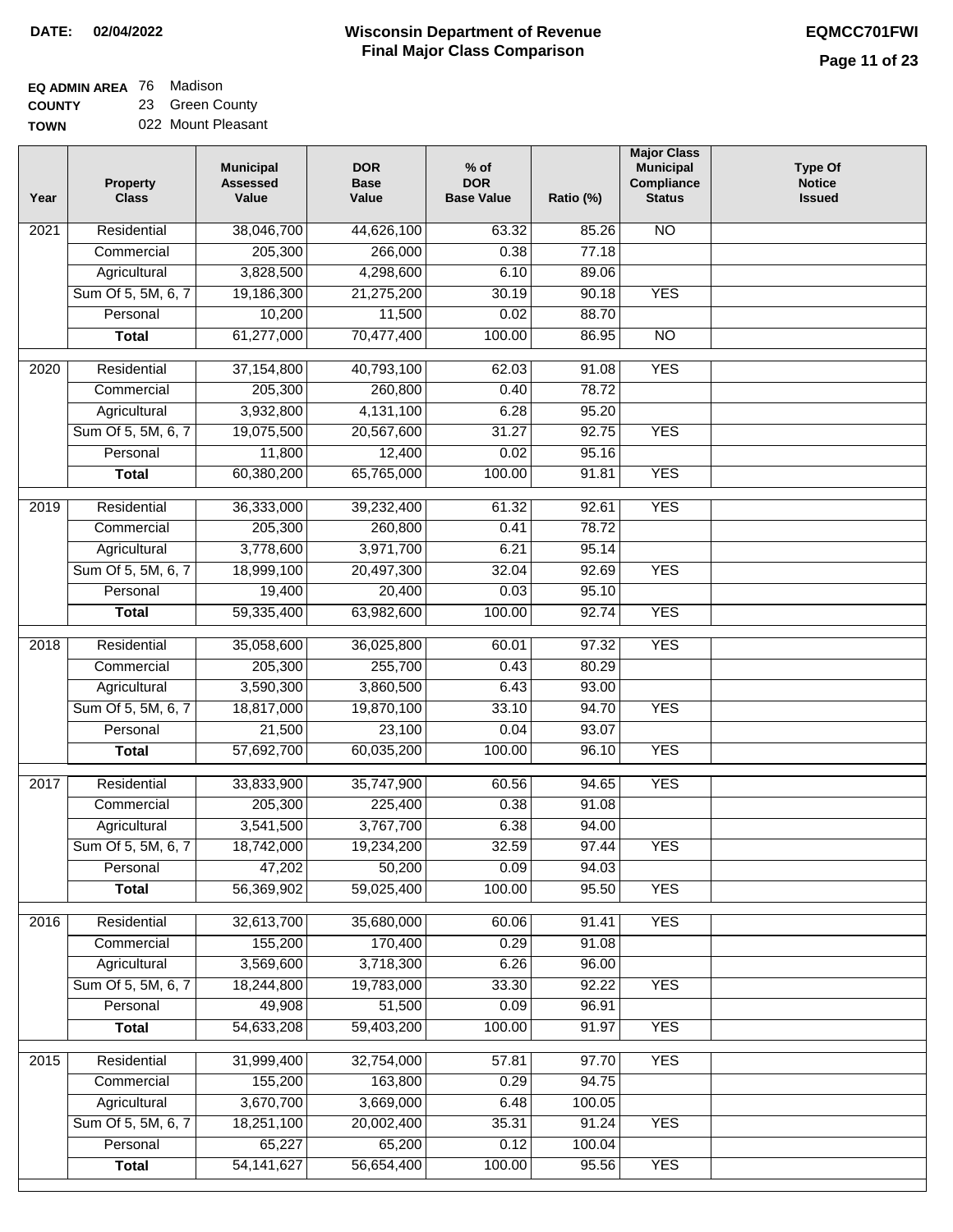#### **EQ ADMIN AREA** 76 Madison **COUNTY** 23 Green County

**TOWN** 022 Mount Pleasant

| Year             | <b>Property</b><br><b>Class</b> | <b>Municipal</b><br><b>Assessed</b><br>Value | <b>DOR</b><br><b>Base</b><br>Value | $%$ of<br><b>DOR</b><br><b>Base Value</b> | Ratio (%) | <b>Major Class</b><br><b>Municipal</b><br>Compliance<br><b>Status</b> | <b>Type Of</b><br><b>Notice</b><br><b>Issued</b> |
|------------------|---------------------------------|----------------------------------------------|------------------------------------|-------------------------------------------|-----------|-----------------------------------------------------------------------|--------------------------------------------------|
| 2021             | Residential                     | 38,046,700                                   | 44,626,100                         | 63.32                                     | 85.26     | <b>NO</b>                                                             |                                                  |
|                  | Commercial                      | 205,300                                      | 266,000                            | 0.38                                      | 77.18     |                                                                       |                                                  |
|                  | Agricultural                    | 3,828,500                                    | 4,298,600                          | 6.10                                      | 89.06     |                                                                       |                                                  |
|                  | Sum Of 5, 5M, 6, 7              | 19,186,300                                   | 21,275,200                         | 30.19                                     | 90.18     | <b>YES</b>                                                            |                                                  |
|                  | Personal                        | 10,200                                       | 11,500                             | 0.02                                      | 88.70     |                                                                       |                                                  |
|                  | <b>Total</b>                    | 61,277,000                                   | 70,477,400                         | 100.00                                    | 86.95     | $\overline{NO}$                                                       |                                                  |
| 2020             | Residential                     | 37, 154, 800                                 | 40,793,100                         | 62.03                                     | 91.08     | <b>YES</b>                                                            |                                                  |
|                  | Commercial                      | 205,300                                      | 260,800                            | 0.40                                      | 78.72     |                                                                       |                                                  |
|                  | Agricultural                    | 3,932,800                                    | 4,131,100                          | 6.28                                      | 95.20     |                                                                       |                                                  |
|                  | Sum Of 5, 5M, 6, 7              | 19,075,500                                   | 20,567,600                         | 31.27                                     | 92.75     | <b>YES</b>                                                            |                                                  |
|                  | Personal                        | 11,800                                       | 12,400                             | 0.02                                      | 95.16     |                                                                       |                                                  |
|                  | <b>Total</b>                    | 60,380,200                                   | 65,765,000                         | 100.00                                    | 91.81     | <b>YES</b>                                                            |                                                  |
|                  |                                 |                                              |                                    |                                           |           |                                                                       |                                                  |
| $\frac{1}{2019}$ | Residential                     | 36,333,000                                   | 39,232,400                         | 61.32                                     | 92.61     | <b>YES</b>                                                            |                                                  |
|                  | Commercial                      | 205,300                                      | 260,800                            | 0.41                                      | 78.72     |                                                                       |                                                  |
|                  | Agricultural                    | 3,778,600                                    | 3,971,700                          | 6.21                                      | 95.14     |                                                                       |                                                  |
|                  | Sum Of 5, 5M, 6, 7              | 18,999,100                                   | 20,497,300                         | 32.04                                     | 92.69     | <b>YES</b>                                                            |                                                  |
|                  | Personal                        | 19,400                                       | 20,400                             | 0.03                                      | 95.10     |                                                                       |                                                  |
|                  | <b>Total</b>                    | 59,335,400                                   | 63,982,600                         | 100.00                                    | 92.74     | <b>YES</b>                                                            |                                                  |
| 2018             | Residential                     | 35,058,600                                   | 36,025,800                         | 60.01                                     | 97.32     | <b>YES</b>                                                            |                                                  |
|                  | Commercial                      | 205,300                                      | 255,700                            | 0.43                                      | 80.29     |                                                                       |                                                  |
|                  | Agricultural                    | 3,590,300                                    | 3,860,500                          | 6.43                                      | 93.00     |                                                                       |                                                  |
|                  | Sum Of 5, 5M, 6, 7              | 18,817,000                                   | 19,870,100                         | 33.10                                     | 94.70     | <b>YES</b>                                                            |                                                  |
|                  | Personal                        | 21,500                                       | 23,100                             | 0.04                                      | 93.07     |                                                                       |                                                  |
|                  | <b>Total</b>                    | 57,692,700                                   | 60,035,200                         | 100.00                                    | 96.10     | <b>YES</b>                                                            |                                                  |
| 2017             | Residential                     | 33,833,900                                   | 35,747,900                         | 60.56                                     | 94.65     | <b>YES</b>                                                            |                                                  |
|                  | Commercial                      | 205,300                                      | 225,400                            | 0.38                                      | 91.08     |                                                                       |                                                  |
|                  | Agricultural                    | 3,541,500                                    | 3,767,700                          | 6.38                                      | 94.00     |                                                                       |                                                  |
|                  | Sum Of 5, 5M, 6, 7              | 18,742,000                                   | 19,234,200                         | 32.59                                     | 97.44     | <b>YES</b>                                                            |                                                  |
|                  | Personal                        | 47,202                                       | 50,200                             | 0.09                                      | 94.03     |                                                                       |                                                  |
|                  | <b>Total</b>                    | 56,369,902                                   | 59,025,400                         | 100.00                                    | 95.50     | <b>YES</b>                                                            |                                                  |
|                  |                                 |                                              |                                    |                                           |           |                                                                       |                                                  |
| 2016             | Residential                     | 32,613,700                                   | 35,680,000                         | 60.06                                     | 91.41     | <b>YES</b>                                                            |                                                  |
|                  | Commercial                      | 155,200                                      | 170,400                            | 0.29                                      | 91.08     |                                                                       |                                                  |
|                  | Agricultural                    | 3,569,600                                    | 3,718,300                          | 6.26                                      | 96.00     |                                                                       |                                                  |
|                  | Sum Of 5, 5M, 6, 7              | 18,244,800                                   | 19,783,000                         | 33.30                                     | 92.22     | <b>YES</b>                                                            |                                                  |
|                  | Personal                        | 49,908                                       | 51,500                             | 0.09                                      | 96.91     |                                                                       |                                                  |
|                  | <b>Total</b>                    | 54,633,208                                   | 59,403,200                         | 100.00                                    | 91.97     | <b>YES</b>                                                            |                                                  |
| 2015             | Residential                     | 31,999,400                                   | 32,754,000                         | 57.81                                     | 97.70     | <b>YES</b>                                                            |                                                  |
|                  | Commercial                      | 155,200                                      | 163,800                            | 0.29                                      | 94.75     |                                                                       |                                                  |
|                  | Agricultural                    | 3,670,700                                    | 3,669,000                          | 6.48                                      | 100.05    |                                                                       |                                                  |
|                  | Sum Of 5, 5M, 6, 7              | 18,251,100                                   | 20,002,400                         | 35.31                                     | 91.24     | <b>YES</b>                                                            |                                                  |
|                  | Personal                        | 65,227                                       | 65,200                             | 0.12                                      | 100.04    |                                                                       |                                                  |
|                  | <b>Total</b>                    | 54, 141, 627                                 | 56,654,400                         | 100.00                                    | 95.56     | <b>YES</b>                                                            |                                                  |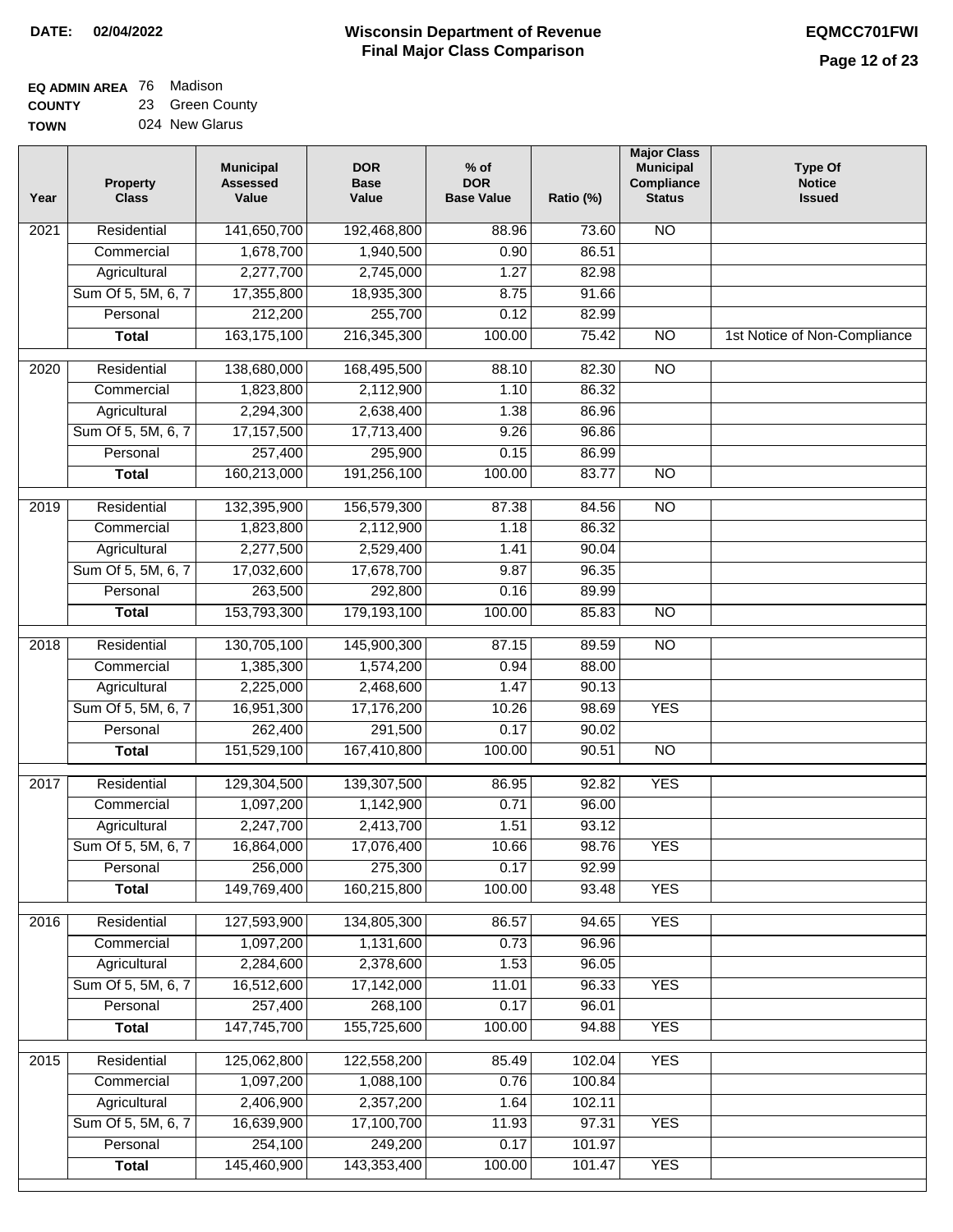# **Wisconsin Department of Revenue DATE: 02/04/2022 EQMCC701FWI Final Major Class Comparison**

| <b>EQ ADMIN AREA 76 Madison</b> |                 |
|---------------------------------|-----------------|
| <b>COUNTY</b>                   | 23 Green County |

**TOWN** 024 New Glarus

| Year              | <b>Property</b><br><b>Class</b> | <b>Municipal</b><br><b>Assessed</b><br>Value | <b>DOR</b><br><b>Base</b><br>Value | $%$ of<br><b>DOR</b><br><b>Base Value</b> | Ratio (%) | <b>Major Class</b><br><b>Municipal</b><br>Compliance<br><b>Status</b> | <b>Type Of</b><br><b>Notice</b><br><b>Issued</b> |
|-------------------|---------------------------------|----------------------------------------------|------------------------------------|-------------------------------------------|-----------|-----------------------------------------------------------------------|--------------------------------------------------|
| $\overline{202}1$ | Residential                     | 141,650,700                                  | 192,468,800                        | 88.96                                     | 73.60     | $\overline{NO}$                                                       |                                                  |
|                   | Commercial                      | 1,678,700                                    | 1,940,500                          | 0.90                                      | 86.51     |                                                                       |                                                  |
|                   | Agricultural                    | 2,277,700                                    | 2,745,000                          | 1.27                                      | 82.98     |                                                                       |                                                  |
|                   | Sum Of 5, 5M, 6, 7              | 17,355,800                                   | 18,935,300                         | 8.75                                      | 91.66     |                                                                       |                                                  |
|                   | Personal                        | 212,200                                      | 255,700                            | 0.12                                      | 82.99     |                                                                       |                                                  |
|                   | <b>Total</b>                    | 163, 175, 100                                | 216,345,300                        | 100.00                                    | 75.42     | $\overline{NO}$                                                       | 1st Notice of Non-Compliance                     |
| 2020              | Residential                     | 138,680,000                                  | 168,495,500                        | 88.10                                     | 82.30     | $\overline{NO}$                                                       |                                                  |
|                   | Commercial                      | 1,823,800                                    | 2,112,900                          | 1.10                                      | 86.32     |                                                                       |                                                  |
|                   | Agricultural                    | 2,294,300                                    | 2,638,400                          | 1.38                                      | 86.96     |                                                                       |                                                  |
|                   | Sum Of 5, 5M, 6, 7              | 17,157,500                                   | 17,713,400                         | 9.26                                      | 96.86     |                                                                       |                                                  |
|                   | Personal                        | 257,400                                      | 295,900                            | 0.15                                      | 86.99     |                                                                       |                                                  |
|                   | <b>Total</b>                    | 160,213,000                                  | 191,256,100                        | 100.00                                    | 83.77     | N <sub>O</sub>                                                        |                                                  |
| 2019              | Residential                     | 132,395,900                                  | 156,579,300                        | 87.38                                     | 84.56     | <b>NO</b>                                                             |                                                  |
|                   | Commercial                      | 1,823,800                                    | 2,112,900                          | 1.18                                      | 86.32     |                                                                       |                                                  |
|                   | Agricultural                    | 2,277,500                                    | 2,529,400                          | 1.41                                      | 90.04     |                                                                       |                                                  |
|                   | Sum Of 5, 5M, 6, 7              | 17,032,600                                   | 17,678,700                         | 9.87                                      | 96.35     |                                                                       |                                                  |
|                   | Personal                        | 263,500                                      | 292,800                            | 0.16                                      | 89.99     |                                                                       |                                                  |
|                   | <b>Total</b>                    | 153,793,300                                  | 179,193,100                        | 100.00                                    | 85.83     | $\overline{NO}$                                                       |                                                  |
| 2018              | Residential                     | 130,705,100                                  | 145,900,300                        | 87.15                                     | 89.59     | <b>NO</b>                                                             |                                                  |
|                   | Commercial                      | 1,385,300                                    | 1,574,200                          | 0.94                                      | 88.00     |                                                                       |                                                  |
|                   | Agricultural                    | 2,225,000                                    | 2,468,600                          | 1.47                                      | 90.13     |                                                                       |                                                  |
|                   | Sum Of 5, 5M, 6, 7              | 16,951,300                                   | 17,176,200                         | 10.26                                     | 98.69     | <b>YES</b>                                                            |                                                  |
|                   | Personal                        | 262,400                                      | 291,500                            | 0.17                                      | 90.02     |                                                                       |                                                  |
|                   | <b>Total</b>                    | 151,529,100                                  | 167,410,800                        | 100.00                                    | 90.51     | <b>NO</b>                                                             |                                                  |
| $\overline{2017}$ | Residential                     | 129,304,500                                  | 139,307,500                        | 86.95                                     | 92.82     | <b>YES</b>                                                            |                                                  |
|                   | Commercial                      | 1,097,200                                    | 1,142,900                          | 0.71                                      | 96.00     |                                                                       |                                                  |
|                   | Agricultural                    | 2,247,700                                    | 2,413,700                          | 1.51                                      | 93.12     |                                                                       |                                                  |
|                   | Sum Of 5, 5M, 6, 7              | 16,864,000                                   | 17,076,400                         | 10.66                                     | 98.76     | <b>YES</b>                                                            |                                                  |
|                   | Personal                        | 256,000                                      | 275,300                            | 0.17                                      | 92.99     |                                                                       |                                                  |
|                   | <b>Total</b>                    | 149,769,400                                  | 160,215,800                        | 100.00                                    | 93.48     | <b>YES</b>                                                            |                                                  |
| 2016              | Residential                     | 127,593,900                                  | 134,805,300                        | 86.57                                     | 94.65     | <b>YES</b>                                                            |                                                  |
|                   | Commercial                      | 1,097,200                                    | 1,131,600                          | 0.73                                      | 96.96     |                                                                       |                                                  |
|                   | Agricultural                    | 2,284,600                                    | 2,378,600                          | 1.53                                      | 96.05     |                                                                       |                                                  |
|                   | Sum Of 5, 5M, 6, 7              | 16,512,600                                   | 17,142,000                         | 11.01                                     | 96.33     | <b>YES</b>                                                            |                                                  |
|                   | Personal                        | 257,400                                      | 268,100                            | 0.17                                      | 96.01     |                                                                       |                                                  |
|                   | <b>Total</b>                    | 147,745,700                                  | 155,725,600                        | 100.00                                    | 94.88     | <b>YES</b>                                                            |                                                  |
| 2015              | Residential                     | 125,062,800                                  | 122,558,200                        | 85.49                                     | 102.04    | <b>YES</b>                                                            |                                                  |
|                   | Commercial                      | 1,097,200                                    | 1,088,100                          | 0.76                                      | 100.84    |                                                                       |                                                  |
|                   | Agricultural                    | 2,406,900                                    | 2,357,200                          | 1.64                                      | 102.11    |                                                                       |                                                  |
|                   | Sum Of 5, 5M, 6, 7              | 16,639,900                                   | 17,100,700                         | 11.93                                     | 97.31     | <b>YES</b>                                                            |                                                  |
|                   | Personal                        | 254,100                                      | 249,200                            | 0.17                                      | 101.97    |                                                                       |                                                  |
|                   | <b>Total</b>                    | 145,460,900                                  | 143,353,400                        | 100.00                                    | 101.47    | <b>YES</b>                                                            |                                                  |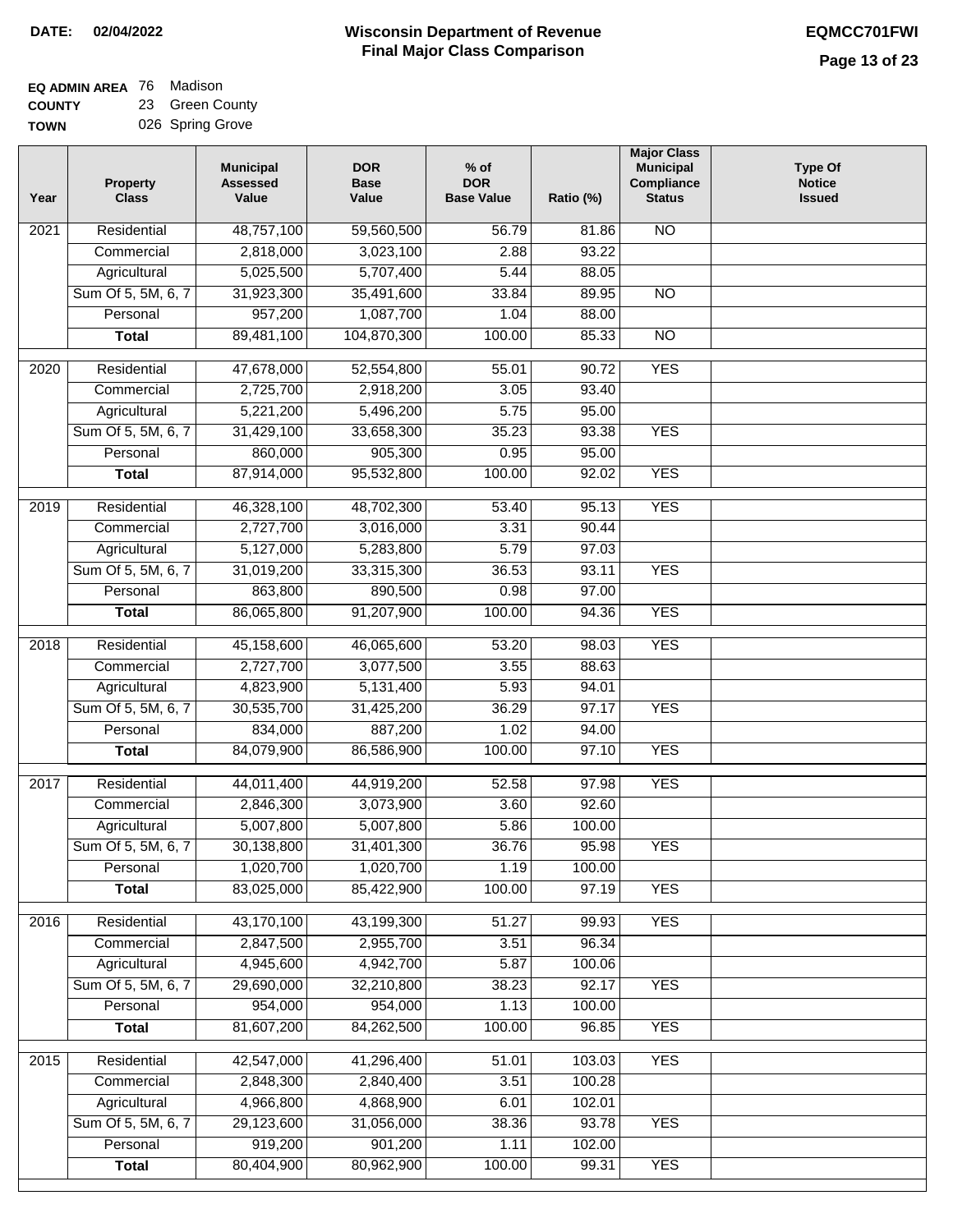| <b>EQ ADMIN AREA</b> 76 Madison |                  |
|---------------------------------|------------------|
| <b>COUNTY</b>                   | 23 Green County  |
| <b>TOWN</b>                     | 026 Spring Grove |

| Year              | <b>Property</b><br><b>Class</b>    | <b>Municipal</b><br><b>Assessed</b><br>Value | <b>DOR</b><br><b>Base</b><br>Value | $%$ of<br><b>DOR</b><br><b>Base Value</b> | Ratio (%)       | <b>Major Class</b><br><b>Municipal</b><br>Compliance<br><b>Status</b> | Type Of<br><b>Notice</b><br><b>Issued</b> |
|-------------------|------------------------------------|----------------------------------------------|------------------------------------|-------------------------------------------|-----------------|-----------------------------------------------------------------------|-------------------------------------------|
| $\overline{202}1$ | Residential                        | 48,757,100                                   | 59,560,500                         | 56.79                                     | 81.86           | <b>NO</b>                                                             |                                           |
|                   | Commercial                         | 2,818,000                                    | 3,023,100                          | 2.88                                      | 93.22           |                                                                       |                                           |
|                   | Agricultural                       | 5,025,500                                    | 5,707,400                          | 5.44                                      | 88.05           |                                                                       |                                           |
|                   | Sum Of 5, 5M, 6, 7                 | 31,923,300                                   | 35,491,600                         | 33.84                                     | 89.95           | $\overline{NO}$                                                       |                                           |
|                   | Personal                           | 957,200                                      | 1,087,700                          | 1.04                                      | 88.00           |                                                                       |                                           |
|                   | <b>Total</b>                       | 89,481,100                                   | 104,870,300                        | 100.00                                    | 85.33           | $\overline{NO}$                                                       |                                           |
| $\overline{2020}$ | Residential                        | 47,678,000                                   | 52,554,800                         | 55.01                                     | 90.72           | <b>YES</b>                                                            |                                           |
|                   | Commercial                         | 2,725,700                                    | 2,918,200                          | 3.05                                      | 93.40           |                                                                       |                                           |
|                   | Agricultural                       | 5,221,200                                    | 5,496,200                          | 5.75                                      | 95.00           |                                                                       |                                           |
|                   | Sum Of 5, 5M, 6, 7                 | 31,429,100                                   | 33,658,300                         | 35.23                                     | 93.38           | <b>YES</b>                                                            |                                           |
|                   | Personal                           | 860,000                                      | 905,300                            | 0.95                                      | 95.00           |                                                                       |                                           |
|                   | <b>Total</b>                       | 87,914,000                                   | 95,532,800                         | 100.00                                    | 92.02           | <b>YES</b>                                                            |                                           |
| 2019              | Residential                        | 46,328,100                                   | 48,702,300                         | 53.40                                     | 95.13           | <b>YES</b>                                                            |                                           |
|                   | Commercial                         | 2,727,700                                    | 3,016,000                          | 3.31                                      | 90.44           |                                                                       |                                           |
|                   | Agricultural                       | 5,127,000                                    | 5,283,800                          | 5.79                                      | 97.03           |                                                                       |                                           |
|                   | Sum Of 5, 5M, 6, 7                 | 31,019,200                                   | 33,315,300                         | 36.53                                     | 93.11           | <b>YES</b>                                                            |                                           |
|                   | Personal                           | 863,800                                      | 890,500                            | 0.98                                      | 97.00           |                                                                       |                                           |
|                   | <b>Total</b>                       | 86,065,800                                   | 91,207,900                         | 100.00                                    | 94.36           | <b>YES</b>                                                            |                                           |
| 2018              | Residential                        | 45,158,600                                   | 46,065,600                         | 53.20                                     | 98.03           | <b>YES</b>                                                            |                                           |
|                   | Commercial                         | 2,727,700                                    | 3,077,500                          | 3.55                                      | 88.63           |                                                                       |                                           |
|                   | Agricultural                       | 4,823,900                                    | 5,131,400                          | 5.93                                      | 94.01           |                                                                       |                                           |
|                   | Sum Of 5, 5M, 6, 7                 | 30,535,700                                   | 31,425,200                         | 36.29                                     | 97.17           | <b>YES</b>                                                            |                                           |
|                   | Personal                           | 834,000                                      | 887,200                            | 1.02                                      | 94.00           |                                                                       |                                           |
|                   | <b>Total</b>                       | 84,079,900                                   | 86,586,900                         | 100.00                                    | 97.10           | <b>YES</b>                                                            |                                           |
|                   |                                    |                                              |                                    |                                           |                 |                                                                       |                                           |
| 2017              | Residential                        | 44,011,400                                   | 44,919,200                         | 52.58                                     | 97.98           | <b>YES</b>                                                            |                                           |
|                   | Commercial                         | 2,846,300<br>5,007,800                       | 3,073,900<br>5,007,800             | 3.60<br>5.86                              | 92.60<br>100.00 |                                                                       |                                           |
|                   | Agricultural<br>Sum Of 5, 5M, 6, 7 | 30,138,800                                   | 31,401,300                         | 36.76                                     | 95.98           | <b>YES</b>                                                            |                                           |
|                   | Personal                           | 1,020,700                                    | 1,020,700                          | 1.19                                      | 100.00          |                                                                       |                                           |
|                   | <b>Total</b>                       | 83,025,000                                   | 85,422,900                         | 100.00                                    | 97.19           | <b>YES</b>                                                            |                                           |
| 2016              | Residential                        | 43,170,100                                   | 43,199,300                         | 51.27                                     | 99.93           | <b>YES</b>                                                            |                                           |
|                   | Commercial                         | 2,847,500                                    | 2,955,700                          | 3.51                                      | 96.34           |                                                                       |                                           |
|                   | Agricultural                       | 4,945,600                                    | 4,942,700                          | 5.87                                      | 100.06          |                                                                       |                                           |
|                   | Sum Of 5, 5M, 6, 7                 | 29,690,000                                   | 32,210,800                         | 38.23                                     | 92.17           | <b>YES</b>                                                            |                                           |
|                   | Personal                           | 954,000                                      | 954,000                            | 1.13                                      | 100.00          |                                                                       |                                           |
|                   | <b>Total</b>                       | 81,607,200                                   | 84,262,500                         | 100.00                                    | 96.85           | <b>YES</b>                                                            |                                           |
|                   |                                    |                                              |                                    |                                           |                 |                                                                       |                                           |
| 2015              | Residential                        | 42,547,000                                   | 41,296,400                         | 51.01                                     | 103.03          | <b>YES</b>                                                            |                                           |
|                   | Commercial                         | 2,848,300                                    | 2,840,400                          | 3.51                                      | 100.28          |                                                                       |                                           |
|                   | Agricultural<br>Sum Of 5, 5M, 6, 7 | 4,966,800<br>29,123,600                      | 4,868,900                          | 6.01                                      | 102.01          | <b>YES</b>                                                            |                                           |
|                   | Personal                           | 919,200                                      | 31,056,000<br>901,200              | 38.36<br>1.11                             | 93.78<br>102.00 |                                                                       |                                           |
|                   | <b>Total</b>                       | 80,404,900                                   | 80,962,900                         | 100.00                                    | 99.31           | <b>YES</b>                                                            |                                           |
|                   |                                    |                                              |                                    |                                           |                 |                                                                       |                                           |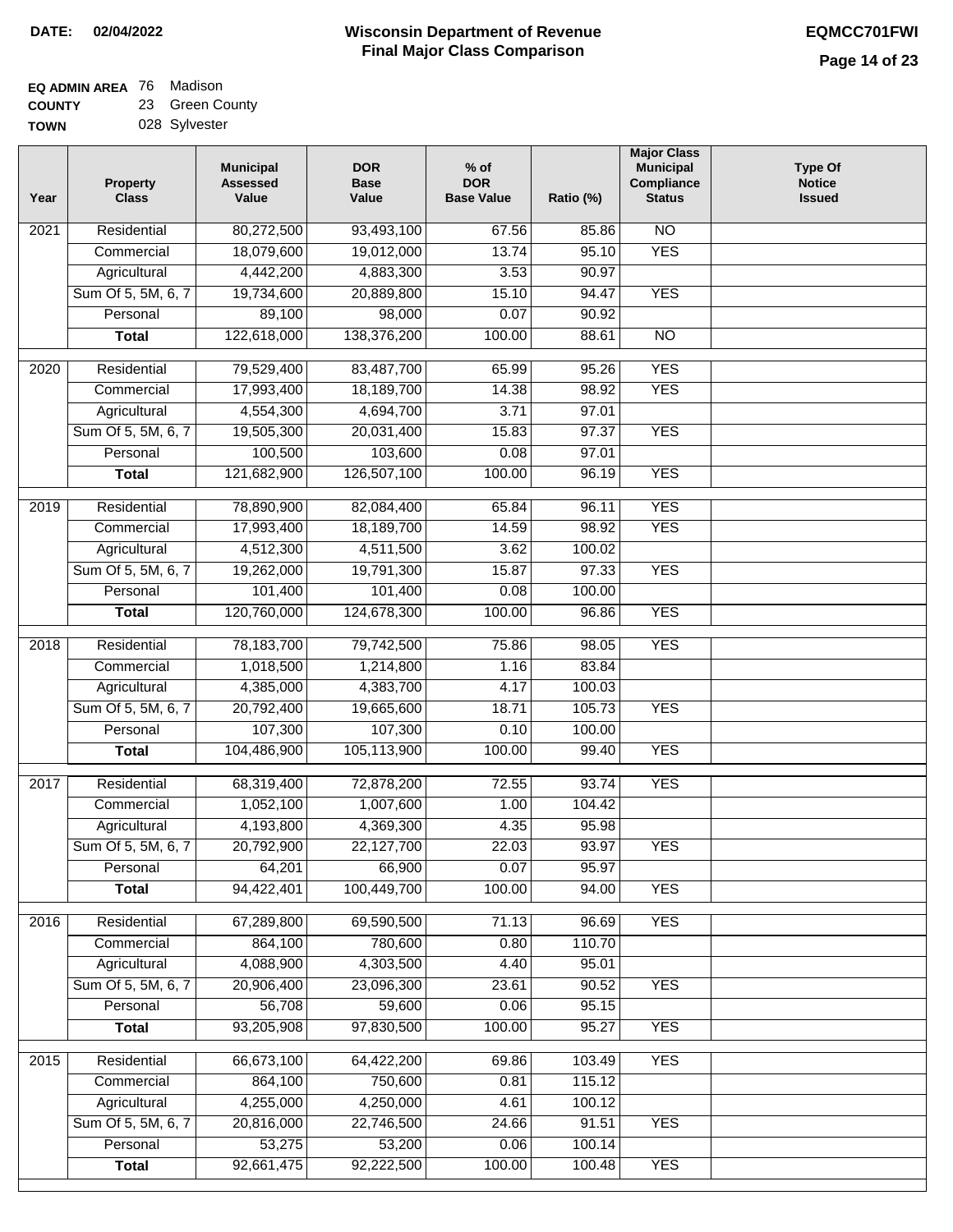## **EQ ADMIN AREA** 76 Madison **COUNTY** 23 Green County

**TOWN** 028 Sylvester

| Year              | <b>Property</b><br><b>Class</b> | <b>Municipal</b><br><b>Assessed</b><br>Value | <b>DOR</b><br><b>Base</b><br>Value | $%$ of<br><b>DOR</b><br><b>Base Value</b> | Ratio (%) | <b>Major Class</b><br><b>Municipal</b><br>Compliance<br><b>Status</b> | <b>Type Of</b><br><b>Notice</b><br><b>Issued</b> |
|-------------------|---------------------------------|----------------------------------------------|------------------------------------|-------------------------------------------|-----------|-----------------------------------------------------------------------|--------------------------------------------------|
| $\overline{202}1$ | Residential                     | 80,272,500                                   | 93,493,100                         | 67.56                                     | 85.86     | $\overline{NO}$                                                       |                                                  |
|                   | Commercial                      | 18,079,600                                   | 19,012,000                         | 13.74                                     | 95.10     | <b>YES</b>                                                            |                                                  |
|                   | Agricultural                    | 4,442,200                                    | 4,883,300                          | 3.53                                      | 90.97     |                                                                       |                                                  |
|                   | Sum Of 5, 5M, 6, 7              | 19,734,600                                   | 20,889,800                         | 15.10                                     | 94.47     | <b>YES</b>                                                            |                                                  |
|                   | Personal                        | 89,100                                       | 98,000                             | 0.07                                      | 90.92     |                                                                       |                                                  |
|                   | <b>Total</b>                    | 122,618,000                                  | 138,376,200                        | 100.00                                    | 88.61     | $\overline{NO}$                                                       |                                                  |
| $\overline{2020}$ | Residential                     | 79,529,400                                   | 83,487,700                         | 65.99                                     | 95.26     | <b>YES</b>                                                            |                                                  |
|                   | Commercial                      | 17,993,400                                   | 18,189,700                         | 14.38                                     | 98.92     | <b>YES</b>                                                            |                                                  |
|                   | Agricultural                    | 4,554,300                                    | 4,694,700                          | 3.71                                      | 97.01     |                                                                       |                                                  |
|                   | Sum Of 5, 5M, 6, 7              | 19,505,300                                   | 20,031,400                         | 15.83                                     | 97.37     | <b>YES</b>                                                            |                                                  |
|                   | Personal                        | 100,500                                      | 103,600                            | 0.08                                      | 97.01     |                                                                       |                                                  |
|                   | <b>Total</b>                    | 121,682,900                                  | 126,507,100                        | 100.00                                    | 96.19     | <b>YES</b>                                                            |                                                  |
| 2019              | Residential                     | 78,890,900                                   | 82,084,400                         | 65.84                                     | 96.11     | <b>YES</b>                                                            |                                                  |
|                   | Commercial                      | 17,993,400                                   | 18,189,700                         | 14.59                                     | 98.92     | <b>YES</b>                                                            |                                                  |
|                   | Agricultural                    | 4,512,300                                    | 4,511,500                          | 3.62                                      | 100.02    |                                                                       |                                                  |
|                   | Sum Of 5, 5M, 6, 7              | 19,262,000                                   | 19,791,300                         | 15.87                                     | 97.33     | <b>YES</b>                                                            |                                                  |
|                   | Personal                        | 101,400                                      | 101,400                            | 0.08                                      | 100.00    |                                                                       |                                                  |
|                   | <b>Total</b>                    | 120,760,000                                  | 124,678,300                        | 100.00                                    | 96.86     | <b>YES</b>                                                            |                                                  |
|                   |                                 |                                              |                                    |                                           |           |                                                                       |                                                  |
| 2018              | Residential                     | 78,183,700                                   | 79,742,500                         | 75.86                                     | 98.05     | <b>YES</b>                                                            |                                                  |
|                   | Commercial                      | 1,018,500                                    | 1,214,800                          | 1.16                                      | 83.84     |                                                                       |                                                  |
|                   | Agricultural                    | 4,385,000                                    | 4,383,700                          | 4.17                                      | 100.03    |                                                                       |                                                  |
|                   | Sum Of 5, 5M, 6, 7              | 20,792,400                                   | 19,665,600                         | 18.71                                     | 105.73    | <b>YES</b>                                                            |                                                  |
|                   | Personal                        | 107,300                                      | 107,300                            | 0.10                                      | 100.00    |                                                                       |                                                  |
|                   | <b>Total</b>                    | 104,486,900                                  | 105,113,900                        | 100.00                                    | 99.40     | <b>YES</b>                                                            |                                                  |
| $\overline{2017}$ | Residential                     | 68,319,400                                   | 72,878,200                         | 72.55                                     | 93.74     | <b>YES</b>                                                            |                                                  |
|                   | Commercial                      | 1,052,100                                    | 1,007,600                          | 1.00                                      | 104.42    |                                                                       |                                                  |
|                   | Agricultural                    | 4,193,800                                    | 4,369,300                          | 4.35                                      | 95.98     |                                                                       |                                                  |
|                   | Sum Of 5, 5M, 6, 7              | 20,792,900                                   | 22,127,700                         | 22.03                                     | 93.97     | <b>YES</b>                                                            |                                                  |
|                   | Personal                        | 64,201                                       | 66,900                             | 0.07                                      | 95.97     |                                                                       |                                                  |
|                   | <b>Total</b>                    | 94,422,401                                   | 100,449,700                        | 100.00                                    | 94.00     | <b>YES</b>                                                            |                                                  |
| 2016              | Residential                     | 67,289,800                                   | 69,590,500                         | 71.13                                     | 96.69     | <b>YES</b>                                                            |                                                  |
|                   | Commercial                      | 864,100                                      | 780,600                            | 0.80                                      | 110.70    |                                                                       |                                                  |
|                   | Agricultural                    | 4,088,900                                    | 4,303,500                          | 4.40                                      | 95.01     |                                                                       |                                                  |
|                   | Sum Of 5, 5M, 6, 7              | 20,906,400                                   | 23,096,300                         | 23.61                                     | 90.52     | <b>YES</b>                                                            |                                                  |
|                   | Personal                        | 56,708                                       | 59,600                             | 0.06                                      | 95.15     |                                                                       |                                                  |
|                   | <b>Total</b>                    | 93,205,908                                   | 97,830,500                         | 100.00                                    | 95.27     | <b>YES</b>                                                            |                                                  |
| 2015              | Residential                     | 66,673,100                                   | 64,422,200                         | 69.86                                     | 103.49    | <b>YES</b>                                                            |                                                  |
|                   | Commercial                      | 864,100                                      | 750,600                            | 0.81                                      | 115.12    |                                                                       |                                                  |
|                   | Agricultural                    | 4,255,000                                    | 4,250,000                          | 4.61                                      | 100.12    |                                                                       |                                                  |
|                   | Sum Of 5, 5M, 6, 7              | 20,816,000                                   | 22,746,500                         | 24.66                                     | 91.51     | <b>YES</b>                                                            |                                                  |
|                   | Personal                        | 53,275                                       | 53,200                             | 0.06                                      | 100.14    |                                                                       |                                                  |
|                   | <b>Total</b>                    | 92,661,475                                   | 92,222,500                         | 100.00                                    | 100.48    | <b>YES</b>                                                            |                                                  |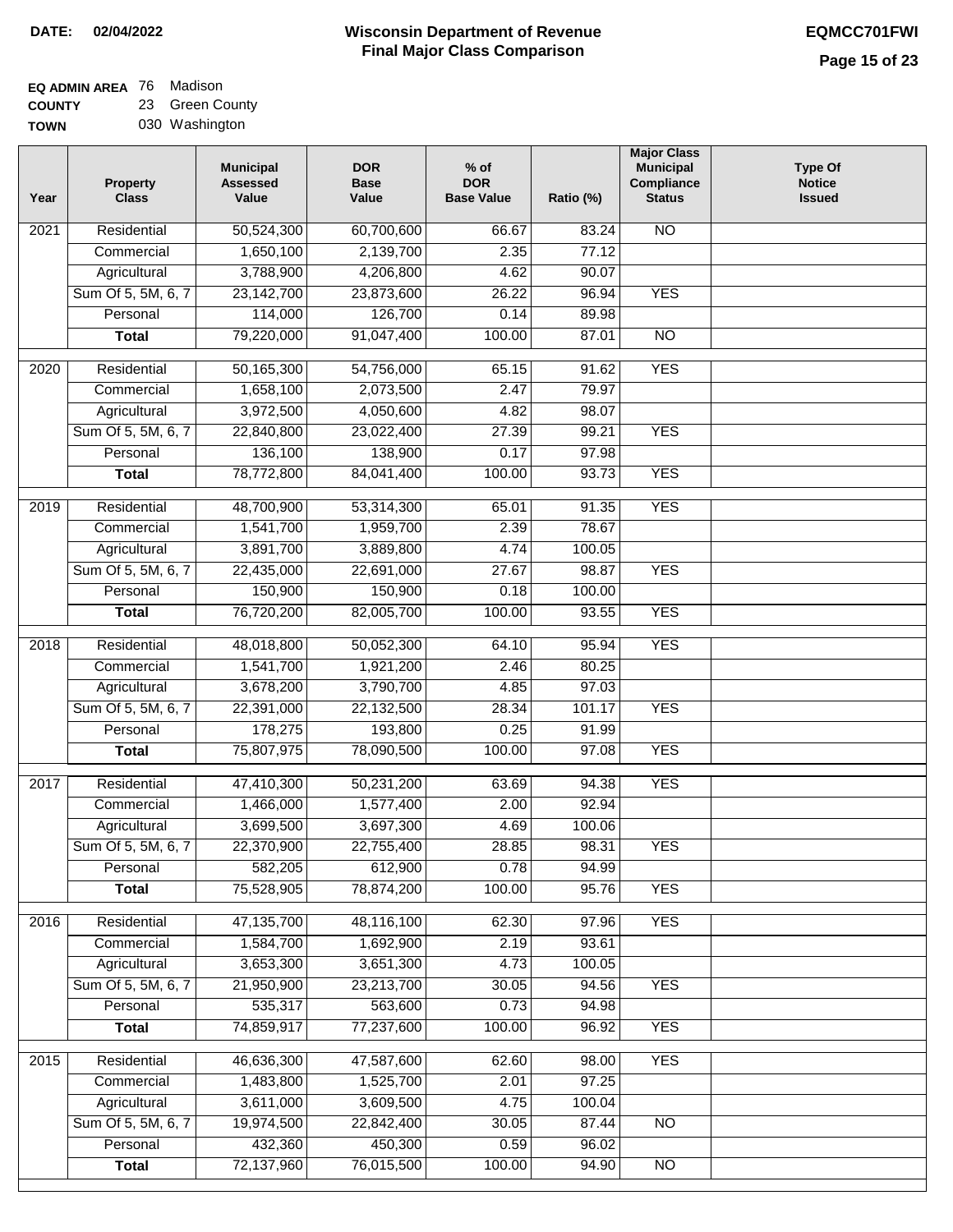# **Wisconsin Department of Revenue DATE: 02/04/2022 EQMCC701FWI Final Major Class Comparison**

| <b>EQ ADMIN AREA</b> 76 Madison |                 |
|---------------------------------|-----------------|
| <b>COUNTY</b>                   | 23 Green County |

**TOWN** 030 Washington

| Year              | <b>Property</b><br><b>Class</b> | <b>Municipal</b><br><b>Assessed</b><br>Value | <b>DOR</b><br><b>Base</b><br>Value | $%$ of<br><b>DOR</b><br><b>Base Value</b> | Ratio (%) | <b>Major Class</b><br><b>Municipal</b><br>Compliance<br><b>Status</b> | <b>Type Of</b><br><b>Notice</b><br><b>Issued</b> |
|-------------------|---------------------------------|----------------------------------------------|------------------------------------|-------------------------------------------|-----------|-----------------------------------------------------------------------|--------------------------------------------------|
| $\overline{202}1$ | Residential                     | 50,524,300                                   | 60,700,600                         | 66.67                                     | 83.24     | N <sub>O</sub>                                                        |                                                  |
|                   | Commercial                      | 1,650,100                                    | 2,139,700                          | 2.35                                      | 77.12     |                                                                       |                                                  |
|                   | Agricultural                    | 3,788,900                                    | 4,206,800                          | 4.62                                      | 90.07     |                                                                       |                                                  |
|                   | Sum Of 5, 5M, 6, 7              | 23,142,700                                   | 23,873,600                         | 26.22                                     | 96.94     | <b>YES</b>                                                            |                                                  |
|                   | Personal                        | 114,000                                      | 126,700                            | 0.14                                      | 89.98     |                                                                       |                                                  |
|                   | <b>Total</b>                    | 79,220,000                                   | 91,047,400                         | 100.00                                    | 87.01     | $\overline{NO}$                                                       |                                                  |
| $\overline{2020}$ | Residential                     | 50,165,300                                   | 54,756,000                         | 65.15                                     | 91.62     | <b>YES</b>                                                            |                                                  |
|                   | Commercial                      | 1,658,100                                    | 2,073,500                          | 2.47                                      | 79.97     |                                                                       |                                                  |
|                   | Agricultural                    | 3,972,500                                    | 4,050,600                          | 4.82                                      | 98.07     |                                                                       |                                                  |
|                   | Sum Of 5, 5M, 6, 7              | 22,840,800                                   | 23,022,400                         | 27.39                                     | 99.21     | <b>YES</b>                                                            |                                                  |
|                   | Personal                        | 136,100                                      | 138,900                            | 0.17                                      | 97.98     |                                                                       |                                                  |
|                   | <b>Total</b>                    | 78,772,800                                   | 84,041,400                         | 100.00                                    | 93.73     | <b>YES</b>                                                            |                                                  |
|                   |                                 |                                              |                                    |                                           |           |                                                                       |                                                  |
| 2019              | Residential                     | 48,700,900                                   | 53,314,300                         | 65.01                                     | 91.35     | <b>YES</b>                                                            |                                                  |
|                   | Commercial                      | 1,541,700                                    | 1,959,700                          | 2.39                                      | 78.67     |                                                                       |                                                  |
|                   | Agricultural                    | 3,891,700                                    | 3,889,800                          | 4.74                                      | 100.05    |                                                                       |                                                  |
|                   | Sum Of 5, 5M, 6, 7              | 22,435,000                                   | 22,691,000                         | 27.67                                     | 98.87     | <b>YES</b>                                                            |                                                  |
|                   | Personal                        | 150,900                                      | 150,900                            | 0.18                                      | 100.00    |                                                                       |                                                  |
|                   | <b>Total</b>                    | 76,720,200                                   | 82,005,700                         | 100.00                                    | 93.55     | <b>YES</b>                                                            |                                                  |
| 2018              | Residential                     | 48,018,800                                   | 50,052,300                         | 64.10                                     | 95.94     | <b>YES</b>                                                            |                                                  |
|                   | Commercial                      | 1,541,700                                    | 1,921,200                          | 2.46                                      | 80.25     |                                                                       |                                                  |
|                   | Agricultural                    | 3,678,200                                    | 3,790,700                          | 4.85                                      | 97.03     |                                                                       |                                                  |
|                   | Sum Of 5, 5M, 6, 7              | 22,391,000                                   | 22,132,500                         | 28.34                                     | 101.17    | <b>YES</b>                                                            |                                                  |
|                   | Personal                        | 178,275                                      | 193,800                            | 0.25                                      | 91.99     |                                                                       |                                                  |
|                   | <b>Total</b>                    | 75,807,975                                   | 78,090,500                         | 100.00                                    | 97.08     | <b>YES</b>                                                            |                                                  |
| 2017              | Residential                     | 47,410,300                                   | 50,231,200                         | 63.69                                     | 94.38     | <b>YES</b>                                                            |                                                  |
|                   | Commercial                      | 1,466,000                                    | 1,577,400                          | 2.00                                      | 92.94     |                                                                       |                                                  |
|                   | Agricultural                    | 3,699,500                                    | 3,697,300                          | 4.69                                      | 100.06    |                                                                       |                                                  |
|                   | Sum Of 5, 5M, 6, 7              | 22,370,900                                   | 22,755,400                         | 28.85                                     | 98.31     | <b>YES</b>                                                            |                                                  |
|                   | Personal                        | 582,205                                      | 612,900                            | 0.78                                      | 94.99     |                                                                       |                                                  |
|                   | <b>Total</b>                    | 75,528,905                                   | 78,874,200                         | 100.00                                    | 95.76     | <b>YES</b>                                                            |                                                  |
|                   |                                 |                                              |                                    |                                           |           |                                                                       |                                                  |
| 2016              | Residential                     | 47,135,700                                   | 48,116,100                         | 62.30                                     | 97.96     | <b>YES</b>                                                            |                                                  |
|                   | Commercial                      | 1,584,700                                    | 1,692,900                          | 2.19                                      | 93.61     |                                                                       |                                                  |
|                   | Agricultural                    | 3,653,300                                    | 3,651,300                          | 4.73                                      | 100.05    |                                                                       |                                                  |
|                   | Sum Of 5, 5M, 6, 7              | 21,950,900                                   | 23,213,700                         | 30.05                                     | 94.56     | <b>YES</b>                                                            |                                                  |
|                   | Personal                        | 535,317                                      | 563,600                            | 0.73                                      | 94.98     |                                                                       |                                                  |
|                   | <b>Total</b>                    | 74,859,917                                   | 77,237,600                         | 100.00                                    | 96.92     | <b>YES</b>                                                            |                                                  |
| 2015              | Residential                     | 46,636,300                                   | 47,587,600                         | 62.60                                     | 98.00     | <b>YES</b>                                                            |                                                  |
|                   | Commercial                      | 1,483,800                                    | 1,525,700                          | 2.01                                      | 97.25     |                                                                       |                                                  |
|                   | Agricultural                    | 3,611,000                                    | 3,609,500                          | 4.75                                      | 100.04    |                                                                       |                                                  |
|                   | Sum Of 5, 5M, 6, 7              | 19,974,500                                   | 22,842,400                         | 30.05                                     | 87.44     | <b>NO</b>                                                             |                                                  |
|                   | Personal                        | 432,360                                      | 450,300                            | 0.59                                      | 96.02     |                                                                       |                                                  |
|                   | <b>Total</b>                    | 72,137,960                                   | 76,015,500                         | 100.00                                    | 94.90     | <b>NO</b>                                                             |                                                  |
|                   |                                 |                                              |                                    |                                           |           |                                                                       |                                                  |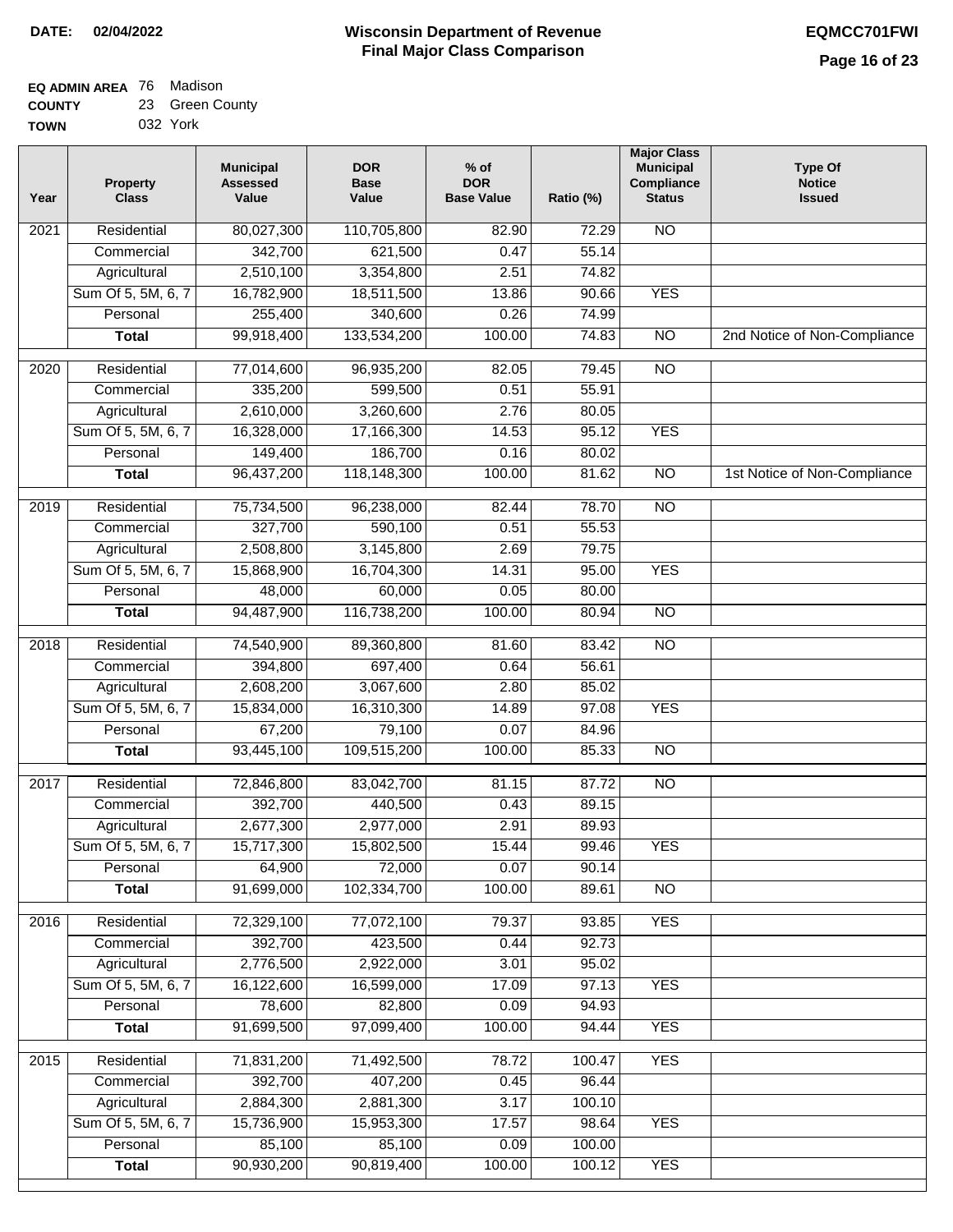#### **EQ ADMIN AREA** 76 Madison **COUNTY** 23 Green County

|             | 032 York |
|-------------|----------|
| <b>TOWN</b> |          |

| Year             | <b>Property</b><br><b>Class</b> | <b>Municipal</b><br><b>Assessed</b><br>Value | <b>DOR</b><br><b>Base</b><br>Value | $%$ of<br><b>DOR</b><br><b>Base Value</b> | Ratio (%)       | <b>Major Class</b><br><b>Municipal</b><br>Compliance<br><b>Status</b> | <b>Type Of</b><br><b>Notice</b><br><b>Issued</b> |
|------------------|---------------------------------|----------------------------------------------|------------------------------------|-------------------------------------------|-----------------|-----------------------------------------------------------------------|--------------------------------------------------|
| 2021             | Residential                     | 80,027,300                                   | 110,705,800                        | 82.90                                     | 72.29           | <b>NO</b>                                                             |                                                  |
|                  | Commercial                      | 342,700                                      | 621,500                            | 0.47                                      | 55.14           |                                                                       |                                                  |
|                  | Agricultural                    | 2,510,100                                    | 3,354,800                          | 2.51                                      | 74.82           |                                                                       |                                                  |
|                  | Sum Of 5, 5M, 6, 7              | 16,782,900                                   | 18,511,500                         | 13.86                                     | 90.66           | <b>YES</b>                                                            |                                                  |
|                  | Personal                        | 255,400                                      | 340,600                            | 0.26                                      | 74.99           |                                                                       |                                                  |
|                  | <b>Total</b>                    | 99,918,400                                   | 133,534,200                        | 100.00                                    | 74.83           | $\overline{NO}$                                                       | 2nd Notice of Non-Compliance                     |
| 2020             | Residential                     | 77,014,600                                   | 96,935,200                         | 82.05                                     | 79.45           | $\overline{10}$                                                       |                                                  |
|                  | Commercial                      | 335,200                                      | 599,500                            | 0.51                                      | 55.91           |                                                                       |                                                  |
|                  | Agricultural                    | 2,610,000                                    | 3,260,600                          | 2.76                                      | 80.05           |                                                                       |                                                  |
|                  | Sum Of 5, 5M, 6, 7              | 16,328,000                                   | 17,166,300                         | 14.53                                     | 95.12           | <b>YES</b>                                                            |                                                  |
|                  | Personal                        | 149,400                                      | 186,700                            | 0.16                                      | 80.02           |                                                                       |                                                  |
|                  | <b>Total</b>                    | 96,437,200                                   | 118,148,300                        | 100.00                                    | 81.62           | <b>NO</b>                                                             | 1st Notice of Non-Compliance                     |
|                  |                                 |                                              |                                    |                                           |                 |                                                                       |                                                  |
| $\frac{1}{2019}$ | Residential<br>Commercial       | 75,734,500                                   | 96,238,000<br>590,100              | 82.44                                     | 78.70           | $\overline{NO}$                                                       |                                                  |
|                  |                                 | 327,700                                      |                                    | 0.51                                      | 55.53           |                                                                       |                                                  |
|                  | Agricultural                    | 2,508,800                                    | 3,145,800                          | 2.69                                      | 79.75           |                                                                       |                                                  |
|                  | Sum Of 5, 5M, 6, 7              | 15,868,900                                   | 16,704,300                         | 14.31                                     | 95.00           | <b>YES</b>                                                            |                                                  |
|                  | Personal                        | 48,000                                       | 60,000                             | 0.05                                      | 80.00           |                                                                       |                                                  |
|                  | <b>Total</b>                    | 94,487,900                                   | 116,738,200                        | 100.00                                    | 80.94           | $\overline{NO}$                                                       |                                                  |
| 2018             | Residential                     | 74,540,900                                   | 89,360,800                         | 81.60                                     | 83.42           | $\overline{10}$                                                       |                                                  |
|                  | Commercial                      | 394,800                                      | 697,400                            | 0.64                                      | 56.61           |                                                                       |                                                  |
|                  | Agricultural                    | 2,608,200                                    | 3,067,600                          | 2.80                                      | 85.02           |                                                                       |                                                  |
|                  | Sum Of 5, 5M, 6, 7              | 15,834,000                                   | 16,310,300                         | 14.89                                     | 97.08           | <b>YES</b>                                                            |                                                  |
|                  | Personal                        | 67,200                                       | 79,100                             | 0.07                                      | 84.96           |                                                                       |                                                  |
|                  | <b>Total</b>                    | 93,445,100                                   | 109,515,200                        | 100.00                                    | 85.33           | $\overline{NO}$                                                       |                                                  |
| 2017             | Residential                     | 72,846,800                                   | 83,042,700                         | 81.15                                     | 87.72           | <b>NO</b>                                                             |                                                  |
|                  | Commercial                      | 392,700                                      | 440,500                            | 0.43                                      | 89.15           |                                                                       |                                                  |
|                  | Agricultural                    | 2,677,300                                    | 2,977,000                          | 2.91                                      | 89.93           |                                                                       |                                                  |
|                  | Sum Of 5, 5M, 6, 7              | 15,717,300                                   | 15,802,500                         | 15.44                                     | 99.46           | <b>YES</b>                                                            |                                                  |
|                  | Personal                        | 64,900                                       | 72,000                             | 0.07                                      | 90.14           |                                                                       |                                                  |
|                  | <b>Total</b>                    | 91,699,000                                   | 102,334,700                        | 100.00                                    | 89.61           | $\overline{NO}$                                                       |                                                  |
| 2016             | Residential                     | 72,329,100                                   | 77,072,100                         | 79.37                                     | 93.85           | <b>YES</b>                                                            |                                                  |
|                  | Commercial                      | 392,700                                      | 423,500                            | 0.44                                      | 92.73           |                                                                       |                                                  |
|                  | Agricultural                    | 2,776,500                                    | 2,922,000                          | 3.01                                      | 95.02           |                                                                       |                                                  |
|                  | Sum Of 5, 5M, 6, 7              | 16,122,600                                   | 16,599,000                         | 17.09                                     | 97.13           | <b>YES</b>                                                            |                                                  |
|                  | Personal                        | 78,600                                       | 82,800                             | 0.09                                      | 94.93           |                                                                       |                                                  |
|                  | <b>Total</b>                    | 91,699,500                                   | 97,099,400                         | 100.00                                    | 94.44           | <b>YES</b>                                                            |                                                  |
|                  |                                 |                                              |                                    |                                           |                 |                                                                       |                                                  |
| 2015             | Residential                     | 71,831,200                                   | 71,492,500                         | 78.72                                     | 100.47          | <b>YES</b>                                                            |                                                  |
|                  | Commercial                      | 392,700                                      | 407,200                            | 0.45                                      | 96.44           |                                                                       |                                                  |
|                  | Agricultural                    | 2,884,300                                    | 2,881,300                          | 3.17                                      | 100.10          |                                                                       |                                                  |
|                  | Sum Of 5, 5M, 6, 7<br>Personal  | 15,736,900<br>85,100                         | 15,953,300<br>85,100               | 17.57<br>0.09                             | 98.64<br>100.00 | <b>YES</b>                                                            |                                                  |
|                  | <b>Total</b>                    | 90,930,200                                   | 90,819,400                         | 100.00                                    | 100.12          | <b>YES</b>                                                            |                                                  |
|                  |                                 |                                              |                                    |                                           |                 |                                                                       |                                                  |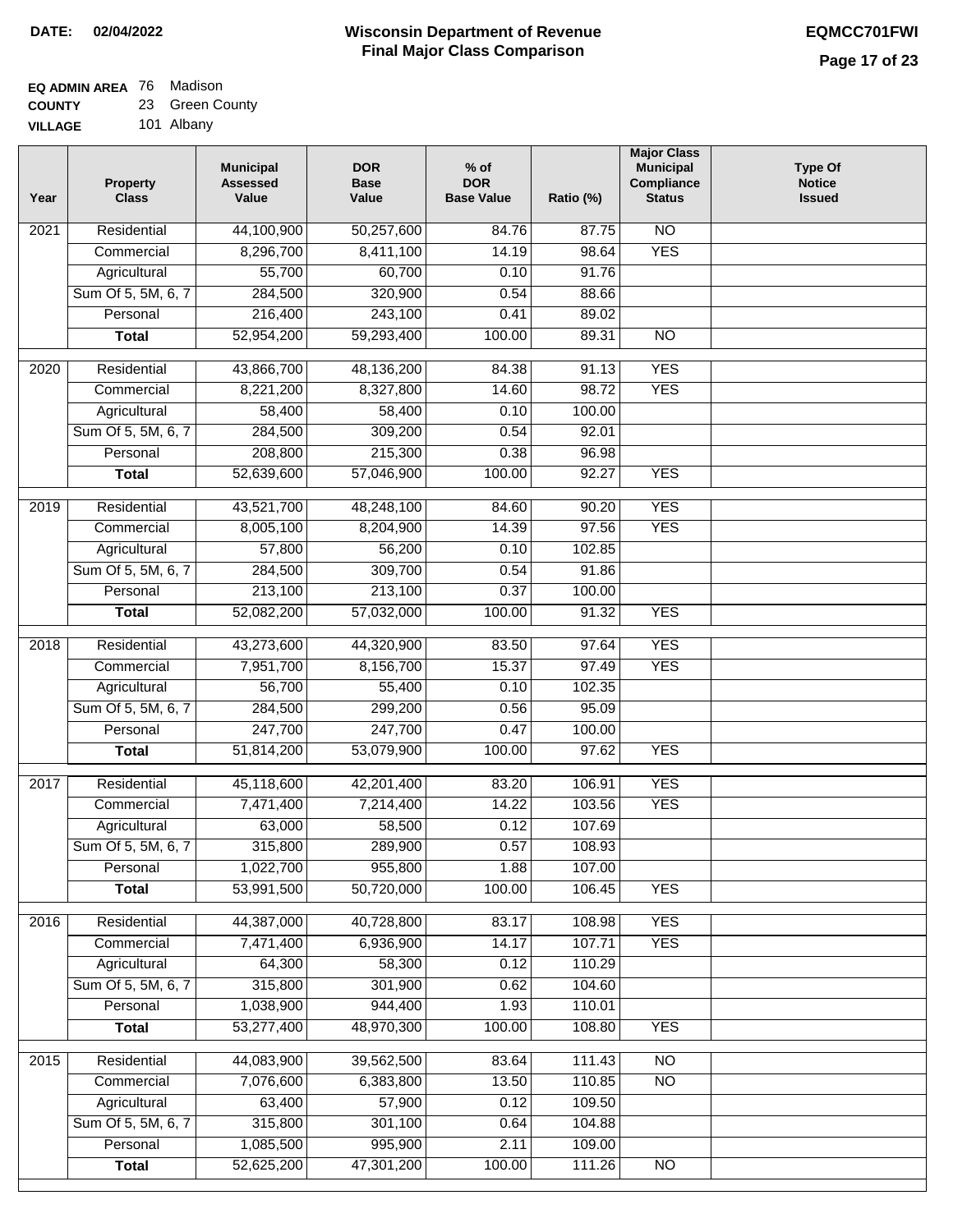#### **EQ ADMIN AREA** 76 Madison **COUNTY** 23 Green County

**VILLAGE** 101 Albany

| Year              | <b>Property</b><br><b>Class</b> | <b>Municipal</b><br><b>Assessed</b><br>Value | <b>DOR</b><br><b>Base</b><br>Value | $%$ of<br><b>DOR</b><br><b>Base Value</b> | Ratio (%)        | <b>Major Class</b><br><b>Municipal</b><br>Compliance<br><b>Status</b> | <b>Type Of</b><br><b>Notice</b><br><b>Issued</b> |
|-------------------|---------------------------------|----------------------------------------------|------------------------------------|-------------------------------------------|------------------|-----------------------------------------------------------------------|--------------------------------------------------|
| $\overline{202}1$ | Residential                     | 44,100,900                                   | 50,257,600                         | 84.76                                     | 87.75            | N <sub>O</sub>                                                        |                                                  |
|                   | Commercial                      | 8,296,700                                    | 8,411,100                          | 14.19                                     | 98.64            | <b>YES</b>                                                            |                                                  |
|                   | Agricultural                    | 55,700                                       | 60,700                             | 0.10                                      | 91.76            |                                                                       |                                                  |
|                   | Sum Of 5, 5M, 6, 7              | 284,500                                      | 320,900                            | 0.54                                      | 88.66            |                                                                       |                                                  |
|                   | Personal                        | 216,400                                      | 243,100                            | 0.41                                      | 89.02            |                                                                       |                                                  |
|                   | <b>Total</b>                    | 52,954,200                                   | 59,293,400                         | 100.00                                    | 89.31            | $\overline{NO}$                                                       |                                                  |
| $\overline{2020}$ | Residential                     | 43,866,700                                   | 48,136,200                         | 84.38                                     | 91.13            | <b>YES</b>                                                            |                                                  |
|                   | Commercial                      | 8,221,200                                    | 8,327,800                          | 14.60                                     | 98.72            | <b>YES</b>                                                            |                                                  |
|                   | Agricultural                    | 58,400                                       | 58,400                             | 0.10                                      | 100.00           |                                                                       |                                                  |
|                   | Sum Of 5, 5M, 6, 7              | 284,500                                      | 309,200                            | 0.54                                      | 92.01            |                                                                       |                                                  |
|                   | Personal                        | 208,800                                      | 215,300                            | 0.38                                      | 96.98            |                                                                       |                                                  |
|                   | <b>Total</b>                    | 52,639,600                                   | 57,046,900                         | 100.00                                    | 92.27            | <b>YES</b>                                                            |                                                  |
|                   |                                 |                                              |                                    |                                           |                  |                                                                       |                                                  |
| 2019              | Residential                     | 43,521,700                                   | 48,248,100                         | 84.60                                     | 90.20            | <b>YES</b>                                                            |                                                  |
|                   | Commercial                      | 8,005,100<br>57,800                          | 8,204,900                          | 14.39                                     | 97.56            | <b>YES</b>                                                            |                                                  |
|                   | Agricultural                    |                                              | 56,200<br>309,700                  | 0.10<br>0.54                              | 102.85<br>91.86  |                                                                       |                                                  |
|                   | Sum Of 5, 5M, 6, 7<br>Personal  | 284,500<br>213,100                           | 213,100                            | 0.37                                      | 100.00           |                                                                       |                                                  |
|                   | <b>Total</b>                    | 52,082,200                                   | 57,032,000                         | 100.00                                    | 91.32            | <b>YES</b>                                                            |                                                  |
|                   |                                 |                                              |                                    |                                           |                  |                                                                       |                                                  |
| 2018              | Residential                     | 43,273,600                                   | 44,320,900                         | 83.50                                     | 97.64            | <b>YES</b>                                                            |                                                  |
|                   | Commercial                      | 7,951,700                                    | 8,156,700                          | 15.37                                     | 97.49            | <b>YES</b>                                                            |                                                  |
|                   | Agricultural                    | 56,700                                       | 55,400                             | 0.10                                      | 102.35           |                                                                       |                                                  |
|                   | Sum Of 5, 5M, 6, 7              | 284,500                                      | 299,200                            | 0.56                                      | 95.09            |                                                                       |                                                  |
|                   | Personal                        | 247,700                                      | 247,700                            | 0.47                                      | 100.00           |                                                                       |                                                  |
|                   | <b>Total</b>                    | 51,814,200                                   | 53,079,900                         | 100.00                                    | 97.62            | <b>YES</b>                                                            |                                                  |
| 2017              | Residential                     | 45,118,600                                   | 42,201,400                         | 83.20                                     | 106.91           | <b>YES</b>                                                            |                                                  |
|                   | Commercial                      | 7,471,400                                    | 7,214,400                          | 14.22                                     | 103.56           | <b>YES</b>                                                            |                                                  |
|                   | Agricultural                    | 63,000                                       | 58,500                             | 0.12                                      | 107.69           |                                                                       |                                                  |
|                   | Sum Of 5, 5M, 6, 7              | 315,800                                      | 289,900                            | 0.57                                      | 108.93           |                                                                       |                                                  |
|                   | Personal                        | 1,022,700                                    | 955,800                            | 1.88                                      | 107.00           |                                                                       |                                                  |
|                   | <b>Total</b>                    | 53,991,500                                   | 50,720,000                         | 100.00                                    | 106.45           | <b>YES</b>                                                            |                                                  |
| 2016              | Residential                     | 44,387,000                                   | 40,728,800                         | 83.17                                     | 108.98           | <b>YES</b>                                                            |                                                  |
|                   | Commercial                      | 7,471,400                                    | 6,936,900                          | 14.17                                     | 107.71           | <b>YES</b>                                                            |                                                  |
|                   | Agricultural                    | 64,300                                       | 58,300                             | 0.12                                      | 110.29           |                                                                       |                                                  |
|                   | Sum Of 5, 5M, 6, 7              | 315,800                                      | 301,900                            | 0.62                                      | 104.60           |                                                                       |                                                  |
|                   | Personal                        | 1,038,900                                    | 944,400                            | 1.93                                      | 110.01           |                                                                       |                                                  |
|                   | <b>Total</b>                    | 53,277,400                                   | 48,970,300                         | 100.00                                    | 108.80           | <b>YES</b>                                                            |                                                  |
|                   |                                 |                                              |                                    |                                           |                  |                                                                       |                                                  |
| 2015              | Residential                     | 44,083,900                                   | 39,562,500                         | 83.64                                     | 111.43           | <b>NO</b>                                                             |                                                  |
|                   | Commercial                      | 7,076,600                                    | 6,383,800                          | 13.50                                     | 110.85           | N <sub>O</sub>                                                        |                                                  |
|                   | Agricultural                    | 63,400                                       | 57,900                             | 0.12                                      | 109.50           |                                                                       |                                                  |
|                   | Sum Of 5, 5M, 6, 7              | 315,800                                      | 301,100                            | 0.64                                      | 104.88           |                                                                       |                                                  |
|                   | Personal                        | 1,085,500<br>52,625,200                      | 995,900<br>47,301,200              | 2.11<br>100.00                            | 109.00<br>111.26 | NO                                                                    |                                                  |
|                   | <b>Total</b>                    |                                              |                                    |                                           |                  |                                                                       |                                                  |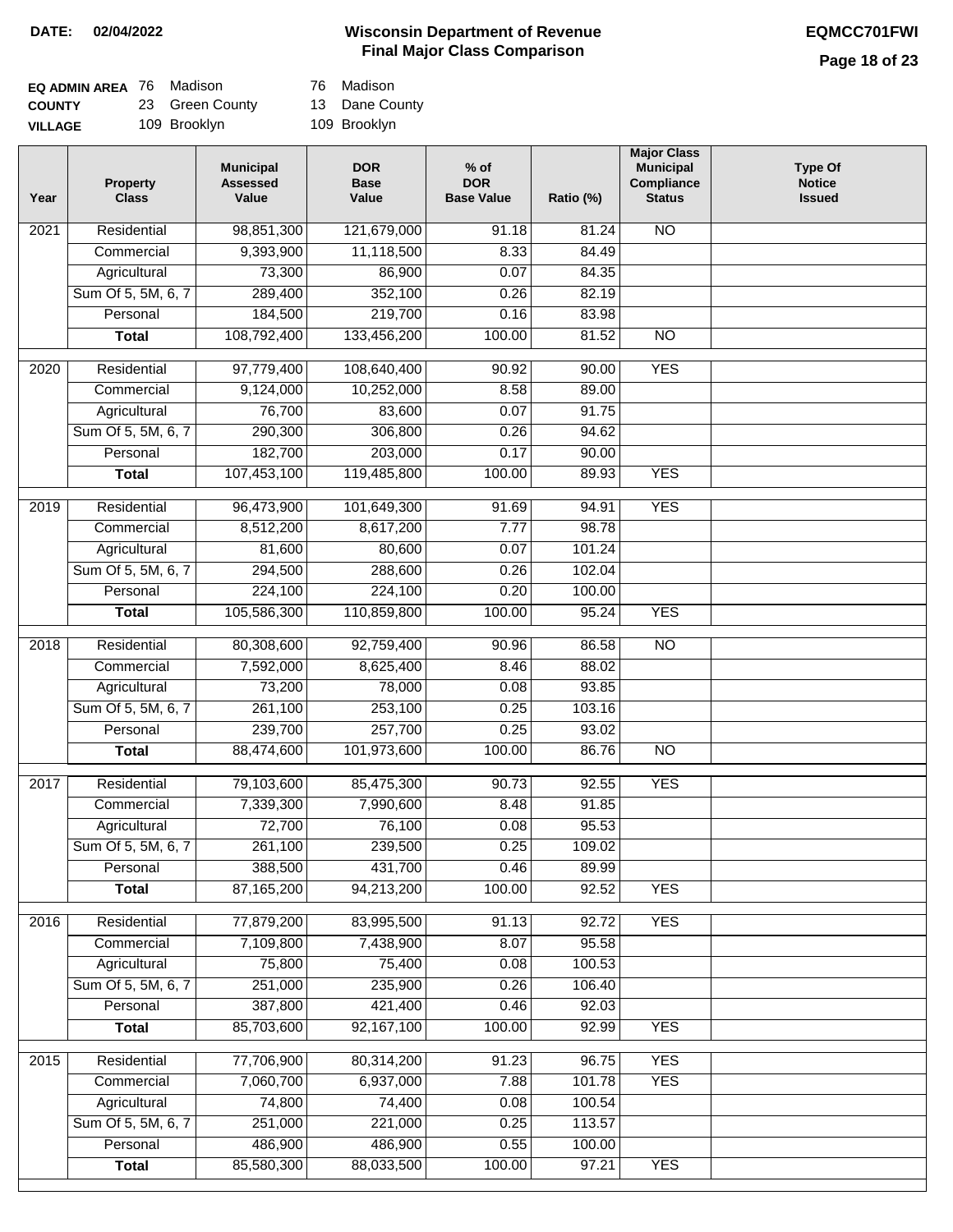# **Page 18 of 23**

| <b>EQ ADMIN AREA 76 Madison</b> |                 | 76 Madison     |
|---------------------------------|-----------------|----------------|
| <b>COUNTY</b>                   | 23 Green County | 13 Dane County |
| <b>VILLAGE</b>                  | 109 Brooklyn    | 109 Brooklyn   |

| 76 | Madisor |
|----|---------|
|    |         |

| Year              | <b>Property</b><br><b>Class</b> | <b>Municipal</b><br><b>Assessed</b><br>Value | <b>DOR</b><br><b>Base</b><br>Value | $%$ of<br><b>DOR</b><br><b>Base Value</b> | Ratio (%) | <b>Major Class</b><br><b>Municipal</b><br>Compliance<br><b>Status</b> | <b>Type Of</b><br><b>Notice</b><br><b>Issued</b> |
|-------------------|---------------------------------|----------------------------------------------|------------------------------------|-------------------------------------------|-----------|-----------------------------------------------------------------------|--------------------------------------------------|
| 2021              | Residential                     | 98,851,300                                   | 121,679,000                        | 91.18                                     | 81.24     | N <sub>O</sub>                                                        |                                                  |
|                   | Commercial                      | 9,393,900                                    | 11,118,500                         | 8.33                                      | 84.49     |                                                                       |                                                  |
|                   | Agricultural                    | 73,300                                       | 86,900                             | 0.07                                      | 84.35     |                                                                       |                                                  |
|                   | Sum Of 5, 5M, 6, 7              | 289,400                                      | 352,100                            | 0.26                                      | 82.19     |                                                                       |                                                  |
|                   | Personal                        | 184,500                                      | 219,700                            | 0.16                                      | 83.98     |                                                                       |                                                  |
|                   | <b>Total</b>                    | 108,792,400                                  | 133,456,200                        | 100.00                                    | 81.52     | <b>NO</b>                                                             |                                                  |
| $\overline{2020}$ | Residential                     | 97,779,400                                   | 108,640,400                        | 90.92                                     | 90.00     | <b>YES</b>                                                            |                                                  |
|                   | Commercial                      | 9,124,000                                    | 10,252,000                         | 8.58                                      | 89.00     |                                                                       |                                                  |
|                   | Agricultural                    | 76,700                                       | 83,600                             | 0.07                                      | 91.75     |                                                                       |                                                  |
|                   | Sum Of 5, 5M, 6, 7              | 290,300                                      | 306,800                            | 0.26                                      | 94.62     |                                                                       |                                                  |
|                   | Personal                        | 182,700                                      | 203,000                            | 0.17                                      | 90.00     |                                                                       |                                                  |
|                   | <b>Total</b>                    | 107,453,100                                  | 119,485,800                        | 100.00                                    | 89.93     | <b>YES</b>                                                            |                                                  |
|                   |                                 |                                              |                                    |                                           |           |                                                                       |                                                  |
| $\frac{1}{2019}$  | Residential                     | 96,473,900                                   | 101,649,300                        | $\frac{1}{91.69}$                         | 94.91     | <b>YES</b>                                                            |                                                  |
|                   | Commercial                      | 8,512,200                                    | 8,617,200                          | 7.77                                      | 98.78     |                                                                       |                                                  |
|                   | Agricultural                    | 81,600                                       | 80,600                             | 0.07                                      | 101.24    |                                                                       |                                                  |
|                   | Sum Of 5, 5M, 6, 7              | 294,500                                      | 288,600                            | 0.26                                      | 102.04    |                                                                       |                                                  |
|                   | Personal                        | 224,100                                      | 224,100                            | 0.20                                      | 100.00    |                                                                       |                                                  |
|                   | <b>Total</b>                    | 105,586,300                                  | 110,859,800                        | 100.00                                    | 95.24     | <b>YES</b>                                                            |                                                  |
| 2018              | Residential                     | 80,308,600                                   | 92,759,400                         | 90.96                                     | 86.58     | $\overline{10}$                                                       |                                                  |
|                   | Commercial                      | 7,592,000                                    | 8,625,400                          | 8.46                                      | 88.02     |                                                                       |                                                  |
|                   | Agricultural                    | 73,200                                       | 78,000                             | 0.08                                      | 93.85     |                                                                       |                                                  |
|                   | Sum Of 5, 5M, 6, 7              | 261,100                                      | 253,100                            | 0.25                                      | 103.16    |                                                                       |                                                  |
|                   | Personal                        | 239,700                                      | 257,700                            | 0.25                                      | 93.02     |                                                                       |                                                  |
|                   | <b>Total</b>                    | 88,474,600                                   | 101,973,600                        | 100.00                                    | 86.76     | $\overline{10}$                                                       |                                                  |
| 2017              | Residential                     | 79,103,600                                   | 85,475,300                         | 90.73                                     | 92.55     | <b>YES</b>                                                            |                                                  |
|                   | Commercial                      | 7,339,300                                    | 7,990,600                          | 8.48                                      | 91.85     |                                                                       |                                                  |
|                   | Agricultural                    | 72,700                                       | 76,100                             | 0.08                                      | 95.53     |                                                                       |                                                  |
|                   | Sum Of 5, 5M, 6, 7              | 261,100                                      | 239,500                            | 0.25                                      | 109.02    |                                                                       |                                                  |
|                   | Personal                        | 388,500                                      | 431,700                            | 0.46                                      | 89.99     |                                                                       |                                                  |
|                   | <b>Total</b>                    | 87,165,200                                   | 94,213,200                         | 100.00                                    | 92.52     | <b>YES</b>                                                            |                                                  |
| 2016              | Residential                     | 77,879,200                                   | 83,995,500                         | 91.13                                     | 92.72     | <b>YES</b>                                                            |                                                  |
|                   | Commercial                      | 7,109,800                                    | 7,438,900                          | 8.07                                      | 95.58     |                                                                       |                                                  |
|                   | Agricultural                    | 75,800                                       | 75,400                             | 0.08                                      | 100.53    |                                                                       |                                                  |
|                   | Sum Of 5, 5M, 6, 7              | 251,000                                      | 235,900                            | 0.26                                      | 106.40    |                                                                       |                                                  |
|                   | Personal                        | 387,800                                      | 421,400                            | 0.46                                      | 92.03     |                                                                       |                                                  |
|                   | <b>Total</b>                    | 85,703,600                                   | 92,167,100                         | 100.00                                    | 92.99     | <b>YES</b>                                                            |                                                  |
|                   |                                 |                                              |                                    |                                           |           |                                                                       |                                                  |
| 2015              | Residential                     | 77,706,900                                   | 80,314,200                         | 91.23                                     | 96.75     | <b>YES</b>                                                            |                                                  |
|                   | Commercial                      | 7,060,700                                    | 6,937,000                          | 7.88                                      | 101.78    | <b>YES</b>                                                            |                                                  |
|                   | Agricultural                    | 74,800                                       | 74,400                             | 0.08                                      | 100.54    |                                                                       |                                                  |
|                   | Sum Of 5, 5M, 6, 7              | 251,000                                      | 221,000                            | 0.25                                      | 113.57    |                                                                       |                                                  |
|                   | Personal                        | 486,900                                      | 486,900                            | 0.55                                      | 100.00    |                                                                       |                                                  |
|                   | <b>Total</b>                    | 85,580,300                                   | 88,033,500                         | 100.00                                    | 97.21     | <b>YES</b>                                                            |                                                  |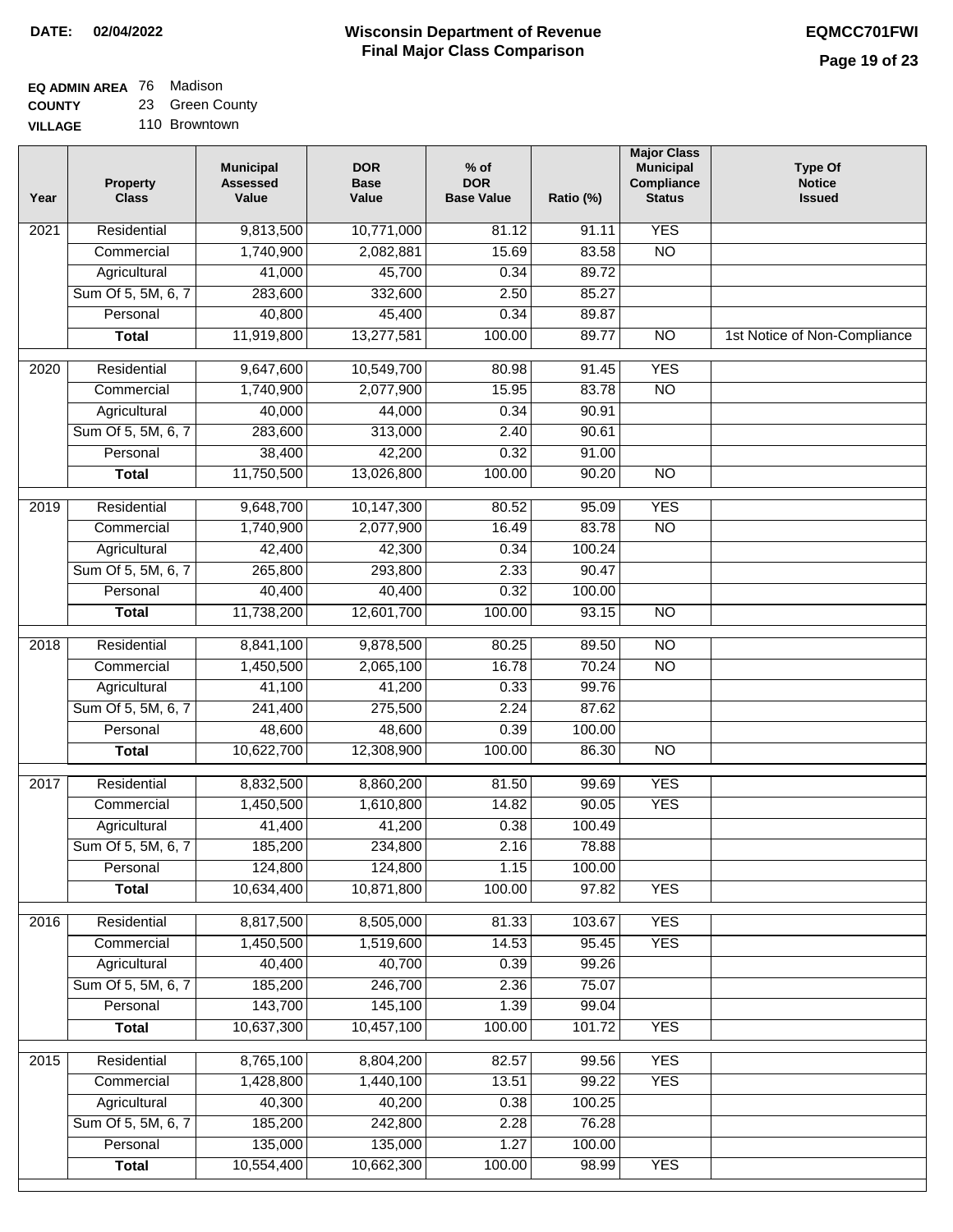# **EQ ADMIN AREA** 76 Madison **COUNTY**

**VILLAGE** 23 Green County 110 Browntown

| 9,813,500<br><b>YES</b><br>Residential<br>10,771,000<br>81.12<br>91.11<br>2021<br>1,740,900<br>15.69<br>$\overline{NO}$<br>Commercial<br>2,082,881<br>83.58<br>45,700<br>41,000<br>0.34<br>89.72<br>Agricultural<br>Sum Of 5, 5M, 6, 7<br>283,600<br>332,600<br>2.50<br>85.27<br>Personal<br>40,800<br>45,400<br>0.34<br>89.87<br>11,919,800<br>13,277,581<br>100.00<br>89.77<br>$\overline{NO}$<br><b>Total</b><br><b>YES</b><br>Residential<br>9,647,600<br>10,549,700<br>80.98<br>91.45<br>2020<br>1,740,900<br>2,077,900<br>15.95<br>83.78<br>$\overline{NO}$<br>Commercial<br>90.91<br>Agricultural<br>40,000<br>44,000<br>0.34<br>Sum Of 5, 5M, 6, 7<br>283,600<br>313,000<br>2.40<br>90.61<br>38,400<br>42,200<br>0.32<br>91.00<br>Personal<br>11,750,500<br>13,026,800<br>100.00<br>90.20<br><b>NO</b><br><b>Total</b><br><b>YES</b><br>2019<br>Residential<br>9,648,700<br>10,147,300<br>80.52<br>95.09<br>83.78<br>$\overline{NO}$<br>Commercial<br>1,740,900<br>2,077,900<br>16.49<br>42,400<br>42,300<br>100.24<br>Agricultural<br>0.34<br>Sum Of 5, 5M, 6, 7<br>265,800<br>293,800<br>2.33<br>90.47<br>40,400<br>40,400<br>Personal<br>0.32<br>100.00<br>11,738,200<br>12,601,700<br>100.00<br>93.15<br>$\overline{NO}$<br><b>Total</b><br>8,841,100<br>$\overline{NO}$<br>2018<br>Residential<br>9,878,500<br>80.25<br>89.50<br>16.78<br><b>NO</b><br>Commercial<br>1,450,500<br>2,065,100<br>70.24<br>41,100<br>41,200<br>0.33<br>99.76<br>Agricultural<br>Sum Of 5, 5M, 6, 7<br>241,400<br>275,500<br>2.24<br>87.62<br>48,600<br>0.39<br>48,600<br>100.00<br>Personal<br>10,622,700<br>12,308,900<br>100.00<br>86.30<br>$\overline{10}$<br><b>Total</b><br><b>YES</b><br>Residential<br>8,832,500<br>81.50<br>99.69<br>2017<br>8,860,200<br>1,450,500<br>1,610,800<br>14.82<br>90.05<br><b>YES</b><br>Commercial<br>0.38<br>41,400<br>41,200<br>100.49<br>Agricultural<br>Sum Of 5, 5M, 6, 7<br>185,200<br>234,800<br>2.16<br>78.88<br>124,800<br>124,800<br>Personal<br>1.15<br>100.00<br>10,871,800<br>10,634,400<br>100.00<br>97.82<br><b>YES</b><br><b>Total</b><br>2016<br>Residential<br>8,817,500<br>8,505,000<br>103.67<br><b>YES</b><br>81.33<br>1,450,500<br><b>YES</b><br>Commercial<br>1,519,600<br>14.53<br>95.45<br>40,400<br>40,700<br>0.39<br>99.26<br>Agricultural<br>185,200<br>246,700<br>Sum Of 5, 5M, 6, 7<br>2.36<br>75.07<br>143,700<br>145,100<br>Personal<br>1.39<br>99.04<br>10,637,300<br>10,457,100<br>100.00<br>101.72<br><b>YES</b><br><b>Total</b><br>8,765,100<br>8,804,200<br><b>YES</b><br>2015<br>Residential<br>82.57<br>99.56<br>1,440,100<br>13.51<br>99.22<br><b>YES</b><br>Commercial<br>1,428,800 | Year | <b>Property</b><br><b>Class</b> | <b>Municipal</b><br><b>Assessed</b><br>Value | <b>DOR</b><br><b>Base</b><br>Value | $%$ of<br><b>DOR</b><br><b>Base Value</b> | Ratio (%) | <b>Major Class</b><br><b>Municipal</b><br>Compliance<br><b>Status</b> | <b>Type Of</b><br><b>Notice</b><br><b>Issued</b> |
|------------------------------------------------------------------------------------------------------------------------------------------------------------------------------------------------------------------------------------------------------------------------------------------------------------------------------------------------------------------------------------------------------------------------------------------------------------------------------------------------------------------------------------------------------------------------------------------------------------------------------------------------------------------------------------------------------------------------------------------------------------------------------------------------------------------------------------------------------------------------------------------------------------------------------------------------------------------------------------------------------------------------------------------------------------------------------------------------------------------------------------------------------------------------------------------------------------------------------------------------------------------------------------------------------------------------------------------------------------------------------------------------------------------------------------------------------------------------------------------------------------------------------------------------------------------------------------------------------------------------------------------------------------------------------------------------------------------------------------------------------------------------------------------------------------------------------------------------------------------------------------------------------------------------------------------------------------------------------------------------------------------------------------------------------------------------------------------------------------------------------------------------------------------------------------------------------------------------------------------------------------------------------------------------------------------------------------------------------------------------------------------------------------------------------------------------------------------------------------------------------------------------------------------------------------------------------------------------------------------------------------------------------------|------|---------------------------------|----------------------------------------------|------------------------------------|-------------------------------------------|-----------|-----------------------------------------------------------------------|--------------------------------------------------|
|                                                                                                                                                                                                                                                                                                                                                                                                                                                                                                                                                                                                                                                                                                                                                                                                                                                                                                                                                                                                                                                                                                                                                                                                                                                                                                                                                                                                                                                                                                                                                                                                                                                                                                                                                                                                                                                                                                                                                                                                                                                                                                                                                                                                                                                                                                                                                                                                                                                                                                                                                                                                                                                            |      |                                 |                                              |                                    |                                           |           |                                                                       |                                                  |
|                                                                                                                                                                                                                                                                                                                                                                                                                                                                                                                                                                                                                                                                                                                                                                                                                                                                                                                                                                                                                                                                                                                                                                                                                                                                                                                                                                                                                                                                                                                                                                                                                                                                                                                                                                                                                                                                                                                                                                                                                                                                                                                                                                                                                                                                                                                                                                                                                                                                                                                                                                                                                                                            |      |                                 |                                              |                                    |                                           |           |                                                                       |                                                  |
|                                                                                                                                                                                                                                                                                                                                                                                                                                                                                                                                                                                                                                                                                                                                                                                                                                                                                                                                                                                                                                                                                                                                                                                                                                                                                                                                                                                                                                                                                                                                                                                                                                                                                                                                                                                                                                                                                                                                                                                                                                                                                                                                                                                                                                                                                                                                                                                                                                                                                                                                                                                                                                                            |      |                                 |                                              |                                    |                                           |           |                                                                       |                                                  |
|                                                                                                                                                                                                                                                                                                                                                                                                                                                                                                                                                                                                                                                                                                                                                                                                                                                                                                                                                                                                                                                                                                                                                                                                                                                                                                                                                                                                                                                                                                                                                                                                                                                                                                                                                                                                                                                                                                                                                                                                                                                                                                                                                                                                                                                                                                                                                                                                                                                                                                                                                                                                                                                            |      |                                 |                                              |                                    |                                           |           |                                                                       |                                                  |
|                                                                                                                                                                                                                                                                                                                                                                                                                                                                                                                                                                                                                                                                                                                                                                                                                                                                                                                                                                                                                                                                                                                                                                                                                                                                                                                                                                                                                                                                                                                                                                                                                                                                                                                                                                                                                                                                                                                                                                                                                                                                                                                                                                                                                                                                                                                                                                                                                                                                                                                                                                                                                                                            |      |                                 |                                              |                                    |                                           |           |                                                                       |                                                  |
|                                                                                                                                                                                                                                                                                                                                                                                                                                                                                                                                                                                                                                                                                                                                                                                                                                                                                                                                                                                                                                                                                                                                                                                                                                                                                                                                                                                                                                                                                                                                                                                                                                                                                                                                                                                                                                                                                                                                                                                                                                                                                                                                                                                                                                                                                                                                                                                                                                                                                                                                                                                                                                                            |      |                                 |                                              |                                    |                                           |           |                                                                       | 1st Notice of Non-Compliance                     |
|                                                                                                                                                                                                                                                                                                                                                                                                                                                                                                                                                                                                                                                                                                                                                                                                                                                                                                                                                                                                                                                                                                                                                                                                                                                                                                                                                                                                                                                                                                                                                                                                                                                                                                                                                                                                                                                                                                                                                                                                                                                                                                                                                                                                                                                                                                                                                                                                                                                                                                                                                                                                                                                            |      |                                 |                                              |                                    |                                           |           |                                                                       |                                                  |
|                                                                                                                                                                                                                                                                                                                                                                                                                                                                                                                                                                                                                                                                                                                                                                                                                                                                                                                                                                                                                                                                                                                                                                                                                                                                                                                                                                                                                                                                                                                                                                                                                                                                                                                                                                                                                                                                                                                                                                                                                                                                                                                                                                                                                                                                                                                                                                                                                                                                                                                                                                                                                                                            |      |                                 |                                              |                                    |                                           |           |                                                                       |                                                  |
|                                                                                                                                                                                                                                                                                                                                                                                                                                                                                                                                                                                                                                                                                                                                                                                                                                                                                                                                                                                                                                                                                                                                                                                                                                                                                                                                                                                                                                                                                                                                                                                                                                                                                                                                                                                                                                                                                                                                                                                                                                                                                                                                                                                                                                                                                                                                                                                                                                                                                                                                                                                                                                                            |      |                                 |                                              |                                    |                                           |           |                                                                       |                                                  |
|                                                                                                                                                                                                                                                                                                                                                                                                                                                                                                                                                                                                                                                                                                                                                                                                                                                                                                                                                                                                                                                                                                                                                                                                                                                                                                                                                                                                                                                                                                                                                                                                                                                                                                                                                                                                                                                                                                                                                                                                                                                                                                                                                                                                                                                                                                                                                                                                                                                                                                                                                                                                                                                            |      |                                 |                                              |                                    |                                           |           |                                                                       |                                                  |
|                                                                                                                                                                                                                                                                                                                                                                                                                                                                                                                                                                                                                                                                                                                                                                                                                                                                                                                                                                                                                                                                                                                                                                                                                                                                                                                                                                                                                                                                                                                                                                                                                                                                                                                                                                                                                                                                                                                                                                                                                                                                                                                                                                                                                                                                                                                                                                                                                                                                                                                                                                                                                                                            |      |                                 |                                              |                                    |                                           |           |                                                                       |                                                  |
|                                                                                                                                                                                                                                                                                                                                                                                                                                                                                                                                                                                                                                                                                                                                                                                                                                                                                                                                                                                                                                                                                                                                                                                                                                                                                                                                                                                                                                                                                                                                                                                                                                                                                                                                                                                                                                                                                                                                                                                                                                                                                                                                                                                                                                                                                                                                                                                                                                                                                                                                                                                                                                                            |      |                                 |                                              |                                    |                                           |           |                                                                       |                                                  |
|                                                                                                                                                                                                                                                                                                                                                                                                                                                                                                                                                                                                                                                                                                                                                                                                                                                                                                                                                                                                                                                                                                                                                                                                                                                                                                                                                                                                                                                                                                                                                                                                                                                                                                                                                                                                                                                                                                                                                                                                                                                                                                                                                                                                                                                                                                                                                                                                                                                                                                                                                                                                                                                            |      |                                 |                                              |                                    |                                           |           |                                                                       |                                                  |
|                                                                                                                                                                                                                                                                                                                                                                                                                                                                                                                                                                                                                                                                                                                                                                                                                                                                                                                                                                                                                                                                                                                                                                                                                                                                                                                                                                                                                                                                                                                                                                                                                                                                                                                                                                                                                                                                                                                                                                                                                                                                                                                                                                                                                                                                                                                                                                                                                                                                                                                                                                                                                                                            |      |                                 |                                              |                                    |                                           |           |                                                                       |                                                  |
|                                                                                                                                                                                                                                                                                                                                                                                                                                                                                                                                                                                                                                                                                                                                                                                                                                                                                                                                                                                                                                                                                                                                                                                                                                                                                                                                                                                                                                                                                                                                                                                                                                                                                                                                                                                                                                                                                                                                                                                                                                                                                                                                                                                                                                                                                                                                                                                                                                                                                                                                                                                                                                                            |      |                                 |                                              |                                    |                                           |           |                                                                       |                                                  |
|                                                                                                                                                                                                                                                                                                                                                                                                                                                                                                                                                                                                                                                                                                                                                                                                                                                                                                                                                                                                                                                                                                                                                                                                                                                                                                                                                                                                                                                                                                                                                                                                                                                                                                                                                                                                                                                                                                                                                                                                                                                                                                                                                                                                                                                                                                                                                                                                                                                                                                                                                                                                                                                            |      |                                 |                                              |                                    |                                           |           |                                                                       |                                                  |
|                                                                                                                                                                                                                                                                                                                                                                                                                                                                                                                                                                                                                                                                                                                                                                                                                                                                                                                                                                                                                                                                                                                                                                                                                                                                                                                                                                                                                                                                                                                                                                                                                                                                                                                                                                                                                                                                                                                                                                                                                                                                                                                                                                                                                                                                                                                                                                                                                                                                                                                                                                                                                                                            |      |                                 |                                              |                                    |                                           |           |                                                                       |                                                  |
|                                                                                                                                                                                                                                                                                                                                                                                                                                                                                                                                                                                                                                                                                                                                                                                                                                                                                                                                                                                                                                                                                                                                                                                                                                                                                                                                                                                                                                                                                                                                                                                                                                                                                                                                                                                                                                                                                                                                                                                                                                                                                                                                                                                                                                                                                                                                                                                                                                                                                                                                                                                                                                                            |      |                                 |                                              |                                    |                                           |           |                                                                       |                                                  |
|                                                                                                                                                                                                                                                                                                                                                                                                                                                                                                                                                                                                                                                                                                                                                                                                                                                                                                                                                                                                                                                                                                                                                                                                                                                                                                                                                                                                                                                                                                                                                                                                                                                                                                                                                                                                                                                                                                                                                                                                                                                                                                                                                                                                                                                                                                                                                                                                                                                                                                                                                                                                                                                            |      |                                 |                                              |                                    |                                           |           |                                                                       |                                                  |
|                                                                                                                                                                                                                                                                                                                                                                                                                                                                                                                                                                                                                                                                                                                                                                                                                                                                                                                                                                                                                                                                                                                                                                                                                                                                                                                                                                                                                                                                                                                                                                                                                                                                                                                                                                                                                                                                                                                                                                                                                                                                                                                                                                                                                                                                                                                                                                                                                                                                                                                                                                                                                                                            |      |                                 |                                              |                                    |                                           |           |                                                                       |                                                  |
|                                                                                                                                                                                                                                                                                                                                                                                                                                                                                                                                                                                                                                                                                                                                                                                                                                                                                                                                                                                                                                                                                                                                                                                                                                                                                                                                                                                                                                                                                                                                                                                                                                                                                                                                                                                                                                                                                                                                                                                                                                                                                                                                                                                                                                                                                                                                                                                                                                                                                                                                                                                                                                                            |      |                                 |                                              |                                    |                                           |           |                                                                       |                                                  |
|                                                                                                                                                                                                                                                                                                                                                                                                                                                                                                                                                                                                                                                                                                                                                                                                                                                                                                                                                                                                                                                                                                                                                                                                                                                                                                                                                                                                                                                                                                                                                                                                                                                                                                                                                                                                                                                                                                                                                                                                                                                                                                                                                                                                                                                                                                                                                                                                                                                                                                                                                                                                                                                            |      |                                 |                                              |                                    |                                           |           |                                                                       |                                                  |
|                                                                                                                                                                                                                                                                                                                                                                                                                                                                                                                                                                                                                                                                                                                                                                                                                                                                                                                                                                                                                                                                                                                                                                                                                                                                                                                                                                                                                                                                                                                                                                                                                                                                                                                                                                                                                                                                                                                                                                                                                                                                                                                                                                                                                                                                                                                                                                                                                                                                                                                                                                                                                                                            |      |                                 |                                              |                                    |                                           |           |                                                                       |                                                  |
|                                                                                                                                                                                                                                                                                                                                                                                                                                                                                                                                                                                                                                                                                                                                                                                                                                                                                                                                                                                                                                                                                                                                                                                                                                                                                                                                                                                                                                                                                                                                                                                                                                                                                                                                                                                                                                                                                                                                                                                                                                                                                                                                                                                                                                                                                                                                                                                                                                                                                                                                                                                                                                                            |      |                                 |                                              |                                    |                                           |           |                                                                       |                                                  |
|                                                                                                                                                                                                                                                                                                                                                                                                                                                                                                                                                                                                                                                                                                                                                                                                                                                                                                                                                                                                                                                                                                                                                                                                                                                                                                                                                                                                                                                                                                                                                                                                                                                                                                                                                                                                                                                                                                                                                                                                                                                                                                                                                                                                                                                                                                                                                                                                                                                                                                                                                                                                                                                            |      |                                 |                                              |                                    |                                           |           |                                                                       |                                                  |
|                                                                                                                                                                                                                                                                                                                                                                                                                                                                                                                                                                                                                                                                                                                                                                                                                                                                                                                                                                                                                                                                                                                                                                                                                                                                                                                                                                                                                                                                                                                                                                                                                                                                                                                                                                                                                                                                                                                                                                                                                                                                                                                                                                                                                                                                                                                                                                                                                                                                                                                                                                                                                                                            |      |                                 |                                              |                                    |                                           |           |                                                                       |                                                  |
|                                                                                                                                                                                                                                                                                                                                                                                                                                                                                                                                                                                                                                                                                                                                                                                                                                                                                                                                                                                                                                                                                                                                                                                                                                                                                                                                                                                                                                                                                                                                                                                                                                                                                                                                                                                                                                                                                                                                                                                                                                                                                                                                                                                                                                                                                                                                                                                                                                                                                                                                                                                                                                                            |      |                                 |                                              |                                    |                                           |           |                                                                       |                                                  |
|                                                                                                                                                                                                                                                                                                                                                                                                                                                                                                                                                                                                                                                                                                                                                                                                                                                                                                                                                                                                                                                                                                                                                                                                                                                                                                                                                                                                                                                                                                                                                                                                                                                                                                                                                                                                                                                                                                                                                                                                                                                                                                                                                                                                                                                                                                                                                                                                                                                                                                                                                                                                                                                            |      |                                 |                                              |                                    |                                           |           |                                                                       |                                                  |
|                                                                                                                                                                                                                                                                                                                                                                                                                                                                                                                                                                                                                                                                                                                                                                                                                                                                                                                                                                                                                                                                                                                                                                                                                                                                                                                                                                                                                                                                                                                                                                                                                                                                                                                                                                                                                                                                                                                                                                                                                                                                                                                                                                                                                                                                                                                                                                                                                                                                                                                                                                                                                                                            |      |                                 |                                              |                                    |                                           |           |                                                                       |                                                  |
|                                                                                                                                                                                                                                                                                                                                                                                                                                                                                                                                                                                                                                                                                                                                                                                                                                                                                                                                                                                                                                                                                                                                                                                                                                                                                                                                                                                                                                                                                                                                                                                                                                                                                                                                                                                                                                                                                                                                                                                                                                                                                                                                                                                                                                                                                                                                                                                                                                                                                                                                                                                                                                                            |      |                                 |                                              |                                    |                                           |           |                                                                       |                                                  |
|                                                                                                                                                                                                                                                                                                                                                                                                                                                                                                                                                                                                                                                                                                                                                                                                                                                                                                                                                                                                                                                                                                                                                                                                                                                                                                                                                                                                                                                                                                                                                                                                                                                                                                                                                                                                                                                                                                                                                                                                                                                                                                                                                                                                                                                                                                                                                                                                                                                                                                                                                                                                                                                            |      |                                 |                                              |                                    |                                           |           |                                                                       |                                                  |
|                                                                                                                                                                                                                                                                                                                                                                                                                                                                                                                                                                                                                                                                                                                                                                                                                                                                                                                                                                                                                                                                                                                                                                                                                                                                                                                                                                                                                                                                                                                                                                                                                                                                                                                                                                                                                                                                                                                                                                                                                                                                                                                                                                                                                                                                                                                                                                                                                                                                                                                                                                                                                                                            |      |                                 |                                              |                                    |                                           |           |                                                                       |                                                  |
|                                                                                                                                                                                                                                                                                                                                                                                                                                                                                                                                                                                                                                                                                                                                                                                                                                                                                                                                                                                                                                                                                                                                                                                                                                                                                                                                                                                                                                                                                                                                                                                                                                                                                                                                                                                                                                                                                                                                                                                                                                                                                                                                                                                                                                                                                                                                                                                                                                                                                                                                                                                                                                                            |      |                                 |                                              |                                    |                                           |           |                                                                       |                                                  |
|                                                                                                                                                                                                                                                                                                                                                                                                                                                                                                                                                                                                                                                                                                                                                                                                                                                                                                                                                                                                                                                                                                                                                                                                                                                                                                                                                                                                                                                                                                                                                                                                                                                                                                                                                                                                                                                                                                                                                                                                                                                                                                                                                                                                                                                                                                                                                                                                                                                                                                                                                                                                                                                            |      |                                 |                                              |                                    |                                           |           |                                                                       |                                                  |
|                                                                                                                                                                                                                                                                                                                                                                                                                                                                                                                                                                                                                                                                                                                                                                                                                                                                                                                                                                                                                                                                                                                                                                                                                                                                                                                                                                                                                                                                                                                                                                                                                                                                                                                                                                                                                                                                                                                                                                                                                                                                                                                                                                                                                                                                                                                                                                                                                                                                                                                                                                                                                                                            |      |                                 |                                              |                                    |                                           |           |                                                                       |                                                  |
|                                                                                                                                                                                                                                                                                                                                                                                                                                                                                                                                                                                                                                                                                                                                                                                                                                                                                                                                                                                                                                                                                                                                                                                                                                                                                                                                                                                                                                                                                                                                                                                                                                                                                                                                                                                                                                                                                                                                                                                                                                                                                                                                                                                                                                                                                                                                                                                                                                                                                                                                                                                                                                                            |      |                                 |                                              |                                    |                                           |           |                                                                       |                                                  |
|                                                                                                                                                                                                                                                                                                                                                                                                                                                                                                                                                                                                                                                                                                                                                                                                                                                                                                                                                                                                                                                                                                                                                                                                                                                                                                                                                                                                                                                                                                                                                                                                                                                                                                                                                                                                                                                                                                                                                                                                                                                                                                                                                                                                                                                                                                                                                                                                                                                                                                                                                                                                                                                            |      |                                 |                                              |                                    |                                           |           |                                                                       |                                                  |
|                                                                                                                                                                                                                                                                                                                                                                                                                                                                                                                                                                                                                                                                                                                                                                                                                                                                                                                                                                                                                                                                                                                                                                                                                                                                                                                                                                                                                                                                                                                                                                                                                                                                                                                                                                                                                                                                                                                                                                                                                                                                                                                                                                                                                                                                                                                                                                                                                                                                                                                                                                                                                                                            |      |                                 |                                              |                                    |                                           |           |                                                                       |                                                  |
|                                                                                                                                                                                                                                                                                                                                                                                                                                                                                                                                                                                                                                                                                                                                                                                                                                                                                                                                                                                                                                                                                                                                                                                                                                                                                                                                                                                                                                                                                                                                                                                                                                                                                                                                                                                                                                                                                                                                                                                                                                                                                                                                                                                                                                                                                                                                                                                                                                                                                                                                                                                                                                                            |      |                                 |                                              |                                    |                                           |           |                                                                       |                                                  |
|                                                                                                                                                                                                                                                                                                                                                                                                                                                                                                                                                                                                                                                                                                                                                                                                                                                                                                                                                                                                                                                                                                                                                                                                                                                                                                                                                                                                                                                                                                                                                                                                                                                                                                                                                                                                                                                                                                                                                                                                                                                                                                                                                                                                                                                                                                                                                                                                                                                                                                                                                                                                                                                            |      | Agricultural                    | 40,300                                       | 40,200                             | 0.38                                      | 100.25    |                                                                       |                                                  |
| Sum Of 5, 5M, 6, 7<br>185,200<br>242,800<br>76.28<br>2.28                                                                                                                                                                                                                                                                                                                                                                                                                                                                                                                                                                                                                                                                                                                                                                                                                                                                                                                                                                                                                                                                                                                                                                                                                                                                                                                                                                                                                                                                                                                                                                                                                                                                                                                                                                                                                                                                                                                                                                                                                                                                                                                                                                                                                                                                                                                                                                                                                                                                                                                                                                                                  |      |                                 |                                              |                                    |                                           |           |                                                                       |                                                  |
| 135,000<br>135,000<br>1.27<br>Personal<br>100.00                                                                                                                                                                                                                                                                                                                                                                                                                                                                                                                                                                                                                                                                                                                                                                                                                                                                                                                                                                                                                                                                                                                                                                                                                                                                                                                                                                                                                                                                                                                                                                                                                                                                                                                                                                                                                                                                                                                                                                                                                                                                                                                                                                                                                                                                                                                                                                                                                                                                                                                                                                                                           |      |                                 |                                              |                                    |                                           |           |                                                                       |                                                  |
| 10,554,400<br>10,662,300<br>100.00<br><b>YES</b><br>98.99<br><b>Total</b>                                                                                                                                                                                                                                                                                                                                                                                                                                                                                                                                                                                                                                                                                                                                                                                                                                                                                                                                                                                                                                                                                                                                                                                                                                                                                                                                                                                                                                                                                                                                                                                                                                                                                                                                                                                                                                                                                                                                                                                                                                                                                                                                                                                                                                                                                                                                                                                                                                                                                                                                                                                  |      |                                 |                                              |                                    |                                           |           |                                                                       |                                                  |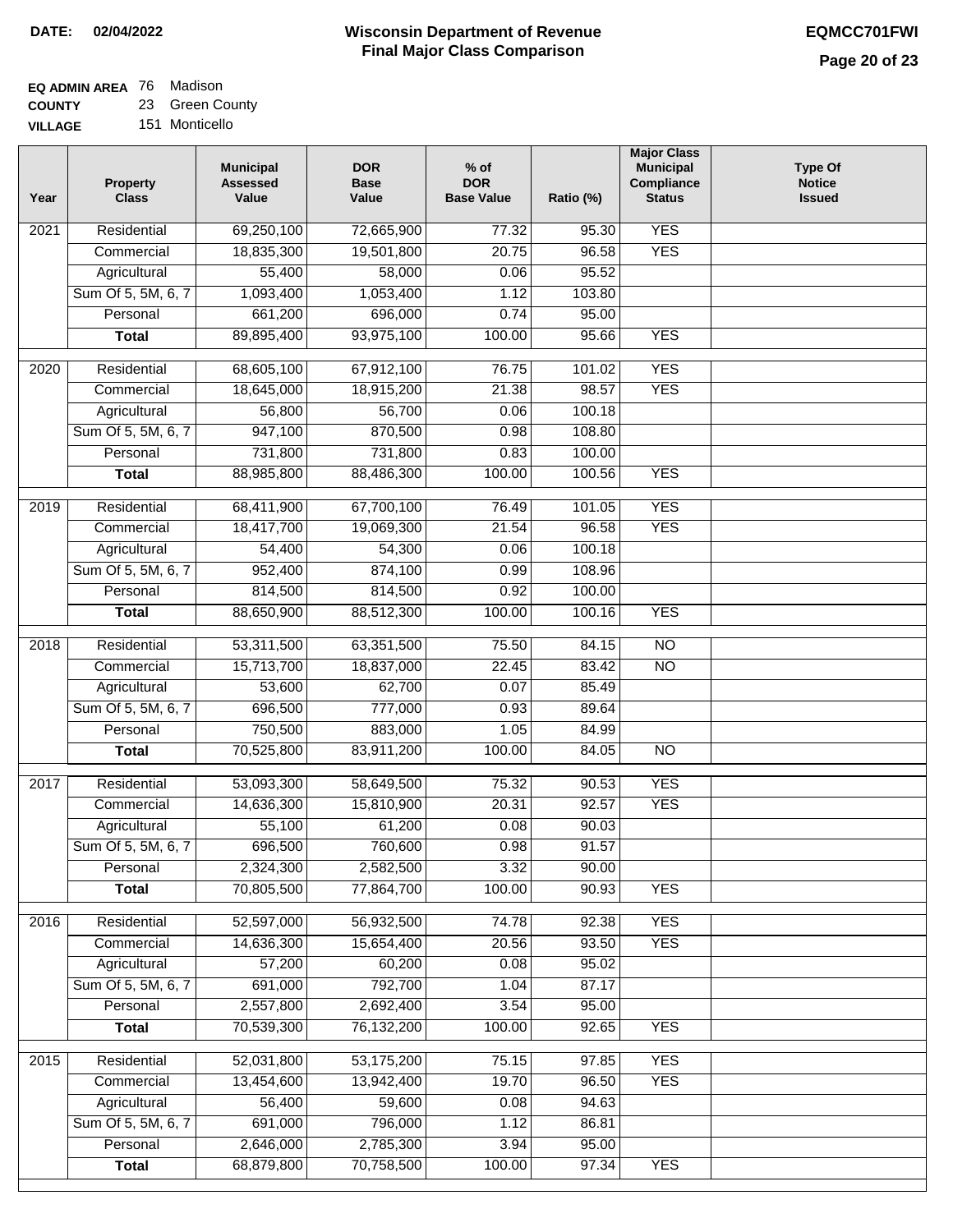# **EQ ADMIN AREA** 76 Madison **COUNTY**

**VILLAGE** 23 Green County 151 Monticello

| Year              | <b>Property</b><br><b>Class</b>    | <b>Municipal</b><br><b>Assessed</b><br>Value | <b>DOR</b><br><b>Base</b><br>Value | % of<br><b>DOR</b><br><b>Base Value</b> | Ratio (%)      | <b>Major Class</b><br><b>Municipal</b><br>Compliance<br><b>Status</b> | <b>Type Of</b><br><b>Notice</b><br><b>Issued</b> |
|-------------------|------------------------------------|----------------------------------------------|------------------------------------|-----------------------------------------|----------------|-----------------------------------------------------------------------|--------------------------------------------------|
| 2021              | Residential                        | 69,250,100                                   | 72,665,900                         | 77.32                                   | 95.30          | <b>YES</b>                                                            |                                                  |
|                   | Commercial                         | 18,835,300                                   | 19,501,800                         | 20.75                                   | 96.58          | <b>YES</b>                                                            |                                                  |
|                   | Agricultural                       | 55,400                                       | 58,000                             | 0.06                                    | 95.52          |                                                                       |                                                  |
|                   | Sum Of 5, 5M, 6, 7                 | 1,093,400                                    | 1,053,400                          | 1.12                                    | 103.80         |                                                                       |                                                  |
|                   | Personal                           | 661,200                                      | 696,000                            | 0.74                                    | 95.00          |                                                                       |                                                  |
|                   | <b>Total</b>                       | 89,895,400                                   | 93,975,100                         | 100.00                                  | 95.66          | <b>YES</b>                                                            |                                                  |
| $\overline{2020}$ | Residential                        | 68,605,100                                   | 67,912,100                         | 76.75                                   | 101.02         | <b>YES</b>                                                            |                                                  |
|                   | Commercial                         | 18,645,000                                   | 18,915,200                         | 21.38                                   | 98.57          | <b>YES</b>                                                            |                                                  |
|                   | Agricultural                       | 56,800                                       | 56,700                             | 0.06                                    | 100.18         |                                                                       |                                                  |
|                   | Sum Of 5, 5M, 6, 7                 | 947,100                                      | 870,500                            | 0.98                                    | 108.80         |                                                                       |                                                  |
|                   | Personal                           | 731,800                                      | 731,800                            | 0.83                                    | 100.00         |                                                                       |                                                  |
|                   | <b>Total</b>                       | 88,985,800                                   | 88,486,300                         | 100.00                                  | 100.56         | <b>YES</b>                                                            |                                                  |
| 2019              | Residential                        | 68,411,900                                   | 67,700,100                         | 76.49                                   | 101.05         | <b>YES</b>                                                            |                                                  |
|                   | Commercial                         | 18,417,700                                   | 19,069,300                         | 21.54                                   | 96.58          | <b>YES</b>                                                            |                                                  |
|                   | Agricultural                       | 54,400                                       | 54,300                             | 0.06                                    | 100.18         |                                                                       |                                                  |
|                   | Sum Of 5, 5M, 6, 7                 | 952,400                                      | 874,100                            | 0.99                                    | 108.96         |                                                                       |                                                  |
|                   | Personal                           | 814,500                                      | 814,500                            | 0.92                                    | 100.00         |                                                                       |                                                  |
|                   | <b>Total</b>                       | 88,650,900                                   | 88,512,300                         | 100.00                                  | 100.16         | <b>YES</b>                                                            |                                                  |
| 2018              | Residential                        | 53,311,500                                   | 63,351,500                         | 75.50                                   | 84.15          | $\overline{NO}$                                                       |                                                  |
|                   | Commercial                         | 15,713,700                                   | 18,837,000                         | 22.45                                   | 83.42          | <b>NO</b>                                                             |                                                  |
|                   | Agricultural                       | 53,600                                       | 62,700                             | 0.07                                    | 85.49          |                                                                       |                                                  |
|                   | Sum Of 5, 5M, 6, 7                 | 696,500                                      | 777,000                            | 0.93                                    | 89.64          |                                                                       |                                                  |
|                   | Personal                           | 750,500                                      | 883,000                            | 1.05                                    | 84.99          |                                                                       |                                                  |
|                   | <b>Total</b>                       | 70,525,800                                   | 83,911,200                         | 100.00                                  | 84.05          | $\overline{10}$                                                       |                                                  |
|                   |                                    |                                              |                                    |                                         |                |                                                                       |                                                  |
| 2017              | Residential                        | 53,093,300<br>14,636,300                     | 58,649,500                         | 75.32                                   | 90.53          | <b>YES</b><br><b>YES</b>                                              |                                                  |
|                   | Commercial                         | 55,100                                       | 15,810,900<br>61,200               | 20.31<br>0.08                           | 92.57<br>90.03 |                                                                       |                                                  |
|                   | Agricultural<br>Sum Of 5, 5M, 6, 7 | 696,500                                      | 760,600                            | 0.98                                    | 91.57          |                                                                       |                                                  |
|                   | Personal                           | 2,324,300                                    | 2,582,500                          | 3.32                                    | 90.00          |                                                                       |                                                  |
|                   | <b>Total</b>                       | 70,805,500                                   | 77,864,700                         | 100.00                                  | 90.93          | <b>YES</b>                                                            |                                                  |
|                   |                                    |                                              |                                    |                                         |                |                                                                       |                                                  |
| 2016              | Residential                        | 52,597,000                                   | 56,932,500                         | 74.78                                   | 92.38          | <b>YES</b>                                                            |                                                  |
|                   | Commercial                         | 14,636,300                                   | 15,654,400                         | 20.56                                   | 93.50          | <b>YES</b>                                                            |                                                  |
|                   | Agricultural<br>Sum Of 5, 5M, 6, 7 | 57,200<br>691,000                            | 60,200<br>792,700                  | 0.08<br>1.04                            | 95.02          |                                                                       |                                                  |
|                   | Personal                           | 2,557,800                                    | 2,692,400                          | 3.54                                    | 87.17<br>95.00 |                                                                       |                                                  |
|                   | <b>Total</b>                       | 70,539,300                                   | 76,132,200                         | 100.00                                  | 92.65          | <b>YES</b>                                                            |                                                  |
|                   |                                    |                                              |                                    |                                         |                |                                                                       |                                                  |
| 2015              | Residential                        | 52,031,800                                   | 53,175,200                         | 75.15                                   | 97.85          | <b>YES</b>                                                            |                                                  |
|                   | Commercial                         | 13,454,600                                   | 13,942,400                         | 19.70                                   | 96.50          | <b>YES</b>                                                            |                                                  |
|                   | Agricultural                       | 56,400                                       | 59,600                             | 0.08                                    | 94.63          |                                                                       |                                                  |
|                   | Sum Of 5, 5M, 6, 7                 | 691,000                                      | 796,000                            | 1.12                                    | 86.81          |                                                                       |                                                  |
|                   | Personal                           | 2,646,000                                    | 2,785,300                          | 3.94                                    | 95.00          |                                                                       |                                                  |
|                   | <b>Total</b>                       | 68,879,800                                   | 70,758,500                         | 100.00                                  | 97.34          | <b>YES</b>                                                            |                                                  |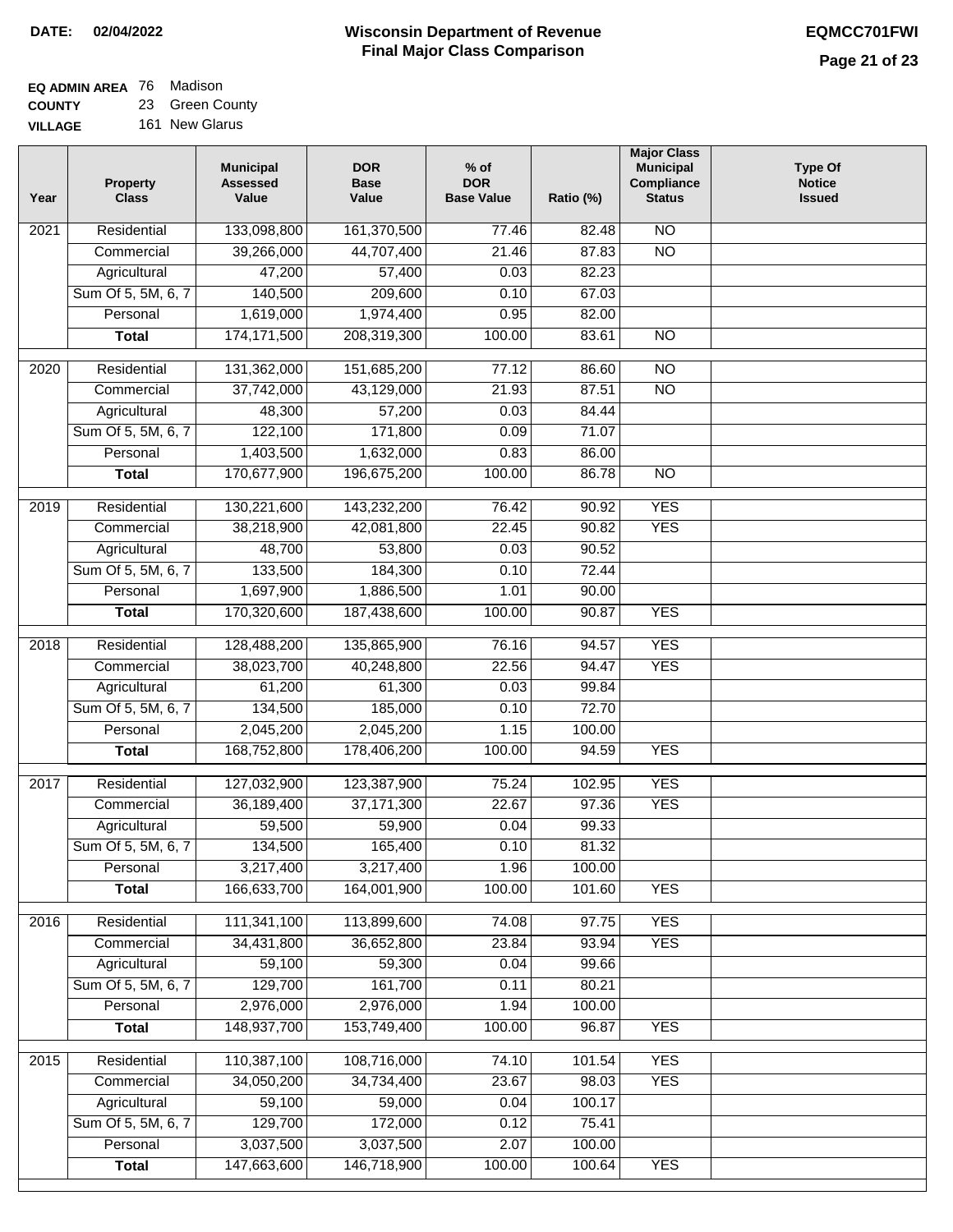#### **EQ ADMIN AREA** 76 Madison **COUNTY** 23 Green County

**VILLAGE** 161 New Glarus

| Year | <b>Property</b><br><b>Class</b> | <b>Municipal</b><br><b>Assessed</b><br>Value | <b>DOR</b><br><b>Base</b><br>Value | $%$ of<br><b>DOR</b><br><b>Base Value</b> | Ratio (%) | <b>Major Class</b><br><b>Municipal</b><br>Compliance<br><b>Status</b> | <b>Type Of</b><br><b>Notice</b><br><b>Issued</b> |
|------|---------------------------------|----------------------------------------------|------------------------------------|-------------------------------------------|-----------|-----------------------------------------------------------------------|--------------------------------------------------|
| 2021 | Residential                     | 133,098,800                                  | 161,370,500                        | 77.46                                     | 82.48     | $\overline{NO}$                                                       |                                                  |
|      | Commercial                      | 39,266,000                                   | 44,707,400                         | 21.46                                     | 87.83     | $\overline{NO}$                                                       |                                                  |
|      | Agricultural                    | 47,200                                       | 57,400                             | 0.03                                      | 82.23     |                                                                       |                                                  |
|      | Sum Of 5, 5M, 6, 7              | 140,500                                      | 209,600                            | 0.10                                      | 67.03     |                                                                       |                                                  |
|      | Personal                        | 1,619,000                                    | 1,974,400                          | 0.95                                      | 82.00     |                                                                       |                                                  |
|      | <b>Total</b>                    | 174, 171, 500                                | 208,319,300                        | 100.00                                    | 83.61     | $\overline{NO}$                                                       |                                                  |
| 2020 | Residential                     | 131,362,000                                  | 151,685,200                        | 77.12                                     | 86.60     | $\overline{NO}$                                                       |                                                  |
|      | Commercial                      | 37,742,000                                   | 43,129,000                         | 21.93                                     | 87.51     | $\overline{NO}$                                                       |                                                  |
|      | Agricultural                    | 48,300                                       | 57,200                             | 0.03                                      | 84.44     |                                                                       |                                                  |
|      | Sum Of 5, 5M, 6, 7              | 122,100                                      | 171,800                            | 0.09                                      | 71.07     |                                                                       |                                                  |
|      | Personal                        | 1,403,500                                    | 1,632,000                          | 0.83                                      | 86.00     |                                                                       |                                                  |
|      | <b>Total</b>                    | 170,677,900                                  | 196,675,200                        | 100.00                                    | 86.78     | $\overline{NO}$                                                       |                                                  |
|      |                                 |                                              |                                    |                                           |           |                                                                       |                                                  |
| 2019 | Residential                     | 130,221,600                                  | 143,232,200                        | 76.42                                     | 90.92     | <b>YES</b>                                                            |                                                  |
|      | Commercial                      | 38,218,900                                   | 42,081,800                         | 22.45                                     | 90.82     | <b>YES</b>                                                            |                                                  |
|      | Agricultural                    | 48,700                                       | 53,800                             | 0.03                                      | 90.52     |                                                                       |                                                  |
|      | Sum Of 5, 5M, 6, 7              | 133,500                                      | 184,300                            | 0.10                                      | 72.44     |                                                                       |                                                  |
|      | Personal                        | 1,697,900                                    | 1,886,500                          | 1.01                                      | 90.00     |                                                                       |                                                  |
|      | <b>Total</b>                    | 170,320,600                                  | 187,438,600                        | 100.00                                    | 90.87     | <b>YES</b>                                                            |                                                  |
| 2018 | Residential                     | 128,488,200                                  | 135,865,900                        | 76.16                                     | 94.57     | <b>YES</b>                                                            |                                                  |
|      | Commercial                      | 38,023,700                                   | 40,248,800                         | 22.56                                     | 94.47     | <b>YES</b>                                                            |                                                  |
|      | Agricultural                    | 61,200                                       | 61,300                             | 0.03                                      | 99.84     |                                                                       |                                                  |
|      | Sum Of 5, 5M, 6, 7              | 134,500                                      | 185,000                            | 0.10                                      | 72.70     |                                                                       |                                                  |
|      | Personal                        | 2,045,200                                    | 2,045,200                          | 1.15                                      | 100.00    |                                                                       |                                                  |
|      | <b>Total</b>                    | 168,752,800                                  | 178,406,200                        | 100.00                                    | 94.59     | <b>YES</b>                                                            |                                                  |
| 2017 | Residential                     | 127,032,900                                  | 123,387,900                        | 75.24                                     | 102.95    | <b>YES</b>                                                            |                                                  |
|      | Commercial                      | 36,189,400                                   | 37, 171, 300                       | 22.67                                     | 97.36     | <b>YES</b>                                                            |                                                  |
|      | Agricultural                    | 59,500                                       | 59,900                             | 0.04                                      | 99.33     |                                                                       |                                                  |
|      | Sum Of 5, 5M, 6, 7              | 134,500                                      | 165,400                            | 0.10                                      | 81.32     |                                                                       |                                                  |
|      | Personal                        | 3,217,400                                    | 3,217,400                          | 1.96                                      | 100.00    |                                                                       |                                                  |
|      | <b>Total</b>                    | 166,633,700                                  | 164,001,900                        | 100.00                                    | 101.60    | <b>YES</b>                                                            |                                                  |
|      |                                 |                                              |                                    |                                           |           |                                                                       |                                                  |
| 2016 | Residential                     | 111,341,100                                  | 113,899,600                        | 74.08                                     | 97.75     | <b>YES</b>                                                            |                                                  |
|      | Commercial                      | 34,431,800                                   | 36,652,800                         | 23.84                                     | 93.94     | <b>YES</b>                                                            |                                                  |
|      | Agricultural                    | 59,100                                       | 59,300                             | 0.04                                      | 99.66     |                                                                       |                                                  |
|      | Sum Of 5, 5M, 6, 7              | 129,700                                      | 161,700                            | 0.11                                      | 80.21     |                                                                       |                                                  |
|      | Personal                        | 2,976,000                                    | 2,976,000                          | 1.94                                      | 100.00    |                                                                       |                                                  |
|      | <b>Total</b>                    | 148,937,700                                  | 153,749,400                        | 100.00                                    | 96.87     | <b>YES</b>                                                            |                                                  |
| 2015 | Residential                     | 110,387,100                                  | 108,716,000                        | 74.10                                     | 101.54    | <b>YES</b>                                                            |                                                  |
|      | Commercial                      | 34,050,200                                   | 34,734,400                         | 23.67                                     | 98.03     | <b>YES</b>                                                            |                                                  |
|      | Agricultural                    | 59,100                                       | 59,000                             | 0.04                                      | 100.17    |                                                                       |                                                  |
|      | Sum Of 5, 5M, 6, 7              | 129,700                                      | 172,000                            | 0.12                                      | 75.41     |                                                                       |                                                  |
|      | Personal                        | 3,037,500                                    | 3,037,500                          | 2.07                                      | 100.00    |                                                                       |                                                  |
|      | <b>Total</b>                    | 147,663,600                                  | 146,718,900                        | 100.00                                    | 100.64    | <b>YES</b>                                                            |                                                  |
|      |                                 |                                              |                                    |                                           |           |                                                                       |                                                  |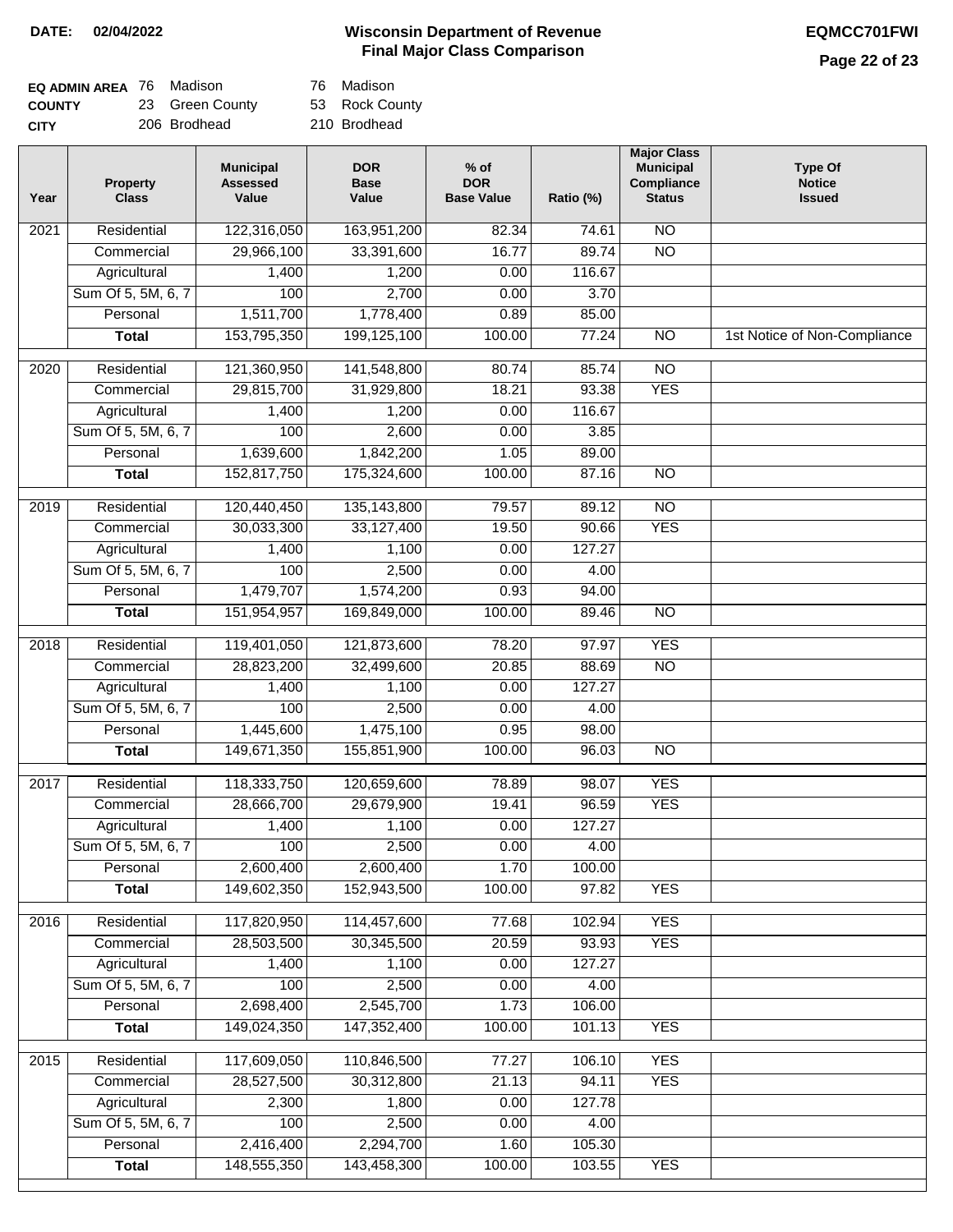# **Wisconsin Department of Revenue DATE: 02/04/2022 EQMCC701FWI Final Major Class Comparison**

# **Page 22 of 23**

| <b>EQ ADMIN AREA</b> 76 Madison |                 | 76  |
|---------------------------------|-----------------|-----|
| <b>COUNTY</b>                   | 23 Green County | 53  |
| <b>CITY</b>                     | 206 Brodhead    | 210 |

**Madison** 

Rock County

0 Brodhead

| 122,316,050<br><b>NO</b><br>Residential<br>163,951,200<br>82.34<br>74.61<br>2021<br>$\overline{NO}$<br>29,966,100<br>33,391,600<br>16.77<br>89.74<br>Commercial<br>1,400<br>1,200<br>0.00<br>116.67<br>Agricultural<br>Sum Of 5, 5M, 6, 7<br>100<br>2,700<br>0.00<br>3.70<br>1,778,400<br>Personal<br>1,511,700<br>0.89<br>85.00<br>153,795,350<br>199,125,100<br>100.00<br>77.24<br>$\overline{NO}$<br>1st Notice of Non-Compliance<br><b>Total</b><br>$\overline{2020}$<br>Residential<br>121,360,950<br>141,548,800<br>80.74<br>85.74<br>$\overline{10}$<br><b>YES</b><br>Commercial<br>29,815,700<br>31,929,800<br>18.21<br>93.38<br>Agricultural<br>1,200<br>0.00<br>116.67<br>1,400<br>Sum Of 5, 5M, 6, 7<br>100<br>2,600<br>0.00<br>3.85<br>Personal<br>1,639,600<br>1,842,200<br>1.05<br>89.00<br>152,817,750<br>175,324,600<br>100.00<br>87.16<br><b>NO</b><br><b>Total</b><br>$\overline{NO}$<br>$\frac{2019}{ }$<br>Residential<br>120,440,450<br>135, 143, 800<br>79.57<br>89.12<br>33,127,400<br><b>YES</b><br>Commercial<br>30,033,300<br>19.50<br>90.66<br>127.27<br>Agricultural<br>1,100<br>0.00<br>1,400<br>Sum Of 5, 5M, 6, 7<br>100<br>2,500<br>0.00<br>4.00<br>0.93<br>Personal<br>1,479,707<br>1,574,200<br>94.00<br>151,954,957<br>169,849,000<br>100.00<br>$\overline{NO}$<br><b>Total</b><br>89.46<br><b>YES</b><br>Residential<br>119,401,050<br>121,873,600<br>78.20<br>97.97<br>2018<br><b>NO</b><br>Commercial<br>28,823,200<br>32,499,600<br>20.85<br>88.69<br>Agricultural<br>1,100<br>0.00<br>127.27<br>1,400<br>Sum Of 5, 5M, 6, 7<br>100<br>2,500<br>0.00<br>4.00<br>1,475,100<br>Personal<br>1,445,600<br>0.95<br>98.00<br>149,671,350<br>155,851,900<br>100.00<br>96.03<br>N <sub>O</sub><br><b>Total</b><br><b>YES</b><br>Residential<br>118,333,750<br>120,659,600<br>78.89<br>98.07<br>2017<br>28,666,700<br>29,679,900<br>19.41<br>96.59<br><b>YES</b><br>Commercial<br>1,400<br>1,100<br>0.00<br>127.27<br>Agricultural<br>Sum Of 5, 5M, 6, 7<br>100<br>2,500<br>0.00<br>4.00<br>Personal<br>2,600,400<br>2,600,400<br>1.70<br>100.00<br>149,602,350<br>152,943,500<br>100.00<br>97.82<br><b>YES</b><br><b>Total</b><br>2016<br>Residential<br>117,820,950<br>114,457,600<br>77.68<br>102.94<br><b>YES</b><br>30,345,500<br>20.59<br><b>YES</b><br>Commercial<br>28,503,500<br>93.93<br>1,400<br>1,100<br>0.00<br>127.27<br>Agricultural<br>Sum Of 5, 5M, 6, 7<br>100<br>2,500<br>0.00<br>4.00<br>2,698,400<br>2,545,700<br>Personal<br>1.73<br>106.00<br>147,352,400<br><b>Total</b><br>149,024,350<br>100.00<br>101.13<br><b>YES</b><br>117,609,050<br>110,846,500<br><b>YES</b><br>2015<br>Residential<br>77.27<br>106.10<br>28,527,500<br>30,312,800<br>21.13<br>94.11<br><b>YES</b><br>Commercial<br>Agricultural<br>2,300<br>1,800<br>0.00<br>127.78<br>Sum Of 5, 5M, 6, 7<br>100<br>2,500<br>0.00<br>4.00<br>Personal<br>2,416,400<br>2,294,700<br>1.60<br>105.30<br>148,555,350<br>143,458,300<br>100.00<br><b>YES</b><br>103.55<br><b>Total</b> | Year | <b>Property</b><br><b>Class</b> | <b>Municipal</b><br><b>Assessed</b><br>Value | <b>DOR</b><br><b>Base</b><br>Value | $%$ of<br><b>DOR</b><br><b>Base Value</b> | Ratio (%) | <b>Major Class</b><br><b>Municipal</b><br>Compliance<br><b>Status</b> | <b>Type Of</b><br><b>Notice</b><br><b>Issued</b> |
|---------------------------------------------------------------------------------------------------------------------------------------------------------------------------------------------------------------------------------------------------------------------------------------------------------------------------------------------------------------------------------------------------------------------------------------------------------------------------------------------------------------------------------------------------------------------------------------------------------------------------------------------------------------------------------------------------------------------------------------------------------------------------------------------------------------------------------------------------------------------------------------------------------------------------------------------------------------------------------------------------------------------------------------------------------------------------------------------------------------------------------------------------------------------------------------------------------------------------------------------------------------------------------------------------------------------------------------------------------------------------------------------------------------------------------------------------------------------------------------------------------------------------------------------------------------------------------------------------------------------------------------------------------------------------------------------------------------------------------------------------------------------------------------------------------------------------------------------------------------------------------------------------------------------------------------------------------------------------------------------------------------------------------------------------------------------------------------------------------------------------------------------------------------------------------------------------------------------------------------------------------------------------------------------------------------------------------------------------------------------------------------------------------------------------------------------------------------------------------------------------------------------------------------------------------------------------------------------------------------------------------------------------------------------------------------------------------------------------------------------------------------------------------------------------------------------------------------------------------------------------------------------------------------------------------------------------------------------------------------------------|------|---------------------------------|----------------------------------------------|------------------------------------|-------------------------------------------|-----------|-----------------------------------------------------------------------|--------------------------------------------------|
|                                                                                                                                                                                                                                                                                                                                                                                                                                                                                                                                                                                                                                                                                                                                                                                                                                                                                                                                                                                                                                                                                                                                                                                                                                                                                                                                                                                                                                                                                                                                                                                                                                                                                                                                                                                                                                                                                                                                                                                                                                                                                                                                                                                                                                                                                                                                                                                                                                                                                                                                                                                                                                                                                                                                                                                                                                                                                                                                                                                                   |      |                                 |                                              |                                    |                                           |           |                                                                       |                                                  |
|                                                                                                                                                                                                                                                                                                                                                                                                                                                                                                                                                                                                                                                                                                                                                                                                                                                                                                                                                                                                                                                                                                                                                                                                                                                                                                                                                                                                                                                                                                                                                                                                                                                                                                                                                                                                                                                                                                                                                                                                                                                                                                                                                                                                                                                                                                                                                                                                                                                                                                                                                                                                                                                                                                                                                                                                                                                                                                                                                                                                   |      |                                 |                                              |                                    |                                           |           |                                                                       |                                                  |
|                                                                                                                                                                                                                                                                                                                                                                                                                                                                                                                                                                                                                                                                                                                                                                                                                                                                                                                                                                                                                                                                                                                                                                                                                                                                                                                                                                                                                                                                                                                                                                                                                                                                                                                                                                                                                                                                                                                                                                                                                                                                                                                                                                                                                                                                                                                                                                                                                                                                                                                                                                                                                                                                                                                                                                                                                                                                                                                                                                                                   |      |                                 |                                              |                                    |                                           |           |                                                                       |                                                  |
|                                                                                                                                                                                                                                                                                                                                                                                                                                                                                                                                                                                                                                                                                                                                                                                                                                                                                                                                                                                                                                                                                                                                                                                                                                                                                                                                                                                                                                                                                                                                                                                                                                                                                                                                                                                                                                                                                                                                                                                                                                                                                                                                                                                                                                                                                                                                                                                                                                                                                                                                                                                                                                                                                                                                                                                                                                                                                                                                                                                                   |      |                                 |                                              |                                    |                                           |           |                                                                       |                                                  |
|                                                                                                                                                                                                                                                                                                                                                                                                                                                                                                                                                                                                                                                                                                                                                                                                                                                                                                                                                                                                                                                                                                                                                                                                                                                                                                                                                                                                                                                                                                                                                                                                                                                                                                                                                                                                                                                                                                                                                                                                                                                                                                                                                                                                                                                                                                                                                                                                                                                                                                                                                                                                                                                                                                                                                                                                                                                                                                                                                                                                   |      |                                 |                                              |                                    |                                           |           |                                                                       |                                                  |
|                                                                                                                                                                                                                                                                                                                                                                                                                                                                                                                                                                                                                                                                                                                                                                                                                                                                                                                                                                                                                                                                                                                                                                                                                                                                                                                                                                                                                                                                                                                                                                                                                                                                                                                                                                                                                                                                                                                                                                                                                                                                                                                                                                                                                                                                                                                                                                                                                                                                                                                                                                                                                                                                                                                                                                                                                                                                                                                                                                                                   |      |                                 |                                              |                                    |                                           |           |                                                                       |                                                  |
|                                                                                                                                                                                                                                                                                                                                                                                                                                                                                                                                                                                                                                                                                                                                                                                                                                                                                                                                                                                                                                                                                                                                                                                                                                                                                                                                                                                                                                                                                                                                                                                                                                                                                                                                                                                                                                                                                                                                                                                                                                                                                                                                                                                                                                                                                                                                                                                                                                                                                                                                                                                                                                                                                                                                                                                                                                                                                                                                                                                                   |      |                                 |                                              |                                    |                                           |           |                                                                       |                                                  |
|                                                                                                                                                                                                                                                                                                                                                                                                                                                                                                                                                                                                                                                                                                                                                                                                                                                                                                                                                                                                                                                                                                                                                                                                                                                                                                                                                                                                                                                                                                                                                                                                                                                                                                                                                                                                                                                                                                                                                                                                                                                                                                                                                                                                                                                                                                                                                                                                                                                                                                                                                                                                                                                                                                                                                                                                                                                                                                                                                                                                   |      |                                 |                                              |                                    |                                           |           |                                                                       |                                                  |
|                                                                                                                                                                                                                                                                                                                                                                                                                                                                                                                                                                                                                                                                                                                                                                                                                                                                                                                                                                                                                                                                                                                                                                                                                                                                                                                                                                                                                                                                                                                                                                                                                                                                                                                                                                                                                                                                                                                                                                                                                                                                                                                                                                                                                                                                                                                                                                                                                                                                                                                                                                                                                                                                                                                                                                                                                                                                                                                                                                                                   |      |                                 |                                              |                                    |                                           |           |                                                                       |                                                  |
|                                                                                                                                                                                                                                                                                                                                                                                                                                                                                                                                                                                                                                                                                                                                                                                                                                                                                                                                                                                                                                                                                                                                                                                                                                                                                                                                                                                                                                                                                                                                                                                                                                                                                                                                                                                                                                                                                                                                                                                                                                                                                                                                                                                                                                                                                                                                                                                                                                                                                                                                                                                                                                                                                                                                                                                                                                                                                                                                                                                                   |      |                                 |                                              |                                    |                                           |           |                                                                       |                                                  |
|                                                                                                                                                                                                                                                                                                                                                                                                                                                                                                                                                                                                                                                                                                                                                                                                                                                                                                                                                                                                                                                                                                                                                                                                                                                                                                                                                                                                                                                                                                                                                                                                                                                                                                                                                                                                                                                                                                                                                                                                                                                                                                                                                                                                                                                                                                                                                                                                                                                                                                                                                                                                                                                                                                                                                                                                                                                                                                                                                                                                   |      |                                 |                                              |                                    |                                           |           |                                                                       |                                                  |
|                                                                                                                                                                                                                                                                                                                                                                                                                                                                                                                                                                                                                                                                                                                                                                                                                                                                                                                                                                                                                                                                                                                                                                                                                                                                                                                                                                                                                                                                                                                                                                                                                                                                                                                                                                                                                                                                                                                                                                                                                                                                                                                                                                                                                                                                                                                                                                                                                                                                                                                                                                                                                                                                                                                                                                                                                                                                                                                                                                                                   |      |                                 |                                              |                                    |                                           |           |                                                                       |                                                  |
|                                                                                                                                                                                                                                                                                                                                                                                                                                                                                                                                                                                                                                                                                                                                                                                                                                                                                                                                                                                                                                                                                                                                                                                                                                                                                                                                                                                                                                                                                                                                                                                                                                                                                                                                                                                                                                                                                                                                                                                                                                                                                                                                                                                                                                                                                                                                                                                                                                                                                                                                                                                                                                                                                                                                                                                                                                                                                                                                                                                                   |      |                                 |                                              |                                    |                                           |           |                                                                       |                                                  |
|                                                                                                                                                                                                                                                                                                                                                                                                                                                                                                                                                                                                                                                                                                                                                                                                                                                                                                                                                                                                                                                                                                                                                                                                                                                                                                                                                                                                                                                                                                                                                                                                                                                                                                                                                                                                                                                                                                                                                                                                                                                                                                                                                                                                                                                                                                                                                                                                                                                                                                                                                                                                                                                                                                                                                                                                                                                                                                                                                                                                   |      |                                 |                                              |                                    |                                           |           |                                                                       |                                                  |
|                                                                                                                                                                                                                                                                                                                                                                                                                                                                                                                                                                                                                                                                                                                                                                                                                                                                                                                                                                                                                                                                                                                                                                                                                                                                                                                                                                                                                                                                                                                                                                                                                                                                                                                                                                                                                                                                                                                                                                                                                                                                                                                                                                                                                                                                                                                                                                                                                                                                                                                                                                                                                                                                                                                                                                                                                                                                                                                                                                                                   |      |                                 |                                              |                                    |                                           |           |                                                                       |                                                  |
|                                                                                                                                                                                                                                                                                                                                                                                                                                                                                                                                                                                                                                                                                                                                                                                                                                                                                                                                                                                                                                                                                                                                                                                                                                                                                                                                                                                                                                                                                                                                                                                                                                                                                                                                                                                                                                                                                                                                                                                                                                                                                                                                                                                                                                                                                                                                                                                                                                                                                                                                                                                                                                                                                                                                                                                                                                                                                                                                                                                                   |      |                                 |                                              |                                    |                                           |           |                                                                       |                                                  |
|                                                                                                                                                                                                                                                                                                                                                                                                                                                                                                                                                                                                                                                                                                                                                                                                                                                                                                                                                                                                                                                                                                                                                                                                                                                                                                                                                                                                                                                                                                                                                                                                                                                                                                                                                                                                                                                                                                                                                                                                                                                                                                                                                                                                                                                                                                                                                                                                                                                                                                                                                                                                                                                                                                                                                                                                                                                                                                                                                                                                   |      |                                 |                                              |                                    |                                           |           |                                                                       |                                                  |
|                                                                                                                                                                                                                                                                                                                                                                                                                                                                                                                                                                                                                                                                                                                                                                                                                                                                                                                                                                                                                                                                                                                                                                                                                                                                                                                                                                                                                                                                                                                                                                                                                                                                                                                                                                                                                                                                                                                                                                                                                                                                                                                                                                                                                                                                                                                                                                                                                                                                                                                                                                                                                                                                                                                                                                                                                                                                                                                                                                                                   |      |                                 |                                              |                                    |                                           |           |                                                                       |                                                  |
|                                                                                                                                                                                                                                                                                                                                                                                                                                                                                                                                                                                                                                                                                                                                                                                                                                                                                                                                                                                                                                                                                                                                                                                                                                                                                                                                                                                                                                                                                                                                                                                                                                                                                                                                                                                                                                                                                                                                                                                                                                                                                                                                                                                                                                                                                                                                                                                                                                                                                                                                                                                                                                                                                                                                                                                                                                                                                                                                                                                                   |      |                                 |                                              |                                    |                                           |           |                                                                       |                                                  |
|                                                                                                                                                                                                                                                                                                                                                                                                                                                                                                                                                                                                                                                                                                                                                                                                                                                                                                                                                                                                                                                                                                                                                                                                                                                                                                                                                                                                                                                                                                                                                                                                                                                                                                                                                                                                                                                                                                                                                                                                                                                                                                                                                                                                                                                                                                                                                                                                                                                                                                                                                                                                                                                                                                                                                                                                                                                                                                                                                                                                   |      |                                 |                                              |                                    |                                           |           |                                                                       |                                                  |
|                                                                                                                                                                                                                                                                                                                                                                                                                                                                                                                                                                                                                                                                                                                                                                                                                                                                                                                                                                                                                                                                                                                                                                                                                                                                                                                                                                                                                                                                                                                                                                                                                                                                                                                                                                                                                                                                                                                                                                                                                                                                                                                                                                                                                                                                                                                                                                                                                                                                                                                                                                                                                                                                                                                                                                                                                                                                                                                                                                                                   |      |                                 |                                              |                                    |                                           |           |                                                                       |                                                  |
|                                                                                                                                                                                                                                                                                                                                                                                                                                                                                                                                                                                                                                                                                                                                                                                                                                                                                                                                                                                                                                                                                                                                                                                                                                                                                                                                                                                                                                                                                                                                                                                                                                                                                                                                                                                                                                                                                                                                                                                                                                                                                                                                                                                                                                                                                                                                                                                                                                                                                                                                                                                                                                                                                                                                                                                                                                                                                                                                                                                                   |      |                                 |                                              |                                    |                                           |           |                                                                       |                                                  |
|                                                                                                                                                                                                                                                                                                                                                                                                                                                                                                                                                                                                                                                                                                                                                                                                                                                                                                                                                                                                                                                                                                                                                                                                                                                                                                                                                                                                                                                                                                                                                                                                                                                                                                                                                                                                                                                                                                                                                                                                                                                                                                                                                                                                                                                                                                                                                                                                                                                                                                                                                                                                                                                                                                                                                                                                                                                                                                                                                                                                   |      |                                 |                                              |                                    |                                           |           |                                                                       |                                                  |
|                                                                                                                                                                                                                                                                                                                                                                                                                                                                                                                                                                                                                                                                                                                                                                                                                                                                                                                                                                                                                                                                                                                                                                                                                                                                                                                                                                                                                                                                                                                                                                                                                                                                                                                                                                                                                                                                                                                                                                                                                                                                                                                                                                                                                                                                                                                                                                                                                                                                                                                                                                                                                                                                                                                                                                                                                                                                                                                                                                                                   |      |                                 |                                              |                                    |                                           |           |                                                                       |                                                  |
|                                                                                                                                                                                                                                                                                                                                                                                                                                                                                                                                                                                                                                                                                                                                                                                                                                                                                                                                                                                                                                                                                                                                                                                                                                                                                                                                                                                                                                                                                                                                                                                                                                                                                                                                                                                                                                                                                                                                                                                                                                                                                                                                                                                                                                                                                                                                                                                                                                                                                                                                                                                                                                                                                                                                                                                                                                                                                                                                                                                                   |      |                                 |                                              |                                    |                                           |           |                                                                       |                                                  |
|                                                                                                                                                                                                                                                                                                                                                                                                                                                                                                                                                                                                                                                                                                                                                                                                                                                                                                                                                                                                                                                                                                                                                                                                                                                                                                                                                                                                                                                                                                                                                                                                                                                                                                                                                                                                                                                                                                                                                                                                                                                                                                                                                                                                                                                                                                                                                                                                                                                                                                                                                                                                                                                                                                                                                                                                                                                                                                                                                                                                   |      |                                 |                                              |                                    |                                           |           |                                                                       |                                                  |
|                                                                                                                                                                                                                                                                                                                                                                                                                                                                                                                                                                                                                                                                                                                                                                                                                                                                                                                                                                                                                                                                                                                                                                                                                                                                                                                                                                                                                                                                                                                                                                                                                                                                                                                                                                                                                                                                                                                                                                                                                                                                                                                                                                                                                                                                                                                                                                                                                                                                                                                                                                                                                                                                                                                                                                                                                                                                                                                                                                                                   |      |                                 |                                              |                                    |                                           |           |                                                                       |                                                  |
|                                                                                                                                                                                                                                                                                                                                                                                                                                                                                                                                                                                                                                                                                                                                                                                                                                                                                                                                                                                                                                                                                                                                                                                                                                                                                                                                                                                                                                                                                                                                                                                                                                                                                                                                                                                                                                                                                                                                                                                                                                                                                                                                                                                                                                                                                                                                                                                                                                                                                                                                                                                                                                                                                                                                                                                                                                                                                                                                                                                                   |      |                                 |                                              |                                    |                                           |           |                                                                       |                                                  |
|                                                                                                                                                                                                                                                                                                                                                                                                                                                                                                                                                                                                                                                                                                                                                                                                                                                                                                                                                                                                                                                                                                                                                                                                                                                                                                                                                                                                                                                                                                                                                                                                                                                                                                                                                                                                                                                                                                                                                                                                                                                                                                                                                                                                                                                                                                                                                                                                                                                                                                                                                                                                                                                                                                                                                                                                                                                                                                                                                                                                   |      |                                 |                                              |                                    |                                           |           |                                                                       |                                                  |
|                                                                                                                                                                                                                                                                                                                                                                                                                                                                                                                                                                                                                                                                                                                                                                                                                                                                                                                                                                                                                                                                                                                                                                                                                                                                                                                                                                                                                                                                                                                                                                                                                                                                                                                                                                                                                                                                                                                                                                                                                                                                                                                                                                                                                                                                                                                                                                                                                                                                                                                                                                                                                                                                                                                                                                                                                                                                                                                                                                                                   |      |                                 |                                              |                                    |                                           |           |                                                                       |                                                  |
|                                                                                                                                                                                                                                                                                                                                                                                                                                                                                                                                                                                                                                                                                                                                                                                                                                                                                                                                                                                                                                                                                                                                                                                                                                                                                                                                                                                                                                                                                                                                                                                                                                                                                                                                                                                                                                                                                                                                                                                                                                                                                                                                                                                                                                                                                                                                                                                                                                                                                                                                                                                                                                                                                                                                                                                                                                                                                                                                                                                                   |      |                                 |                                              |                                    |                                           |           |                                                                       |                                                  |
|                                                                                                                                                                                                                                                                                                                                                                                                                                                                                                                                                                                                                                                                                                                                                                                                                                                                                                                                                                                                                                                                                                                                                                                                                                                                                                                                                                                                                                                                                                                                                                                                                                                                                                                                                                                                                                                                                                                                                                                                                                                                                                                                                                                                                                                                                                                                                                                                                                                                                                                                                                                                                                                                                                                                                                                                                                                                                                                                                                                                   |      |                                 |                                              |                                    |                                           |           |                                                                       |                                                  |
|                                                                                                                                                                                                                                                                                                                                                                                                                                                                                                                                                                                                                                                                                                                                                                                                                                                                                                                                                                                                                                                                                                                                                                                                                                                                                                                                                                                                                                                                                                                                                                                                                                                                                                                                                                                                                                                                                                                                                                                                                                                                                                                                                                                                                                                                                                                                                                                                                                                                                                                                                                                                                                                                                                                                                                                                                                                                                                                                                                                                   |      |                                 |                                              |                                    |                                           |           |                                                                       |                                                  |
|                                                                                                                                                                                                                                                                                                                                                                                                                                                                                                                                                                                                                                                                                                                                                                                                                                                                                                                                                                                                                                                                                                                                                                                                                                                                                                                                                                                                                                                                                                                                                                                                                                                                                                                                                                                                                                                                                                                                                                                                                                                                                                                                                                                                                                                                                                                                                                                                                                                                                                                                                                                                                                                                                                                                                                                                                                                                                                                                                                                                   |      |                                 |                                              |                                    |                                           |           |                                                                       |                                                  |
|                                                                                                                                                                                                                                                                                                                                                                                                                                                                                                                                                                                                                                                                                                                                                                                                                                                                                                                                                                                                                                                                                                                                                                                                                                                                                                                                                                                                                                                                                                                                                                                                                                                                                                                                                                                                                                                                                                                                                                                                                                                                                                                                                                                                                                                                                                                                                                                                                                                                                                                                                                                                                                                                                                                                                                                                                                                                                                                                                                                                   |      |                                 |                                              |                                    |                                           |           |                                                                       |                                                  |
|                                                                                                                                                                                                                                                                                                                                                                                                                                                                                                                                                                                                                                                                                                                                                                                                                                                                                                                                                                                                                                                                                                                                                                                                                                                                                                                                                                                                                                                                                                                                                                                                                                                                                                                                                                                                                                                                                                                                                                                                                                                                                                                                                                                                                                                                                                                                                                                                                                                                                                                                                                                                                                                                                                                                                                                                                                                                                                                                                                                                   |      |                                 |                                              |                                    |                                           |           |                                                                       |                                                  |
|                                                                                                                                                                                                                                                                                                                                                                                                                                                                                                                                                                                                                                                                                                                                                                                                                                                                                                                                                                                                                                                                                                                                                                                                                                                                                                                                                                                                                                                                                                                                                                                                                                                                                                                                                                                                                                                                                                                                                                                                                                                                                                                                                                                                                                                                                                                                                                                                                                                                                                                                                                                                                                                                                                                                                                                                                                                                                                                                                                                                   |      |                                 |                                              |                                    |                                           |           |                                                                       |                                                  |
|                                                                                                                                                                                                                                                                                                                                                                                                                                                                                                                                                                                                                                                                                                                                                                                                                                                                                                                                                                                                                                                                                                                                                                                                                                                                                                                                                                                                                                                                                                                                                                                                                                                                                                                                                                                                                                                                                                                                                                                                                                                                                                                                                                                                                                                                                                                                                                                                                                                                                                                                                                                                                                                                                                                                                                                                                                                                                                                                                                                                   |      |                                 |                                              |                                    |                                           |           |                                                                       |                                                  |
|                                                                                                                                                                                                                                                                                                                                                                                                                                                                                                                                                                                                                                                                                                                                                                                                                                                                                                                                                                                                                                                                                                                                                                                                                                                                                                                                                                                                                                                                                                                                                                                                                                                                                                                                                                                                                                                                                                                                                                                                                                                                                                                                                                                                                                                                                                                                                                                                                                                                                                                                                                                                                                                                                                                                                                                                                                                                                                                                                                                                   |      |                                 |                                              |                                    |                                           |           |                                                                       |                                                  |
|                                                                                                                                                                                                                                                                                                                                                                                                                                                                                                                                                                                                                                                                                                                                                                                                                                                                                                                                                                                                                                                                                                                                                                                                                                                                                                                                                                                                                                                                                                                                                                                                                                                                                                                                                                                                                                                                                                                                                                                                                                                                                                                                                                                                                                                                                                                                                                                                                                                                                                                                                                                                                                                                                                                                                                                                                                                                                                                                                                                                   |      |                                 |                                              |                                    |                                           |           |                                                                       |                                                  |
|                                                                                                                                                                                                                                                                                                                                                                                                                                                                                                                                                                                                                                                                                                                                                                                                                                                                                                                                                                                                                                                                                                                                                                                                                                                                                                                                                                                                                                                                                                                                                                                                                                                                                                                                                                                                                                                                                                                                                                                                                                                                                                                                                                                                                                                                                                                                                                                                                                                                                                                                                                                                                                                                                                                                                                                                                                                                                                                                                                                                   |      |                                 |                                              |                                    |                                           |           |                                                                       |                                                  |
|                                                                                                                                                                                                                                                                                                                                                                                                                                                                                                                                                                                                                                                                                                                                                                                                                                                                                                                                                                                                                                                                                                                                                                                                                                                                                                                                                                                                                                                                                                                                                                                                                                                                                                                                                                                                                                                                                                                                                                                                                                                                                                                                                                                                                                                                                                                                                                                                                                                                                                                                                                                                                                                                                                                                                                                                                                                                                                                                                                                                   |      |                                 |                                              |                                    |                                           |           |                                                                       |                                                  |
|                                                                                                                                                                                                                                                                                                                                                                                                                                                                                                                                                                                                                                                                                                                                                                                                                                                                                                                                                                                                                                                                                                                                                                                                                                                                                                                                                                                                                                                                                                                                                                                                                                                                                                                                                                                                                                                                                                                                                                                                                                                                                                                                                                                                                                                                                                                                                                                                                                                                                                                                                                                                                                                                                                                                                                                                                                                                                                                                                                                                   |      |                                 |                                              |                                    |                                           |           |                                                                       |                                                  |